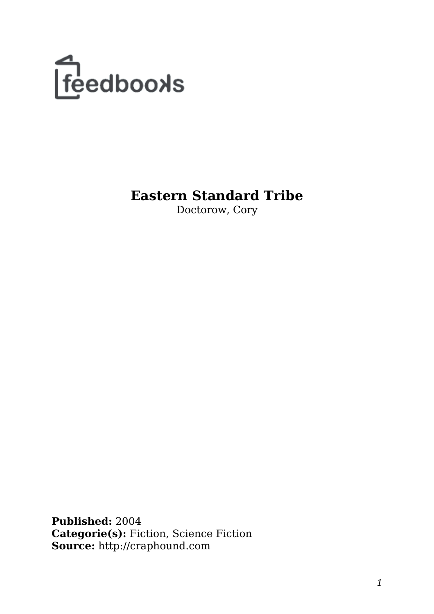

#### **Eastern Standard Tribe**

Doctorow, Cory

**Published:** 2004 **Categorie(s):** Fiction, Science Fiction **Source:** http://craphound.com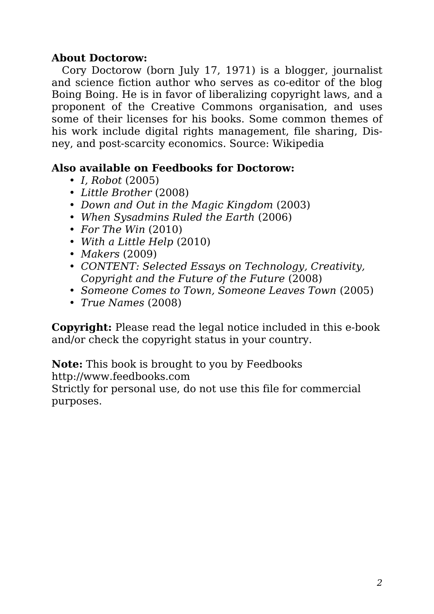#### **About Doctorow:**

Cory Doctorow (born July 17, 1971) is a blogger, journalist and science fiction author who serves as co-editor of the blog Boing Boing. He is in favor of liberalizing copyright laws, and a proponent of the Creative Commons organisation, and uses some of their licenses for his books. Some common themes of his work include digital rights management, file sharing, Disney, and post-scarcity economics. Source: Wikipedia

#### **Also available on Feedbooks for Doctorow:**

- *[I, Robot](http://generation.feedbooks.com/book/337.pdf)* (2005)
- *[Little Brother](http://generation.feedbooks.com/book/2466.pdf)* (2008)
- *[Down and Out in the Magic Kingdom](http://generation.feedbooks.com/book/194.pdf)* (2003)
- *[When Sysadmins Ruled the Earth](http://generation.feedbooks.com/book/335.pdf)* (2006)
- *[For The Win](http://generation.feedbooks.com/book/4786.pdf)* (2010)
- *[With a Little Help](http://generation.feedbooks.com/book/5460.pdf)* (2010)
- *[Makers](http://generation.feedbooks.com/book/4343.pdf)* (2009)
- *[CONTENT: Selected Essays on Technology, Creativity,](http://generation.feedbooks.com/book/2883.pdf) [Copyright and the Future of the Future](http://generation.feedbooks.com/book/2883.pdf)* (2008)
- *[Someone Comes to Town, Someone Leaves Town](http://generation.feedbooks.com/book/260.pdf)* (2005)
- *[True Names](http://generation.feedbooks.com/book/3511.pdf)* (2008)

**Copyright:** Please read the legal notice included in this e-book and/or check the copyright status in your country.

**Note:** This book is brought to you by Feedbooks

<http://www.feedbooks.com>

Strictly for personal use, do not use this file for commercial purposes.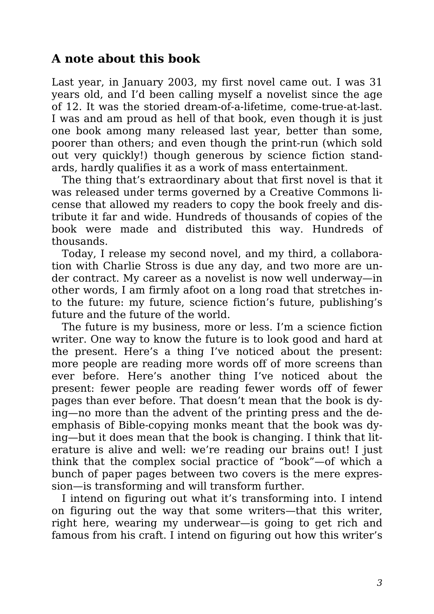#### **A note about this book**

Last year, in January 2003, my first novel came out. I was 31 years old, and I'd been calling myself a novelist since the age of 12. It was the storied dream-of-a-lifetime, come-true-at-last. I was and am proud as hell of that book, even though it is just one book among many released last year, better than some, poorer than others; and even though the print-run (which sold out very quickly!) though generous by science fiction standards, hardly qualifies it as a work of mass entertainment.

The thing that's extraordinary about that first novel is that it was released under terms governed by a Creative Commons license that allowed my readers to copy the book freely and distribute it far and wide. Hundreds of thousands of copies of the book were made and distributed this way. Hundreds of thousands.

Today, I release my second novel, and my third, a collaboration with Charlie Stross is due any day, and two more are under contract. My career as a novelist is now well underway—in other words, I am firmly afoot on a long road that stretches into the future: my future, science fiction's future, publishing's future and the future of the world.

The future is my business, more or less. I'm a science fiction writer. One way to know the future is to look good and hard at the present. Here's a thing I've noticed about the present: more people are reading more words off of more screens than ever before. Here's another thing I've noticed about the present: fewer people are reading fewer words off of fewer pages than ever before. That doesn't mean that the book is dying—no more than the advent of the printing press and the deemphasis of Bible-copying monks meant that the book was dying—but it does mean that the book is changing. I think that literature is alive and well: we're reading our brains out! I just think that the complex social practice of "book"—of which a bunch of paper pages between two covers is the mere expression—is transforming and will transform further.

I intend on figuring out what it's transforming into. I intend on figuring out the way that some writers—that this writer, right here, wearing my underwear—is going to get rich and famous from his craft. I intend on figuring out how this writer's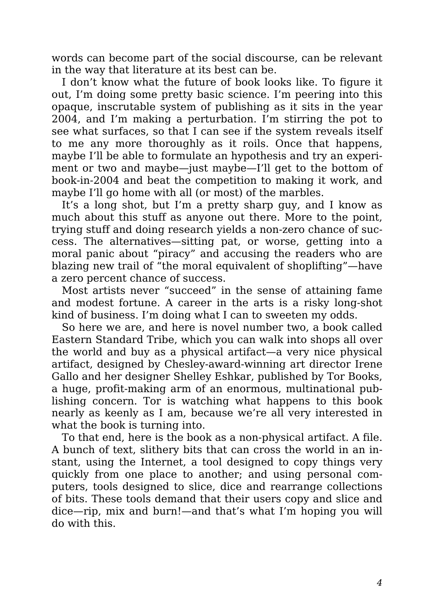words can become part of the social discourse, can be relevant in the way that literature at its best can be.

I don't know what the future of book looks like. To figure it out, I'm doing some pretty basic science. I'm peering into this opaque, inscrutable system of publishing as it sits in the year 2004, and I'm making a perturbation. I'm stirring the pot to see what surfaces, so that I can see if the system reveals itself to me any more thoroughly as it roils. Once that happens, maybe I'll be able to formulate an hypothesis and try an experiment or two and maybe—just maybe—I'll get to the bottom of book-in-2004 and beat the competition to making it work, and maybe I'll go home with all (or most) of the marbles.

It's a long shot, but I'm a pretty sharp guy, and I know as much about this stuff as anyone out there. More to the point, trying stuff and doing research yields a non-zero chance of success. The alternatives—sitting pat, or worse, getting into a moral panic about "piracy" and accusing the readers who are blazing new trail of "the moral equivalent of shoplifting"—have a zero percent chance of success.

Most artists never "succeed" in the sense of attaining fame and modest fortune. A career in the arts is a risky long-shot kind of business. I'm doing what I can to sweeten my odds.

So here we are, and here is novel number two, a book called Eastern Standard Tribe, which you can walk into shops all over the world and buy as a physical artifact—a very nice physical artifact, designed by Chesley-award-winning art director Irene Gallo and her designer Shelley Eshkar, published by Tor Books, a huge, profit-making arm of an enormous, multinational publishing concern. Tor is watching what happens to this book nearly as keenly as I am, because we're all very interested in what the book is turning into.

To that end, here is the book as a non-physical artifact. A file. A bunch of text, slithery bits that can cross the world in an instant, using the Internet, a tool designed to copy things very quickly from one place to another; and using personal computers, tools designed to slice, dice and rearrange collections of bits. These tools demand that their users copy and slice and dice—rip, mix and burn!—and that's what I'm hoping you will do with this.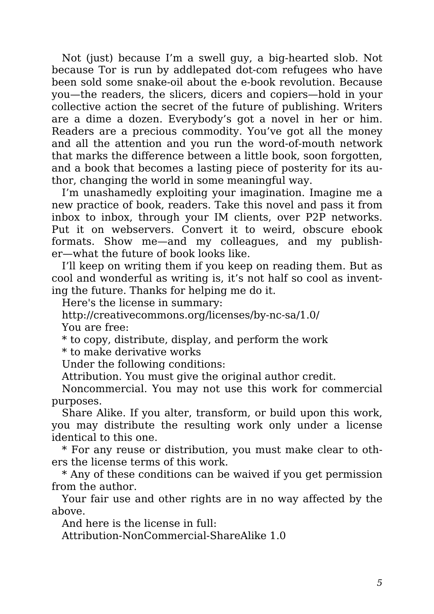Not (just) because I'm a swell guy, a big-hearted slob. Not because Tor is run by addlepated dot-com refugees who have been sold some snake-oil about the e-book revolution. Because you—the readers, the slicers, dicers and copiers—hold in your collective action the secret of the future of publishing. Writers are a dime a dozen. Everybody's got a novel in her or him. Readers are a precious commodity. You've got all the money and all the attention and you run the word-of-mouth network that marks the difference between a little book, soon forgotten, and a book that becomes a lasting piece of posterity for its author, changing the world in some meaningful way.

I'm unashamedly exploiting your imagination. Imagine me a new practice of book, readers. Take this novel and pass it from inbox to inbox, through your IM clients, over P2P networks. Put it on webservers. Convert it to weird, obscure ebook formats. Show me—and my colleagues, and my publisher—what the future of book looks like.

I'll keep on writing them if you keep on reading them. But as cool and wonderful as writing is, it's not half so cool as inventing the future. Thanks for helping me do it.

Here's the license in summary:

http://creativecommons.org/licenses/by-nc-sa/1.0/ You are free:

\* to copy, distribute, display, and perform the work

\* to make derivative works

Under the following conditions:

Attribution. You must give the original author credit.

Noncommercial. You may not use this work for commercial purposes.

Share Alike. If you alter, transform, or build upon this work, you may distribute the resulting work only under a license identical to this one.

\* For any reuse or distribution, you must make clear to others the license terms of this work.

\* Any of these conditions can be waived if you get permission from the author.

Your fair use and other rights are in no way affected by the above.

And here is the license in full:

Attribution-NonCommercial-ShareAlike 1.0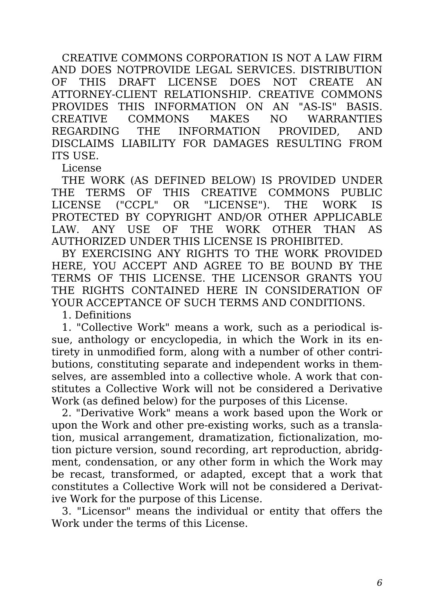CREATIVE COMMONS CORPORATION IS NOT A LAW FIRM AND DOES NOTPROVIDE LEGAL SERVICES. DISTRIBUTION OF THIS DRAFT LICENSE DOES NOT CREATE AN ATTORNEY-CLIENT RELATIONSHIP. CREATIVE COMMONS PROVIDES THIS INFORMATION ON AN "AS-IS" BASIS. CREATIVE COMMONS MAKES NO WARRANTIES REGARDING THE INFORMATION PROVIDED, AND DISCLAIMS LIABILITY FOR DAMAGES RESULTING FROM ITS USE.

License

THE WORK (AS DEFINED BELOW) IS PROVIDED UNDER THE TERMS OF THIS CREATIVE COMMONS PUBLIC LICENSE ("CCPL" OR "LICENSE"). THE WORK IS PROTECTED BY COPYRIGHT AND/OR OTHER APPLICABLE LAW. ANY USE OF THE WORK OTHER THAN AS AUTHORIZED UNDER THIS LICENSE IS PROHIBITED.

BY EXERCISING ANY RIGHTS TO THE WORK PROVIDED HERE, YOU ACCEPT AND AGREE TO BE BOUND BY THE TERMS OF THIS LICENSE. THE LICENSOR GRANTS YOU THE RIGHTS CONTAINED HERE IN CONSIDERATION OF YOUR ACCEPTANCE OF SUCH TERMS AND CONDITIONS.

1. Definitions

1. "Collective Work" means a work, such as a periodical issue, anthology or encyclopedia, in which the Work in its entirety in unmodified form, along with a number of other contributions, constituting separate and independent works in themselves, are assembled into a collective whole. A work that constitutes a Collective Work will not be considered a Derivative Work (as defined below) for the purposes of this License.

2. "Derivative Work" means a work based upon the Work or upon the Work and other pre-existing works, such as a translation, musical arrangement, dramatization, fictionalization, motion picture version, sound recording, art reproduction, abridgment, condensation, or any other form in which the Work may be recast, transformed, or adapted, except that a work that constitutes a Collective Work will not be considered a Derivative Work for the purpose of this License.

3. "Licensor" means the individual or entity that offers the Work under the terms of this License.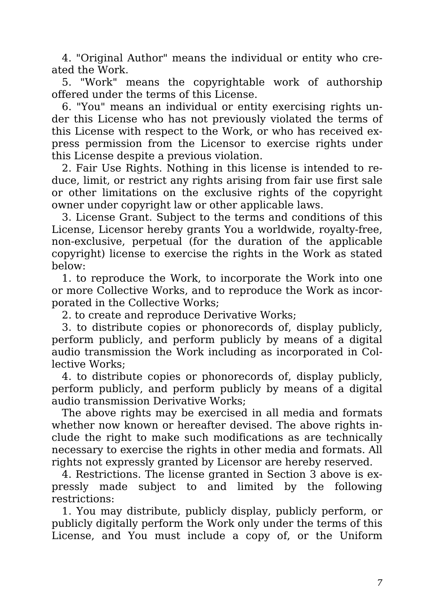4. "Original Author" means the individual or entity who created the Work.

5. "Work" means the copyrightable work of authorship offered under the terms of this License.

6. "You" means an individual or entity exercising rights under this License who has not previously violated the terms of this License with respect to the Work, or who has received express permission from the Licensor to exercise rights under this License despite a previous violation.

2. Fair Use Rights. Nothing in this license is intended to reduce, limit, or restrict any rights arising from fair use first sale or other limitations on the exclusive rights of the copyright owner under copyright law or other applicable laws.

3. License Grant. Subject to the terms and conditions of this License, Licensor hereby grants You a worldwide, royalty-free, non-exclusive, perpetual (for the duration of the applicable copyright) license to exercise the rights in the Work as stated below:

1. to reproduce the Work, to incorporate the Work into one or more Collective Works, and to reproduce the Work as incorporated in the Collective Works;

2. to create and reproduce Derivative Works;

3. to distribute copies or phonorecords of, display publicly, perform publicly, and perform publicly by means of a digital audio transmission the Work including as incorporated in Collective Works;

4. to distribute copies or phonorecords of, display publicly, perform publicly, and perform publicly by means of a digital audio transmission Derivative Works;

The above rights may be exercised in all media and formats whether now known or hereafter devised. The above rights include the right to make such modifications as are technically necessary to exercise the rights in other media and formats. All rights not expressly granted by Licensor are hereby reserved.

4. Restrictions. The license granted in Section 3 above is expressly made subject to and limited by the following restrictions:

1. You may distribute, publicly display, publicly perform, or publicly digitally perform the Work only under the terms of this License, and You must include a copy of, or the Uniform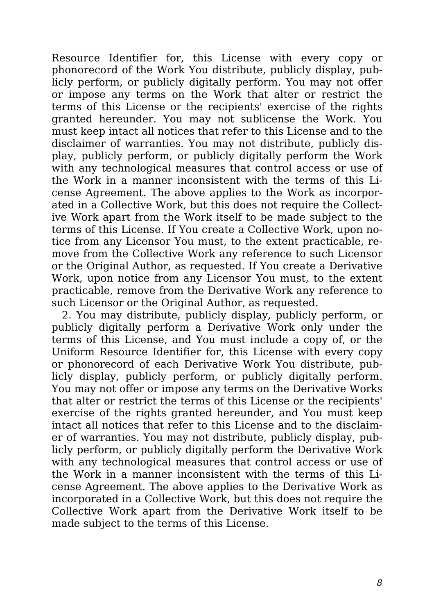Resource Identifier for, this License with every copy or phonorecord of the Work You distribute, publicly display, publicly perform, or publicly digitally perform. You may not offer or impose any terms on the Work that alter or restrict the terms of this License or the recipients' exercise of the rights granted hereunder. You may not sublicense the Work. You must keep intact all notices that refer to this License and to the disclaimer of warranties. You may not distribute, publicly display, publicly perform, or publicly digitally perform the Work with any technological measures that control access or use of the Work in a manner inconsistent with the terms of this License Agreement. The above applies to the Work as incorporated in a Collective Work, but this does not require the Collective Work apart from the Work itself to be made subject to the terms of this License. If You create a Collective Work, upon notice from any Licensor You must, to the extent practicable, remove from the Collective Work any reference to such Licensor or the Original Author, as requested. If You create a Derivative Work, upon notice from any Licensor You must, to the extent practicable, remove from the Derivative Work any reference to such Licensor or the Original Author, as requested.

2. You may distribute, publicly display, publicly perform, or publicly digitally perform a Derivative Work only under the terms of this License, and You must include a copy of, or the Uniform Resource Identifier for, this License with every copy or phonorecord of each Derivative Work You distribute, publicly display, publicly perform, or publicly digitally perform. You may not offer or impose any terms on the Derivative Works that alter or restrict the terms of this License or the recipients' exercise of the rights granted hereunder, and You must keep intact all notices that refer to this License and to the disclaimer of warranties. You may not distribute, publicly display, publicly perform, or publicly digitally perform the Derivative Work with any technological measures that control access or use of the Work in a manner inconsistent with the terms of this License Agreement. The above applies to the Derivative Work as incorporated in a Collective Work, but this does not require the Collective Work apart from the Derivative Work itself to be made subject to the terms of this License.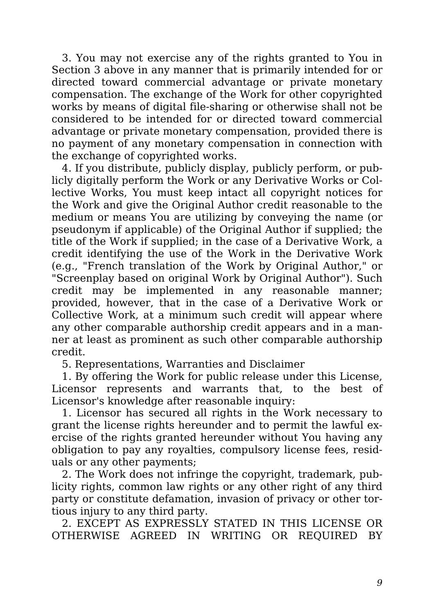3. You may not exercise any of the rights granted to You in Section 3 above in any manner that is primarily intended for or directed toward commercial advantage or private monetary compensation. The exchange of the Work for other copyrighted works by means of digital file-sharing or otherwise shall not be considered to be intended for or directed toward commercial advantage or private monetary compensation, provided there is no payment of any monetary compensation in connection with the exchange of copyrighted works.

4. If you distribute, publicly display, publicly perform, or publicly digitally perform the Work or any Derivative Works or Collective Works, You must keep intact all copyright notices for the Work and give the Original Author credit reasonable to the medium or means You are utilizing by conveying the name (or pseudonym if applicable) of the Original Author if supplied; the title of the Work if supplied; in the case of a Derivative Work, a credit identifying the use of the Work in the Derivative Work (e.g., "French translation of the Work by Original Author," or "Screenplay based on original Work by Original Author"). Such credit may be implemented in any reasonable manner; provided, however, that in the case of a Derivative Work or Collective Work, at a minimum such credit will appear where any other comparable authorship credit appears and in a manner at least as prominent as such other comparable authorship credit.

5. Representations, Warranties and Disclaimer

1. By offering the Work for public release under this License, Licensor represents and warrants that, to the best of Licensor's knowledge after reasonable inquiry:

1. Licensor has secured all rights in the Work necessary to grant the license rights hereunder and to permit the lawful exercise of the rights granted hereunder without You having any obligation to pay any royalties, compulsory license fees, residuals or any other payments;

2. The Work does not infringe the copyright, trademark, publicity rights, common law rights or any other right of any third party or constitute defamation, invasion of privacy or other tortious injury to any third party.

2. EXCEPT AS EXPRESSLY STATED IN THIS LICENSE OR OTHERWISE AGREED IN WRITING OR REQUIRED BY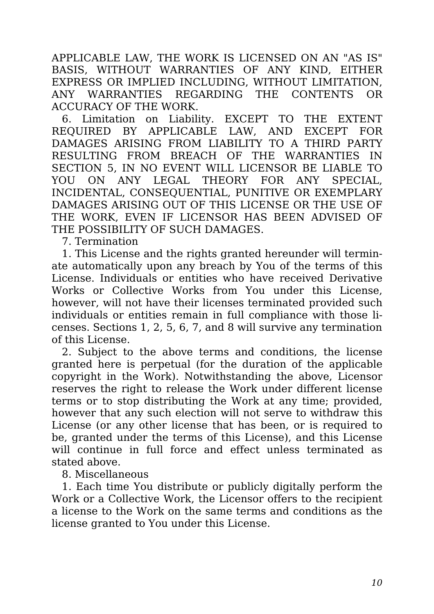APPLICABLE LAW, THE WORK IS LICENSED ON AN "AS IS" BASIS, WITHOUT WARRANTIES OF ANY KIND, EITHER EXPRESS OR IMPLIED INCLUDING, WITHOUT LIMITATION, ANY WARRANTIES REGARDING THE CONTENTS OR ACCURACY OF THE WORK.

6. Limitation on Liability. EXCEPT TO THE EXTENT REQUIRED BY APPLICABLE LAW, AND EXCEPT FOR DAMAGES ARISING FROM LIABILITY TO A THIRD PARTY RESULTING FROM BREACH OF THE WARRANTIES IN SECTION 5, IN NO EVENT WILL LICENSOR BE LIABLE TO YOU ON ANY LEGAL THEORY FOR ANY SPECIAL, INCIDENTAL, CONSEQUENTIAL, PUNITIVE OR EXEMPLARY DAMAGES ARISING OUT OF THIS LICENSE OR THE USE OF THE WORK, EVEN IF LICENSOR HAS BEEN ADVISED OF THE POSSIBILITY OF SUCH DAMAGES.

7. Termination

1. This License and the rights granted hereunder will terminate automatically upon any breach by You of the terms of this License. Individuals or entities who have received Derivative Works or Collective Works from You under this License, however, will not have their licenses terminated provided such individuals or entities remain in full compliance with those licenses. Sections 1, 2, 5, 6, 7, and 8 will survive any termination of this License.

2. Subject to the above terms and conditions, the license granted here is perpetual (for the duration of the applicable copyright in the Work). Notwithstanding the above, Licensor reserves the right to release the Work under different license terms or to stop distributing the Work at any time; provided, however that any such election will not serve to withdraw this License (or any other license that has been, or is required to be, granted under the terms of this License), and this License will continue in full force and effect unless terminated as stated above.

8. Miscellaneous

1. Each time You distribute or publicly digitally perform the Work or a Collective Work, the Licensor offers to the recipient a license to the Work on the same terms and conditions as the license granted to You under this License.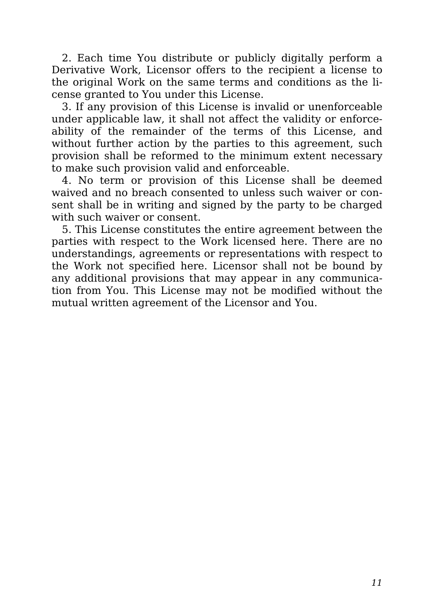2. Each time You distribute or publicly digitally perform a Derivative Work, Licensor offers to the recipient a license to the original Work on the same terms and conditions as the license granted to You under this License.

3. If any provision of this License is invalid or unenforceable under applicable law, it shall not affect the validity or enforceability of the remainder of the terms of this License, and without further action by the parties to this agreement, such provision shall be reformed to the minimum extent necessary to make such provision valid and enforceable.

4. No term or provision of this License shall be deemed waived and no breach consented to unless such waiver or consent shall be in writing and signed by the party to be charged with such waiver or consent.

5. This License constitutes the entire agreement between the parties with respect to the Work licensed here. There are no understandings, agreements or representations with respect to the Work not specified here. Licensor shall not be bound by any additional provisions that may appear in any communication from You. This License may not be modified without the mutual written agreement of the Licensor and You.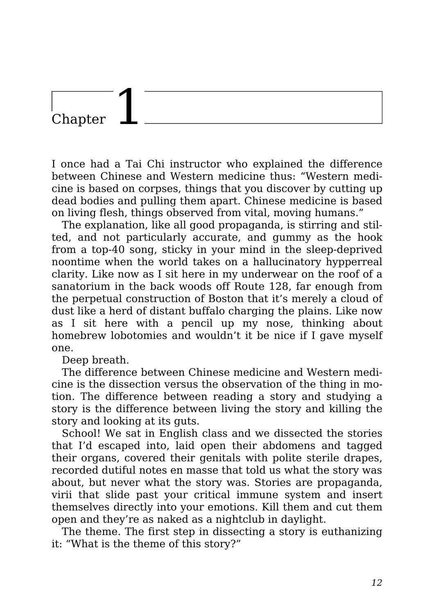### Chapter

I once had a Tai Chi instructor who explained the difference between Chinese and Western medicine thus: "Western medicine is based on corpses, things that you discover by cutting up dead bodies and pulling them apart. Chinese medicine is based on living flesh, things observed from vital, moving humans."

The explanation, like all good propaganda, is stirring and stilted, and not particularly accurate, and gummy as the hook from a top-40 song, sticky in your mind in the sleep-deprived noontime when the world takes on a hallucinatory hypperreal clarity. Like now as I sit here in my underwear on the roof of a sanatorium in the back woods off Route 128, far enough from the perpetual construction of Boston that it's merely a cloud of dust like a herd of distant buffalo charging the plains. Like now as I sit here with a pencil up my nose, thinking about homebrew lobotomies and wouldn't it be nice if I gave myself one.

Deep breath.

The difference between Chinese medicine and Western medicine is the dissection versus the observation of the thing in motion. The difference between reading a story and studying a story is the difference between living the story and killing the story and looking at its guts.

School! We sat in English class and we dissected the stories that I'd escaped into, laid open their abdomens and tagged their organs, covered their genitals with polite sterile drapes, recorded dutiful notes en masse that told us what the story was about, but never what the story was. Stories are propaganda, virii that slide past your critical immune system and insert themselves directly into your emotions. Kill them and cut them open and they're as naked as a nightclub in daylight.

The theme. The first step in dissecting a story is euthanizing it: "What is the theme of this story?"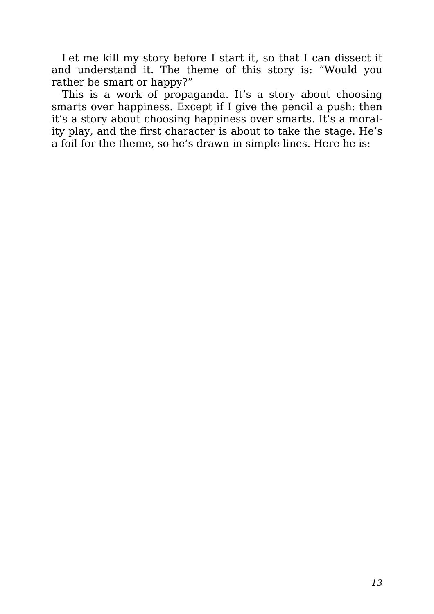Let me kill my story before I start it, so that I can dissect it and understand it. The theme of this story is: "Would you rather be smart or happy?"

This is a work of propaganda. It's a story about choosing smarts over happiness. Except if I give the pencil a push: then it's a story about choosing happiness over smarts. It's a morality play, and the first character is about to take the stage. He's a foil for the theme, so he's drawn in simple lines. Here he is: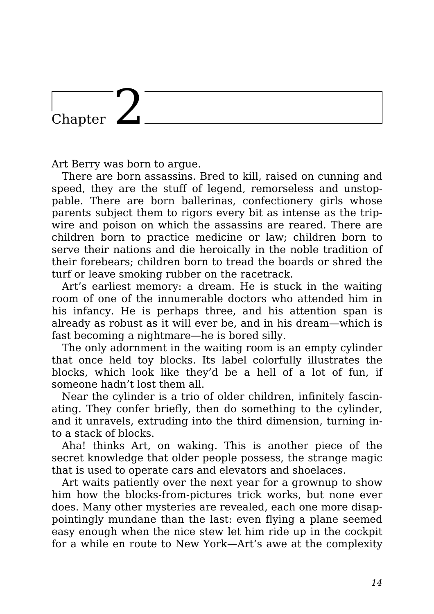# Chapter  $\sum$

Art Berry was born to argue.

There are born assassins. Bred to kill, raised on cunning and speed, they are the stuff of legend, remorseless and unstoppable. There are born ballerinas, confectionery girls whose parents subject them to rigors every bit as intense as the tripwire and poison on which the assassins are reared. There are children born to practice medicine or law; children born to serve their nations and die heroically in the noble tradition of their forebears; children born to tread the boards or shred the turf or leave smoking rubber on the racetrack.

Art's earliest memory: a dream. He is stuck in the waiting room of one of the innumerable doctors who attended him in his infancy. He is perhaps three, and his attention span is already as robust as it will ever be, and in his dream—which is fast becoming a nightmare—he is bored silly.

The only adornment in the waiting room is an empty cylinder that once held toy blocks. Its label colorfully illustrates the blocks, which look like they'd be a hell of a lot of fun, if someone hadn't lost them all.

Near the cylinder is a trio of older children, infinitely fascinating. They confer briefly, then do something to the cylinder, and it unravels, extruding into the third dimension, turning into a stack of blocks.

Aha! thinks Art, on waking. This is another piece of the secret knowledge that older people possess, the strange magic that is used to operate cars and elevators and shoelaces.

Art waits patiently over the next year for a grownup to show him how the blocks-from-pictures trick works, but none ever does. Many other mysteries are revealed, each one more disappointingly mundane than the last: even flying a plane seemed easy enough when the nice stew let him ride up in the cockpit for a while en route to New York—Art's awe at the complexity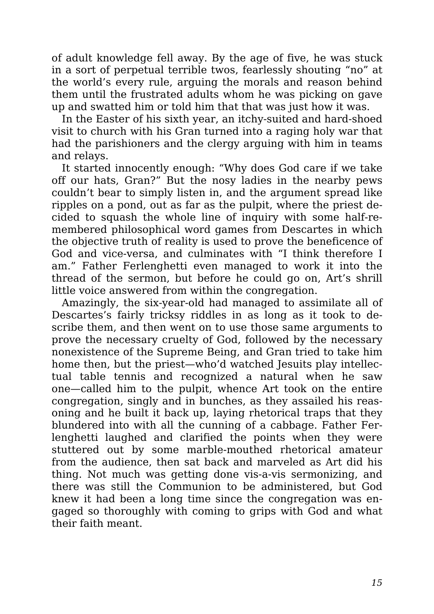of adult knowledge fell away. By the age of five, he was stuck in a sort of perpetual terrible twos, fearlessly shouting "no" at the world's every rule, arguing the morals and reason behind them until the frustrated adults whom he was picking on gave up and swatted him or told him that that was just how it was.

In the Easter of his sixth year, an itchy-suited and hard-shoed visit to church with his Gran turned into a raging holy war that had the parishioners and the clergy arguing with him in teams and relays.

It started innocently enough: "Why does God care if we take off our hats, Gran?" But the nosy ladies in the nearby pews couldn't bear to simply listen in, and the argument spread like ripples on a pond, out as far as the pulpit, where the priest decided to squash the whole line of inquiry with some half-remembered philosophical word games from Descartes in which the objective truth of reality is used to prove the beneficence of God and vice-versa, and culminates with "I think therefore I am." Father Ferlenghetti even managed to work it into the thread of the sermon, but before he could go on, Art's shrill little voice answered from within the congregation.

Amazingly, the six-year-old had managed to assimilate all of Descartes's fairly tricksy riddles in as long as it took to describe them, and then went on to use those same arguments to prove the necessary cruelty of God, followed by the necessary nonexistence of the Supreme Being, and Gran tried to take him home then, but the priest—who'd watched Jesuits play intellectual table tennis and recognized a natural when he saw one—called him to the pulpit, whence Art took on the entire congregation, singly and in bunches, as they assailed his reasoning and he built it back up, laying rhetorical traps that they blundered into with all the cunning of a cabbage. Father Ferlenghetti laughed and clarified the points when they were stuttered out by some marble-mouthed rhetorical amateur from the audience, then sat back and marveled as Art did his thing. Not much was getting done vis-a-vis sermonizing, and there was still the Communion to be administered, but God knew it had been a long time since the congregation was engaged so thoroughly with coming to grips with God and what their faith meant.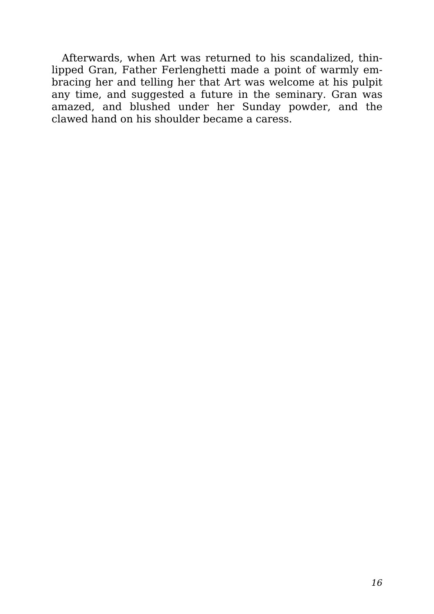Afterwards, when Art was returned to his scandalized, thinlipped Gran, Father Ferlenghetti made a point of warmly embracing her and telling her that Art was welcome at his pulpit any time, and suggested a future in the seminary. Gran was amazed, and blushed under her Sunday powder, and the clawed hand on his shoulder became a caress.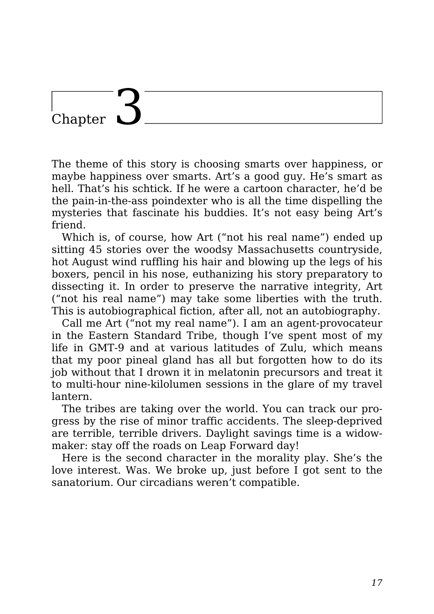### Chapter 1

The theme of this story is choosing smarts over happiness, or maybe happiness over smarts. Art's a good guy. He's smart as hell. That's his schtick. If he were a cartoon character, he'd be the pain-in-the-ass poindexter who is all the time dispelling the mysteries that fascinate his buddies. It's not easy being Art's friend.

Which is, of course, how Art ("not his real name") ended up sitting 45 stories over the woodsy Massachusetts countryside, hot August wind ruffling his hair and blowing up the legs of his boxers, pencil in his nose, euthanizing his story preparatory to dissecting it. In order to preserve the narrative integrity, Art ("not his real name") may take some liberties with the truth. This is autobiographical fiction, after all, not an autobiography.

Call me Art ("not my real name"). I am an agent-provocateur in the Eastern Standard Tribe, though I've spent most of my life in GMT-9 and at various latitudes of Zulu, which means that my poor pineal gland has all but forgotten how to do its job without that I drown it in melatonin precursors and treat it to multi-hour nine-kilolumen sessions in the glare of my travel lantern.

The tribes are taking over the world. You can track our progress by the rise of minor traffic accidents. The sleep-deprived are terrible, terrible drivers. Daylight savings time is a widowmaker: stay off the roads on Leap Forward day!

Here is the second character in the morality play. She's the love interest. Was. We broke up, just before I got sent to the sanatorium. Our circadians weren't compatible.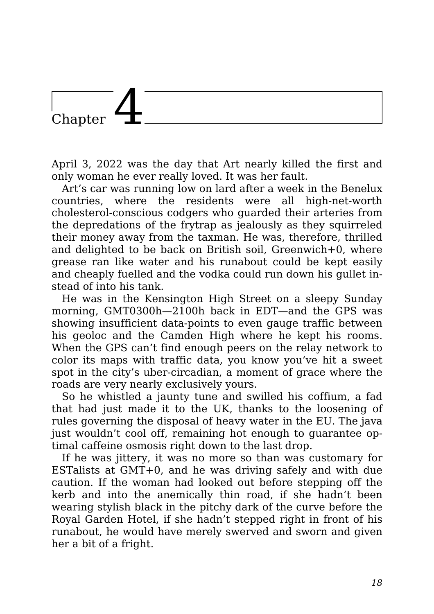### Chapter

April 3, 2022 was the day that Art nearly killed the first and only woman he ever really loved. It was her fault.

Art's car was running low on lard after a week in the Benelux countries, where the residents were all high-net-worth cholesterol-conscious codgers who guarded their arteries from the depredations of the frytrap as jealously as they squirreled their money away from the taxman. He was, therefore, thrilled and delighted to be back on British soil, Greenwich+0, where grease ran like water and his runabout could be kept easily and cheaply fuelled and the vodka could run down his gullet instead of into his tank.

He was in the Kensington High Street on a sleepy Sunday morning, GMT0300h—2100h back in EDT—and the GPS was showing insufficient data-points to even gauge traffic between his geoloc and the Camden High where he kept his rooms. When the GPS can't find enough peers on the relay network to color its maps with traffic data, you know you've hit a sweet spot in the city's uber-circadian, a moment of grace where the roads are very nearly exclusively yours.

So he whistled a jaunty tune and swilled his coffium, a fad that had just made it to the UK, thanks to the loosening of rules governing the disposal of heavy water in the EU. The java just wouldn't cool off, remaining hot enough to guarantee optimal caffeine osmosis right down to the last drop.

If he was jittery, it was no more so than was customary for ESTalists at GMT+0, and he was driving safely and with due caution. If the woman had looked out before stepping off the kerb and into the anemically thin road, if she hadn't been wearing stylish black in the pitchy dark of the curve before the Royal Garden Hotel, if she hadn't stepped right in front of his runabout, he would have merely swerved and sworn and given her a bit of a fright.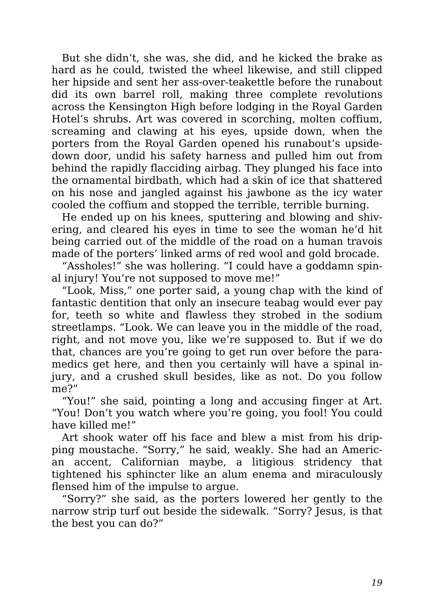But she didn't, she was, she did, and he kicked the brake as hard as he could, twisted the wheel likewise, and still clipped her hipside and sent her ass-over-teakettle before the runabout did its own barrel roll, making three complete revolutions across the Kensington High before lodging in the Royal Garden Hotel's shrubs. Art was covered in scorching, molten coffium, screaming and clawing at his eyes, upside down, when the porters from the Royal Garden opened his runabout's upsidedown door, undid his safety harness and pulled him out from behind the rapidly flacciding airbag. They plunged his face into the ornamental birdbath, which had a skin of ice that shattered on his nose and jangled against his jawbone as the icy water cooled the coffium and stopped the terrible, terrible burning.

He ended up on his knees, sputtering and blowing and shivering, and cleared his eyes in time to see the woman he'd hit being carried out of the middle of the road on a human travois made of the porters' linked arms of red wool and gold brocade.

"Assholes!" she was hollering. "I could have a goddamn spinal injury! You're not supposed to move me!"

"Look, Miss," one porter said, a young chap with the kind of fantastic dentition that only an insecure teabag would ever pay for, teeth so white and flawless they strobed in the sodium streetlamps. "Look. We can leave you in the middle of the road, right, and not move you, like we're supposed to. But if we do that, chances are you're going to get run over before the paramedics get here, and then you certainly will have a spinal injury, and a crushed skull besides, like as not. Do you follow me?"

"You!" she said, pointing a long and accusing finger at Art. "You! Don't you watch where you're going, you fool! You could have killed me!"

Art shook water off his face and blew a mist from his dripping moustache. "Sorry," he said, weakly. She had an American accent, Californian maybe, a litigious stridency that tightened his sphincter like an alum enema and miraculously flensed him of the impulse to argue.

"Sorry?" she said, as the porters lowered her gently to the narrow strip turf out beside the sidewalk. "Sorry? Jesus, is that the best you can do?"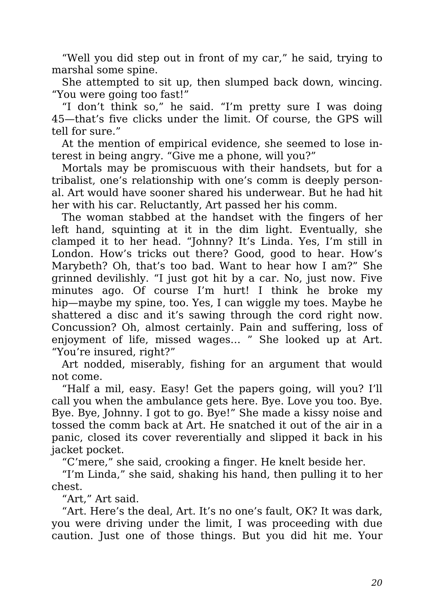"Well you did step out in front of my car," he said, trying to marshal some spine.

She attempted to sit up, then slumped back down, wincing. "You were going too fast!"

"I don't think so," he said. "I'm pretty sure I was doing 45—that's five clicks under the limit. Of course, the GPS will tell for sure."

At the mention of empirical evidence, she seemed to lose interest in being angry. "Give me a phone, will you?"

Mortals may be promiscuous with their handsets, but for a tribalist, one's relationship with one's comm is deeply personal. Art would have sooner shared his underwear. But he had hit her with his car. Reluctantly, Art passed her his comm.

The woman stabbed at the handset with the fingers of her left hand, squinting at it in the dim light. Eventually, she clamped it to her head. "Johnny? It's Linda. Yes, I'm still in London. How's tricks out there? Good, good to hear. How's Marybeth? Oh, that's too bad. Want to hear how I am?" She grinned devilishly. "I just got hit by a car. No, just now. Five minutes ago. Of course I'm hurt! I think he broke my hip—maybe my spine, too. Yes, I can wiggle my toes. Maybe he shattered a disc and it's sawing through the cord right now. Concussion? Oh, almost certainly. Pain and suffering, loss of enjoyment of life, missed wages… " She looked up at Art. "You're insured, right?"

Art nodded, miserably, fishing for an argument that would not come.

"Half a mil, easy. Easy! Get the papers going, will you? I'll call you when the ambulance gets here. Bye. Love you too. Bye. Bye. Bye, Johnny. I got to go. Bye!" She made a kissy noise and tossed the comm back at Art. He snatched it out of the air in a panic, closed its cover reverentially and slipped it back in his jacket pocket.

"C'mere," she said, crooking a finger. He knelt beside her.

"I'm Linda," she said, shaking his hand, then pulling it to her chest.

"Art," Art said.

"Art. Here's the deal, Art. It's no one's fault, OK? It was dark, you were driving under the limit, I was proceeding with due caution. Just one of those things. But you did hit me. Your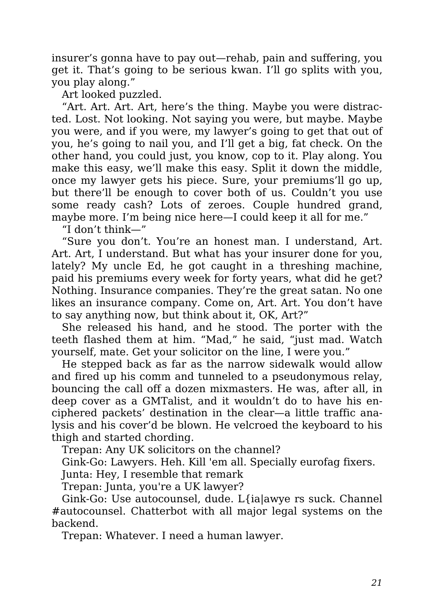insurer's gonna have to pay out—rehab, pain and suffering, you get it. That's going to be serious kwan. I'll go splits with you, you play along."

Art looked puzzled.

"Art. Art. Art. Art, here's the thing. Maybe you were distracted. Lost. Not looking. Not saying you were, but maybe. Maybe you were, and if you were, my lawyer's going to get that out of you, he's going to nail you, and I'll get a big, fat check. On the other hand, you could just, you know, cop to it. Play along. You make this easy, we'll make this easy. Split it down the middle, once my lawyer gets his piece. Sure, your premiums'll go up, but there'll be enough to cover both of us. Couldn't you use some ready cash? Lots of zeroes. Couple hundred grand, maybe more. I'm being nice here—I could keep it all for me."

"I don't think—"

"Sure you don't. You're an honest man. I understand, Art. Art. Art, I understand. But what has your insurer done for you, lately? My uncle Ed, he got caught in a threshing machine, paid his premiums every week for forty years, what did he get? Nothing. Insurance companies. They're the great satan. No one likes an insurance company. Come on, Art. Art. You don't have to say anything now, but think about it, OK, Art?"

She released his hand, and he stood. The porter with the teeth flashed them at him. "Mad," he said, "just mad. Watch yourself, mate. Get your solicitor on the line, I were you."

He stepped back as far as the narrow sidewalk would allow and fired up his comm and tunneled to a pseudonymous relay, bouncing the call off a dozen mixmasters. He was, after all, in deep cover as a GMTalist, and it wouldn't do to have his enciphered packets' destination in the clear—a little traffic analysis and his cover'd be blown. He velcroed the keyboard to his thigh and started chording.

Trepan: Any UK solicitors on the channel?

Gink-Go: Lawyers. Heh. Kill 'em all. Specially eurofag fixers.

Junta: Hey, I resemble that remark

Trepan: Junta, you're a UK lawyer?

Gink-Go: Use autocounsel, dude. L{ia|awye rs suck. Channel #autocounsel. Chatterbot with all major legal systems on the backend.

Trepan: Whatever. I need a human lawyer.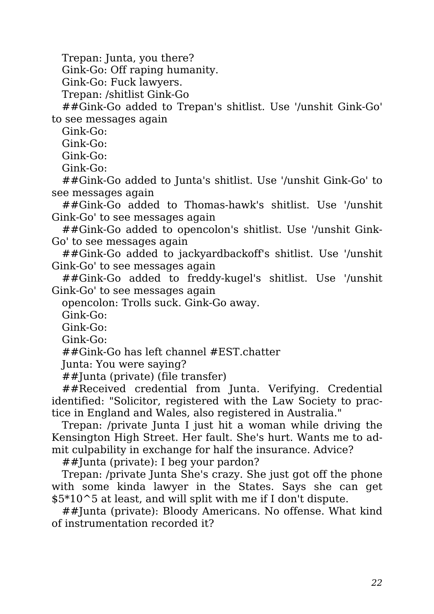Trepan: Junta, you there?

Gink-Go: Off raping humanity.

Gink-Go: Fuck lawyers.

Trepan: /shitlist Gink-Go

##Gink-Go added to Trepan's shitlist. Use '/unshit Gink-Go' to see messages again

Gink-Go:

Gink-Go:

Gink-Go:

Gink-Go:

##Gink-Go added to Junta's shitlist. Use '/unshit Gink-Go' to see messages again

##Gink-Go added to Thomas-hawk's shitlist. Use '/unshit Gink-Go' to see messages again

##Gink-Go added to opencolon's shitlist. Use '/unshit Gink-Go' to see messages again

##Gink-Go added to jackyardbackoff's shitlist. Use '/unshit Gink-Go' to see messages again

##Gink-Go added to freddy-kugel's shitlist. Use '/unshit Gink-Go' to see messages again

opencolon: Trolls suck. Gink-Go away.

Gink-Go:

Gink-Go:

Gink-Go:

##Gink-Go has left channel #EST.chatter

Junta: You were saying?

##Junta (private) (file transfer)

##Received credential from Junta. Verifying. Credential identified: "Solicitor, registered with the Law Society to practice in England and Wales, also registered in Australia."

Trepan: /private Junta I just hit a woman while driving the Kensington High Street. Her fault. She's hurt. Wants me to admit culpability in exchange for half the insurance. Advice?

##Junta (private): I beg your pardon?

Trepan: /private Junta She's crazy. She just got off the phone with some kinda lawyer in the States. Says she can get  $$5*10^5$  at least, and will split with me if I don't dispute.

##Junta (private): Bloody Americans. No offense. What kind of instrumentation recorded it?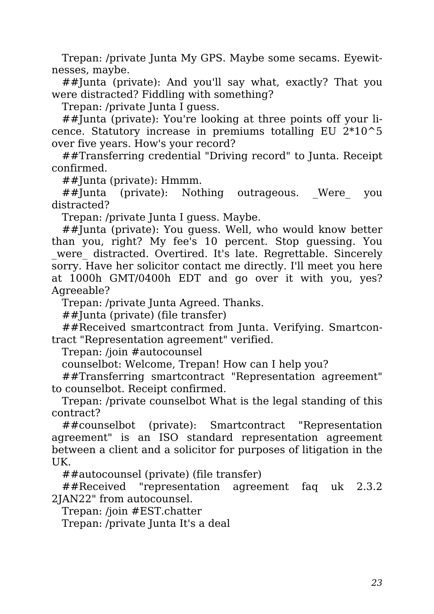Trepan: /private Junta My GPS. Maybe some secams. Eyewitnesses, maybe.

##Junta (private): And you'll say what, exactly? That you were distracted? Fiddling with something?

Trepan: /private Junta I guess.

##Junta (private): You're looking at three points off your licence. Statutory increase in premiums totalling EU 2\*10^5 over five years. How's your record?

##Transferring credential "Driving record" to Junta. Receipt confirmed.

##Junta (private): Hmmm.

##Junta (private): Nothing outrageous. Were you distracted?

Trepan: /private Junta I guess. Maybe.

##Junta (private): You guess. Well, who would know better than you, right? My fee's 10 percent. Stop guessing. You were distracted. Overtired. It's late. Regrettable. Sincerely sorry. Have her solicitor contact me directly. I'll meet you here at 1000h GMT/0400h EDT and go over it with you, yes? Agreeable?

Trepan: /private Junta Agreed. Thanks.

##Junta (private) (file transfer)

##Received smartcontract from Junta. Verifying. Smartcontract "Representation agreement" verified.

Trepan: /join #autocounsel

counselbot: Welcome, Trepan! How can I help you?

##Transferring smartcontract "Representation agreement" to counselbot. Receipt confirmed.

Trepan: /private counselbot What is the legal standing of this contract?

##counselbot (private): Smartcontract "Representation agreement" is an ISO standard representation agreement between a client and a solicitor for purposes of litigation in the UK.

##autocounsel (private) (file transfer)

##Received "representation agreement faq uk 2.3.2 2JAN22" from autocounsel.

Trepan: /join #EST.chatter

Trepan: /private Junta It's a deal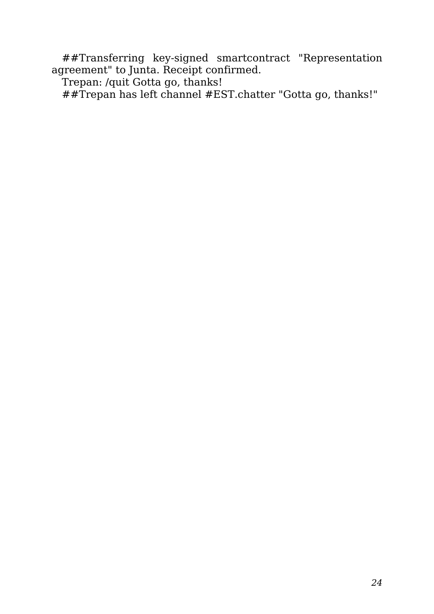##Transferring key-signed smartcontract "Representation agreement" to Junta. Receipt confirmed.

Trepan: /quit Gotta go, thanks!

##Trepan has left channel #EST.chatter "Gotta go, thanks!"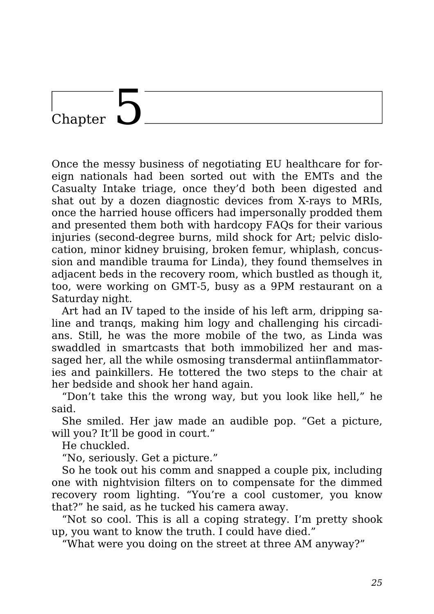### Chapter

Once the messy business of negotiating EU healthcare for foreign nationals had been sorted out with the EMTs and the Casualty Intake triage, once they'd both been digested and shat out by a dozen diagnostic devices from X-rays to MRIs, once the harried house officers had impersonally prodded them and presented them both with hardcopy FAQs for their various injuries (second-degree burns, mild shock for Art; pelvic dislocation, minor kidney bruising, broken femur, whiplash, concussion and mandible trauma for Linda), they found themselves in adjacent beds in the recovery room, which bustled as though it, too, were working on GMT-5, busy as a 9PM restaurant on a Saturday night.

Art had an IV taped to the inside of his left arm, dripping saline and tranqs, making him logy and challenging his circadians. Still, he was the more mobile of the two, as Linda was swaddled in smartcasts that both immobilized her and massaged her, all the while osmosing transdermal antiinflammatories and painkillers. He tottered the two steps to the chair at her bedside and shook her hand again.

"Don't take this the wrong way, but you look like hell," he said.

She smiled. Her jaw made an audible pop. "Get a picture, will you? It'll be good in court."

He chuckled.

"No, seriously. Get a picture."

So he took out his comm and snapped a couple pix, including one with nightvision filters on to compensate for the dimmed recovery room lighting. "You're a cool customer, you know that?" he said, as he tucked his camera away.

"Not so cool. This is all a coping strategy. I'm pretty shook up, you want to know the truth. I could have died."

"What were you doing on the street at three AM anyway?"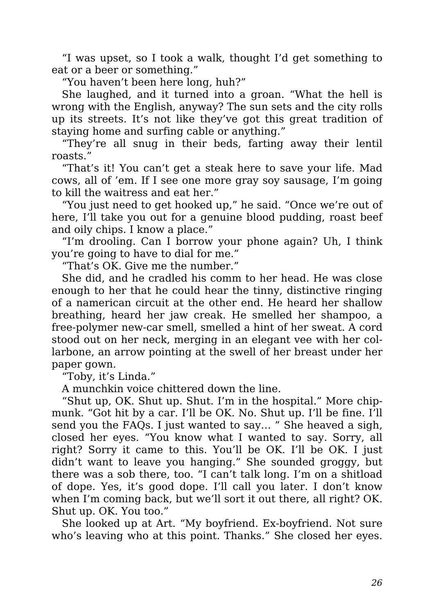"I was upset, so I took a walk, thought I'd get something to eat or a beer or something."

"You haven't been here long, huh?"

She laughed, and it turned into a groan. "What the hell is wrong with the English, anyway? The sun sets and the city rolls up its streets. It's not like they've got this great tradition of staying home and surfing cable or anything."

"They're all snug in their beds, farting away their lentil roasts."

"That's it! You can't get a steak here to save your life. Mad cows, all of 'em. If I see one more gray soy sausage, I'm going to kill the waitress and eat her."

"You just need to get hooked up," he said. "Once we're out of here, I'll take you out for a genuine blood pudding, roast beef and oily chips. I know a place."

"I'm drooling. Can I borrow your phone again? Uh, I think you're going to have to dial for me."

"That's OK. Give me the number."

She did, and he cradled his comm to her head. He was close enough to her that he could hear the tinny, distinctive ringing of a namerican circuit at the other end. He heard her shallow breathing, heard her jaw creak. He smelled her shampoo, a free-polymer new-car smell, smelled a hint of her sweat. A cord stood out on her neck, merging in an elegant vee with her collarbone, an arrow pointing at the swell of her breast under her paper gown.

"Toby, it's Linda."

A munchkin voice chittered down the line.

"Shut up, OK. Shut up. Shut. I'm in the hospital." More chipmunk. "Got hit by a car. I'll be OK. No. Shut up. I'll be fine. I'll send you the FAQs. I just wanted to say… " She heaved a sigh, closed her eyes. "You know what I wanted to say. Sorry, all right? Sorry it came to this. You'll be OK. I'll be OK. I just didn't want to leave you hanging." She sounded groggy, but there was a sob there, too. "I can't talk long. I'm on a shitload of dope. Yes, it's good dope. I'll call you later. I don't know when I'm coming back, but we'll sort it out there, all right? OK. Shut up. OK. You too."

She looked up at Art. "My boyfriend. Ex-boyfriend. Not sure who's leaving who at this point. Thanks." She closed her eyes.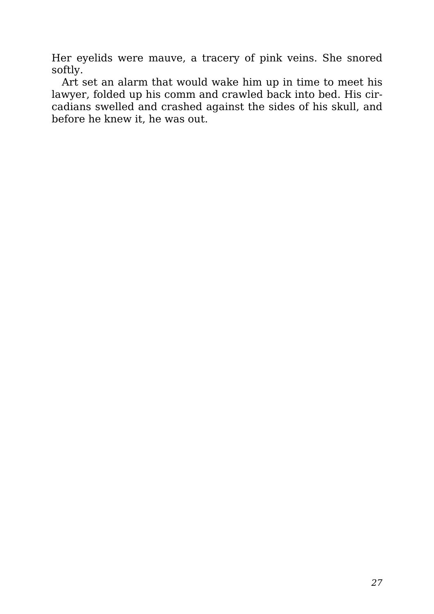Her eyelids were mauve, a tracery of pink veins. She snored softly.

Art set an alarm that would wake him up in time to meet his lawyer, folded up his comm and crawled back into bed. His circadians swelled and crashed against the sides of his skull, and before he knew it, he was out.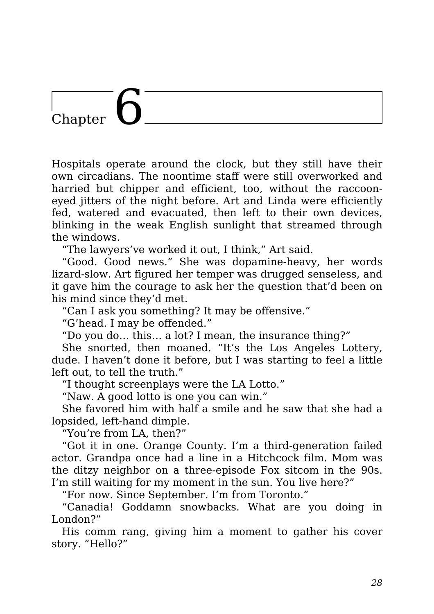# **Chapter**

Hospitals operate around the clock, but they still have their own circadians. The noontime staff were still overworked and harried but chipper and efficient, too, without the raccooneyed jitters of the night before. Art and Linda were efficiently fed, watered and evacuated, then left to their own devices, blinking in the weak English sunlight that streamed through the windows.

"The lawyers've worked it out, I think," Art said.

"Good. Good news." She was dopamine-heavy, her words lizard-slow. Art figured her temper was drugged senseless, and it gave him the courage to ask her the question that'd been on his mind since they'd met.

"Can I ask you something? It may be offensive."

"G'head. I may be offended."

"Do you do… this… a lot? I mean, the insurance thing?"

She snorted, then moaned. "It's the Los Angeles Lottery, dude. I haven't done it before, but I was starting to feel a little left out, to tell the truth."

"I thought screenplays were the LA Lotto."

"Naw. A good lotto is one you can win."

She favored him with half a smile and he saw that she had a lopsided, left-hand dimple.

"You're from LA, then?"

"Got it in one. Orange County. I'm a third-generation failed actor. Grandpa once had a line in a Hitchcock film. Mom was the ditzy neighbor on a three-episode Fox sitcom in the 90s. I'm still waiting for my moment in the sun. You live here?"

"For now. Since September. I'm from Toronto."

"Canadia! Goddamn snowbacks. What are you doing in London?"

His comm rang, giving him a moment to gather his cover story. "Hello?"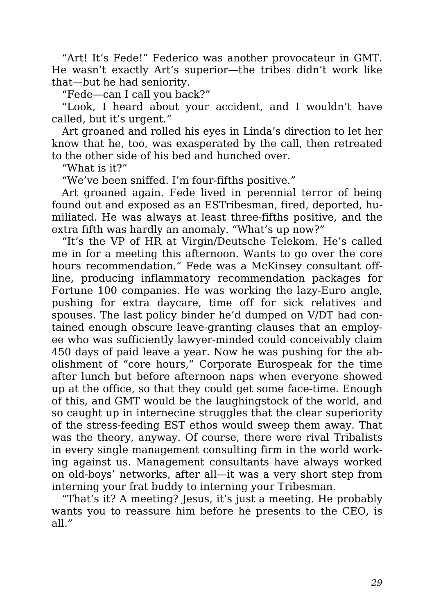"Art! It's Fede!" Federico was another provocateur in GMT. He wasn't exactly Art's superior—the tribes didn't work like that—but he had seniority.

"Fede—can I call you back?"

"Look, I heard about your accident, and I wouldn't have called, but it's urgent."

Art groaned and rolled his eyes in Linda's direction to let her know that he, too, was exasperated by the call, then retreated to the other side of his bed and hunched over.

"What is it?"

"We've been sniffed. I'm four-fifths positive."

Art groaned again. Fede lived in perennial terror of being found out and exposed as an ESTribesman, fired, deported, humiliated. He was always at least three-fifths positive, and the extra fifth was hardly an anomaly. "What's up now?"

"It's the VP of HR at Virgin/Deutsche Telekom. He's called me in for a meeting this afternoon. Wants to go over the core hours recommendation." Fede was a McKinsey consultant offline, producing inflammatory recommendation packages for Fortune 100 companies. He was working the lazy-Euro angle, pushing for extra daycare, time off for sick relatives and spouses. The last policy binder he'd dumped on V/DT had contained enough obscure leave-granting clauses that an employee who was sufficiently lawyer-minded could conceivably claim 450 days of paid leave a year. Now he was pushing for the abolishment of "core hours," Corporate Eurospeak for the time after lunch but before afternoon naps when everyone showed up at the office, so that they could get some face-time. Enough of this, and GMT would be the laughingstock of the world, and so caught up in internecine struggles that the clear superiority of the stress-feeding EST ethos would sweep them away. That was the theory, anyway. Of course, there were rival Tribalists in every single management consulting firm in the world working against us. Management consultants have always worked on old-boys' networks, after all—it was a very short step from interning your frat buddy to interning your Tribesman.

"That's it? A meeting? Jesus, it's just a meeting. He probably wants you to reassure him before he presents to the CEO, is all."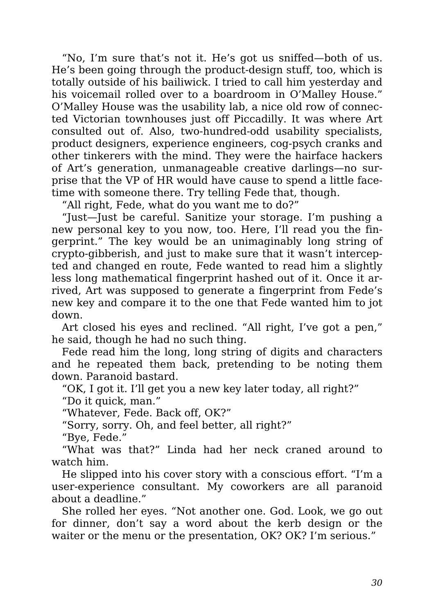"No, I'm sure that's not it. He's got us sniffed—both of us. He's been going through the product-design stuff, too, which is totally outside of his bailiwick. I tried to call him yesterday and his voicemail rolled over to a boardroom in O'Malley House." O'Malley House was the usability lab, a nice old row of connected Victorian townhouses just off Piccadilly. It was where Art consulted out of. Also, two-hundred-odd usability specialists, product designers, experience engineers, cog-psych cranks and other tinkerers with the mind. They were the hairface hackers of Art's generation, unmanageable creative darlings—no surprise that the VP of HR would have cause to spend a little facetime with someone there. Try telling Fede that, though.

"All right, Fede, what do you want me to do?"

"Just—Just be careful. Sanitize your storage. I'm pushing a new personal key to you now, too. Here, I'll read you the fingerprint." The key would be an unimaginably long string of crypto-gibberish, and just to make sure that it wasn't intercepted and changed en route, Fede wanted to read him a slightly less long mathematical fingerprint hashed out of it. Once it arrived, Art was supposed to generate a fingerprint from Fede's new key and compare it to the one that Fede wanted him to jot down.

Art closed his eyes and reclined. "All right, I've got a pen," he said, though he had no such thing.

Fede read him the long, long string of digits and characters and he repeated them back, pretending to be noting them down. Paranoid bastard.

"OK, I got it. I'll get you a new key later today, all right?"

"Do it quick, man."

"Whatever, Fede. Back off, OK?"

"Sorry, sorry. Oh, and feel better, all right?"

"Bye, Fede."

"What was that?" Linda had her neck craned around to watch him.

He slipped into his cover story with a conscious effort. "I'm a user-experience consultant. My coworkers are all paranoid about a deadline."

She rolled her eyes. "Not another one. God. Look, we go out for dinner, don't say a word about the kerb design or the waiter or the menu or the presentation, OK? OK? I'm serious."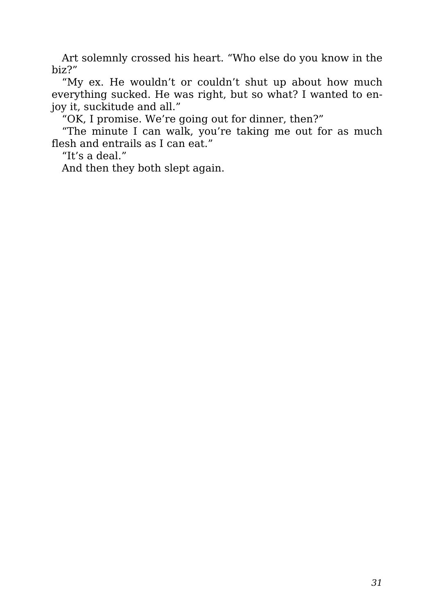Art solemnly crossed his heart. "Who else do you know in the biz?"

"My ex. He wouldn't or couldn't shut up about how much everything sucked. He was right, but so what? I wanted to enjoy it, suckitude and all."

"OK, I promise. We're going out for dinner, then?"

"The minute I can walk, you're taking me out for as much flesh and entrails as I can eat."

"It's a deal."

And then they both slept again.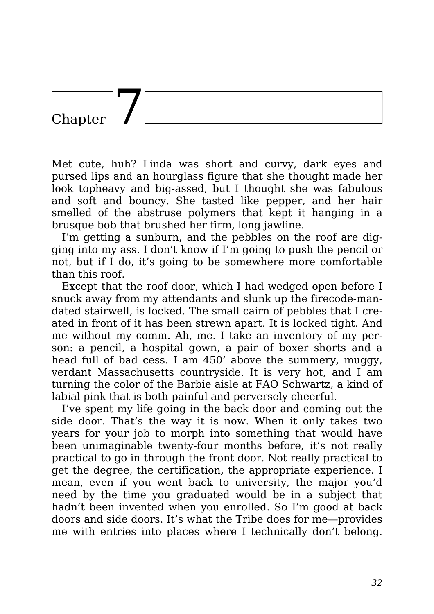#### Chapter

Met cute, huh? Linda was short and curvy, dark eyes and pursed lips and an hourglass figure that she thought made her look topheavy and big-assed, but I thought she was fabulous and soft and bouncy. She tasted like pepper, and her hair smelled of the abstruse polymers that kept it hanging in a brusque bob that brushed her firm, long jawline.

I'm getting a sunburn, and the pebbles on the roof are digging into my ass. I don't know if I'm going to push the pencil or not, but if I do, it's going to be somewhere more comfortable than this roof.

Except that the roof door, which I had wedged open before I snuck away from my attendants and slunk up the firecode-mandated stairwell, is locked. The small cairn of pebbles that I created in front of it has been strewn apart. It is locked tight. And me without my comm. Ah, me. I take an inventory of my person: a pencil, a hospital gown, a pair of boxer shorts and a head full of bad cess. I am 450' above the summery, muggy, verdant Massachusetts countryside. It is very hot, and I am turning the color of the Barbie aisle at FAO Schwartz, a kind of labial pink that is both painful and perversely cheerful.

I've spent my life going in the back door and coming out the side door. That's the way it is now. When it only takes two years for your job to morph into something that would have been unimaginable twenty-four months before, it's not really practical to go in through the front door. Not really practical to get the degree, the certification, the appropriate experience. I mean, even if you went back to university, the major you'd need by the time you graduated would be in a subject that hadn't been invented when you enrolled. So I'm good at back doors and side doors. It's what the Tribe does for me—provides me with entries into places where I technically don't belong.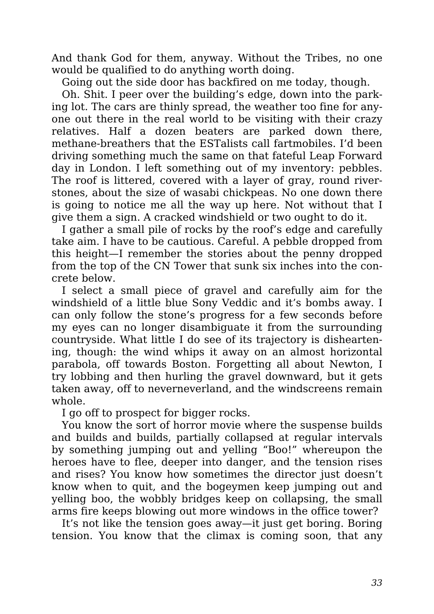And thank God for them, anyway. Without the Tribes, no one would be qualified to do anything worth doing.

Going out the side door has backfired on me today, though.

Oh. Shit. I peer over the building's edge, down into the parking lot. The cars are thinly spread, the weather too fine for anyone out there in the real world to be visiting with their crazy relatives. Half a dozen beaters are parked down there, methane-breathers that the ESTalists call fartmobiles. I'd been driving something much the same on that fateful Leap Forward day in London. I left something out of my inventory: pebbles. The roof is littered, covered with a layer of gray, round riverstones, about the size of wasabi chickpeas. No one down there is going to notice me all the way up here. Not without that I give them a sign. A cracked windshield or two ought to do it.

I gather a small pile of rocks by the roof's edge and carefully take aim. I have to be cautious. Careful. A pebble dropped from this height—I remember the stories about the penny dropped from the top of the CN Tower that sunk six inches into the concrete below.

I select a small piece of gravel and carefully aim for the windshield of a little blue Sony Veddic and it's bombs away. I can only follow the stone's progress for a few seconds before my eyes can no longer disambiguate it from the surrounding countryside. What little I do see of its trajectory is disheartening, though: the wind whips it away on an almost horizontal parabola, off towards Boston. Forgetting all about Newton, I try lobbing and then hurling the gravel downward, but it gets taken away, off to neverneverland, and the windscreens remain whole.

I go off to prospect for bigger rocks.

You know the sort of horror movie where the suspense builds and builds and builds, partially collapsed at regular intervals by something jumping out and yelling "Boo!" whereupon the heroes have to flee, deeper into danger, and the tension rises and rises? You know how sometimes the director just doesn't know when to quit, and the bogeymen keep jumping out and yelling boo, the wobbly bridges keep on collapsing, the small arms fire keeps blowing out more windows in the office tower?

It's not like the tension goes away—it just get boring. Boring tension. You know that the climax is coming soon, that any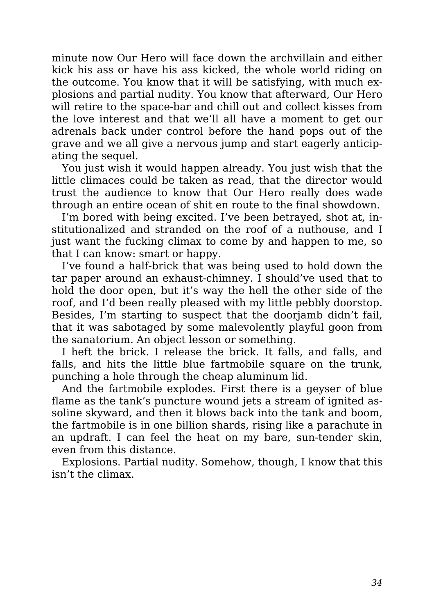minute now Our Hero will face down the archvillain and either kick his ass or have his ass kicked, the whole world riding on the outcome. You know that it will be satisfying, with much explosions and partial nudity. You know that afterward, Our Hero will retire to the space-bar and chill out and collect kisses from the love interest and that we'll all have a moment to get our adrenals back under control before the hand pops out of the grave and we all give a nervous jump and start eagerly anticipating the sequel.

You just wish it would happen already. You just wish that the little climaces could be taken as read, that the director would trust the audience to know that Our Hero really does wade through an entire ocean of shit en route to the final showdown.

I'm bored with being excited. I've been betrayed, shot at, institutionalized and stranded on the roof of a nuthouse, and I just want the fucking climax to come by and happen to me, so that I can know: smart or happy.

I've found a half-brick that was being used to hold down the tar paper around an exhaust-chimney. I should've used that to hold the door open, but it's way the hell the other side of the roof, and I'd been really pleased with my little pebbly doorstop. Besides, I'm starting to suspect that the doorjamb didn't fail, that it was sabotaged by some malevolently playful goon from the sanatorium. An object lesson or something.

I heft the brick. I release the brick. It falls, and falls, and falls, and hits the little blue fartmobile square on the trunk. punching a hole through the cheap aluminum lid.

And the fartmobile explodes. First there is a geyser of blue flame as the tank's puncture wound jets a stream of ignited assoline skyward, and then it blows back into the tank and boom, the fartmobile is in one billion shards, rising like a parachute in an updraft. I can feel the heat on my bare, sun-tender skin, even from this distance.

Explosions. Partial nudity. Somehow, though, I know that this isn't the climax.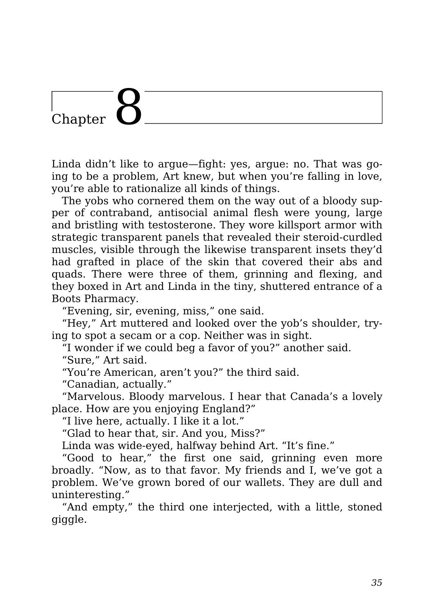## Chapter

Linda didn't like to argue—fight: yes, argue: no. That was going to be a problem, Art knew, but when you're falling in love, you're able to rationalize all kinds of things.

The yobs who cornered them on the way out of a bloody supper of contraband, antisocial animal flesh were young, large and bristling with testosterone. They wore killsport armor with strategic transparent panels that revealed their steroid-curdled muscles, visible through the likewise transparent insets they'd had grafted in place of the skin that covered their abs and quads. There were three of them, grinning and flexing, and they boxed in Art and Linda in the tiny, shuttered entrance of a Boots Pharmacy.

"Evening, sir, evening, miss," one said.

"Hey," Art muttered and looked over the yob's shoulder, trying to spot a secam or a cop. Neither was in sight.

"I wonder if we could beg a favor of you?" another said.

"Sure," Art said.

"You're American, aren't you?" the third said.

"Canadian, actually."

"Marvelous. Bloody marvelous. I hear that Canada's a lovely place. How are you enjoying England?"

"I live here, actually. I like it a lot."

"Glad to hear that, sir. And you, Miss?"

Linda was wide-eyed, halfway behind Art. "It's fine."

"Good to hear," the first one said, grinning even more broadly. "Now, as to that favor. My friends and I, we've got a problem. We've grown bored of our wallets. They are dull and uninteresting."

"And empty," the third one interjected, with a little, stoned giggle.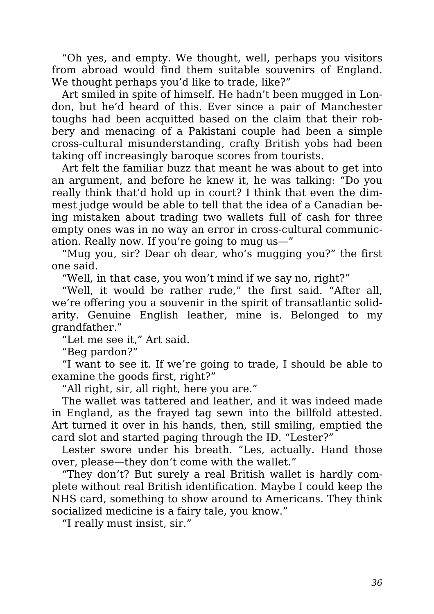"Oh yes, and empty. We thought, well, perhaps you visitors from abroad would find them suitable souvenirs of England. We thought perhaps you'd like to trade, like?"

Art smiled in spite of himself. He hadn't been mugged in London, but he'd heard of this. Ever since a pair of Manchester toughs had been acquitted based on the claim that their robbery and menacing of a Pakistani couple had been a simple cross-cultural misunderstanding, crafty British yobs had been taking off increasingly baroque scores from tourists.

Art felt the familiar buzz that meant he was about to get into an argument, and before he knew it, he was talking: "Do you really think that'd hold up in court? I think that even the dimmest judge would be able to tell that the idea of a Canadian being mistaken about trading two wallets full of cash for three empty ones was in no way an error in cross-cultural communication. Really now. If you're going to mug us—"

"Mug you, sir? Dear oh dear, who's mugging you?" the first one said.

"Well, in that case, you won't mind if we say no, right?"

"Well, it would be rather rude," the first said. "After all, we're offering you a souvenir in the spirit of transatlantic solidarity. Genuine English leather, mine is. Belonged to my grandfather."

"Let me see it," Art said.

"Beg pardon?"

"I want to see it. If we're going to trade, I should be able to examine the goods first, right?"

"All right, sir, all right, here you are."

The wallet was tattered and leather, and it was indeed made in England, as the frayed tag sewn into the billfold attested. Art turned it over in his hands, then, still smiling, emptied the card slot and started paging through the ID. "Lester?"

Lester swore under his breath. "Les, actually. Hand those over, please—they don't come with the wallet."

"They don't? But surely a real British wallet is hardly complete without real British identification. Maybe I could keep the NHS card, something to show around to Americans. They think socialized medicine is a fairy tale, you know."

"I really must insist, sir."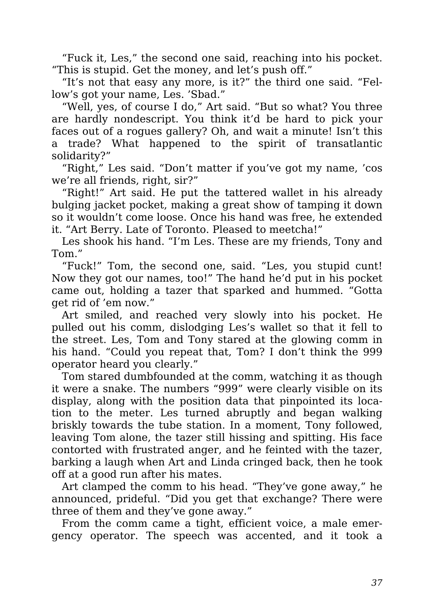"Fuck it, Les," the second one said, reaching into his pocket. "This is stupid. Get the money, and let's push off."

"It's not that easy any more, is it?" the third one said. "Fellow's got your name, Les. 'Sbad."

"Well, yes, of course I do," Art said. "But so what? You three are hardly nondescript. You think it'd be hard to pick your faces out of a rogues gallery? Oh, and wait a minute! Isn't this a trade? What happened to the spirit of transatlantic solidarity?"

"Right," Les said. "Don't matter if you've got my name, 'cos we're all friends, right, sir?"

"Right!" Art said. He put the tattered wallet in his already bulging jacket pocket, making a great show of tamping it down so it wouldn't come loose. Once his hand was free, he extended it. "Art Berry. Late of Toronto. Pleased to meetcha!"

Les shook his hand. "I'm Les. These are my friends, Tony and Tom."

"Fuck!" Tom, the second one, said. "Les, you stupid cunt! Now they got our names, too!" The hand he'd put in his pocket came out, holding a tazer that sparked and hummed. "Gotta get rid of 'em now."

Art smiled, and reached very slowly into his pocket. He pulled out his comm, dislodging Les's wallet so that it fell to the street. Les, Tom and Tony stared at the glowing comm in his hand. "Could you repeat that, Tom? I don't think the 999 operator heard you clearly."

Tom stared dumbfounded at the comm, watching it as though it were a snake. The numbers "999" were clearly visible on its display, along with the position data that pinpointed its location to the meter. Les turned abruptly and began walking briskly towards the tube station. In a moment, Tony followed, leaving Tom alone, the tazer still hissing and spitting. His face contorted with frustrated anger, and he feinted with the tazer, barking a laugh when Art and Linda cringed back, then he took off at a good run after his mates.

Art clamped the comm to his head. "They've gone away," he announced, prideful. "Did you get that exchange? There were three of them and they've gone away."

From the comm came a tight, efficient voice, a male emergency operator. The speech was accented, and it took a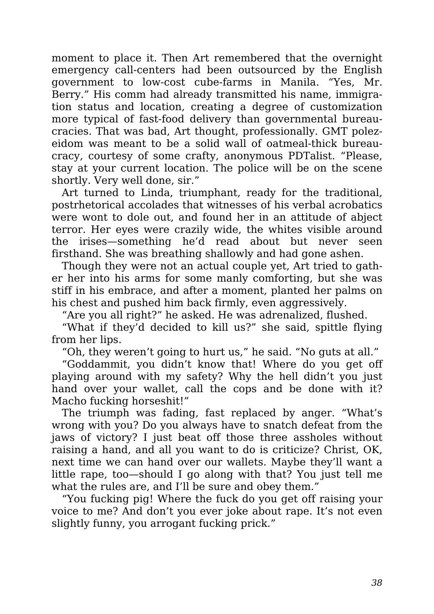moment to place it. Then Art remembered that the overnight emergency call-centers had been outsourced by the English government to low-cost cube-farms in Manila. "Yes, Mr. Berry." His comm had already transmitted his name, immigration status and location, creating a degree of customization more typical of fast-food delivery than governmental bureaucracies. That was bad, Art thought, professionally. GMT polezeidom was meant to be a solid wall of oatmeal-thick bureaucracy, courtesy of some crafty, anonymous PDTalist. "Please, stay at your current location. The police will be on the scene shortly. Very well done, sir."

Art turned to Linda, triumphant, ready for the traditional, postrhetorical accolades that witnesses of his verbal acrobatics were wont to dole out, and found her in an attitude of abject terror. Her eyes were crazily wide, the whites visible around the irises—something he'd read about but never seen firsthand. She was breathing shallowly and had gone ashen.

Though they were not an actual couple yet, Art tried to gather her into his arms for some manly comforting, but she was stiff in his embrace, and after a moment, planted her palms on his chest and pushed him back firmly, even aggressively.

"Are you all right?" he asked. He was adrenalized, flushed.

"What if they'd decided to kill us?" she said, spittle flying from her lips.

"Oh, they weren't going to hurt us," he said. "No guts at all."

"Goddammit, you didn't know that! Where do you get off playing around with my safety? Why the hell didn't you just hand over your wallet, call the cops and be done with it? Macho fucking horseshit!"

The triumph was fading, fast replaced by anger. "What's wrong with you? Do you always have to snatch defeat from the jaws of victory? I just beat off those three assholes without raising a hand, and all you want to do is criticize? Christ, OK, next time we can hand over our wallets. Maybe they'll want a little rape, too—should I go along with that? You just tell me what the rules are, and I'll be sure and obey them."

"You fucking pig! Where the fuck do you get off raising your voice to me? And don't you ever joke about rape. It's not even slightly funny, you arrogant fucking prick."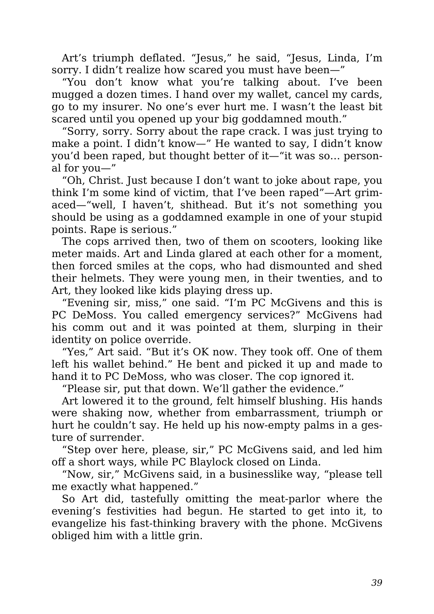Art's triumph deflated. "Jesus," he said, "Jesus, Linda, I'm sorry. I didn't realize how scared you must have been—"

"You don't know what you're talking about. I've been mugged a dozen times. I hand over my wallet, cancel my cards, go to my insurer. No one's ever hurt me. I wasn't the least bit scared until you opened up your big goddamned mouth."

"Sorry, sorry. Sorry about the rape crack. I was just trying to make a point. I didn't know—" He wanted to say, I didn't know you'd been raped, but thought better of it—"it was so… personal for you—"

"Oh, Christ. Just because I don't want to joke about rape, you think I'm some kind of victim, that I've been raped"—Art grimaced—"well, I haven't, shithead. But it's not something you should be using as a goddamned example in one of your stupid points. Rape is serious."

The cops arrived then, two of them on scooters, looking like meter maids. Art and Linda glared at each other for a moment, then forced smiles at the cops, who had dismounted and shed their helmets. They were young men, in their twenties, and to Art, they looked like kids playing dress up.

"Evening sir, miss," one said. "I'm PC McGivens and this is PC DeMoss. You called emergency services?" McGivens had his comm out and it was pointed at them, slurping in their identity on police override.

"Yes," Art said. "But it's OK now. They took off. One of them left his wallet behind." He bent and picked it up and made to hand it to PC DeMoss, who was closer. The cop ignored it.

"Please sir, put that down. We'll gather the evidence."

Art lowered it to the ground, felt himself blushing. His hands were shaking now, whether from embarrassment, triumph or hurt he couldn't say. He held up his now-empty palms in a gesture of surrender.

"Step over here, please, sir," PC McGivens said, and led him off a short ways, while PC Blaylock closed on Linda.

"Now, sir," McGivens said, in a businesslike way, "please tell me exactly what happened."

So Art did, tastefully omitting the meat-parlor where the evening's festivities had begun. He started to get into it, to evangelize his fast-thinking bravery with the phone. McGivens obliged him with a little grin.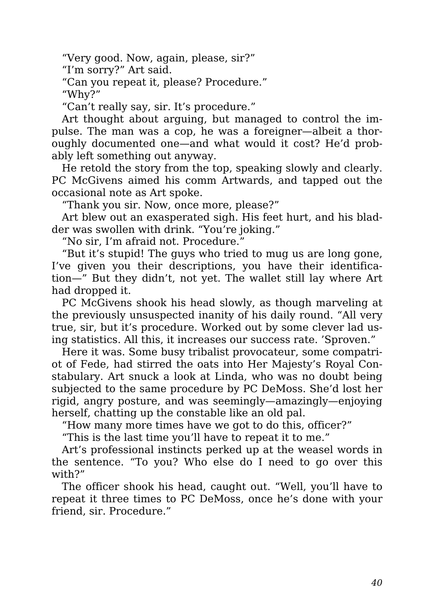"Very good. Now, again, please, sir?"

"I'm sorry?" Art said.

"Can you repeat it, please? Procedure."

"Why?"

"Can't really say, sir. It's procedure."

Art thought about arguing, but managed to control the impulse. The man was a cop, he was a foreigner—albeit a thoroughly documented one—and what would it cost? He'd probably left something out anyway.

He retold the story from the top, speaking slowly and clearly. PC McGivens aimed his comm Artwards, and tapped out the occasional note as Art spoke.

"Thank you sir. Now, once more, please?"

Art blew out an exasperated sigh. His feet hurt, and his bladder was swollen with drink. "You're joking."

"No sir, I'm afraid not. Procedure."

"But it's stupid! The guys who tried to mug us are long gone, I've given you their descriptions, you have their identification—" But they didn't, not yet. The wallet still lay where Art had dropped it.

PC McGivens shook his head slowly, as though marveling at the previously unsuspected inanity of his daily round. "All very true, sir, but it's procedure. Worked out by some clever lad using statistics. All this, it increases our success rate. 'Sproven."

Here it was. Some busy tribalist provocateur, some compatriot of Fede, had stirred the oats into Her Majesty's Royal Constabulary. Art snuck a look at Linda, who was no doubt being subjected to the same procedure by PC DeMoss. She'd lost her rigid, angry posture, and was seemingly—amazingly—enjoying herself, chatting up the constable like an old pal.

"How many more times have we got to do this, officer?"

"This is the last time you'll have to repeat it to me."

Art's professional instincts perked up at the weasel words in the sentence. "To you? Who else do I need to go over this with?"

The officer shook his head, caught out. "Well, you'll have to repeat it three times to PC DeMoss, once he's done with your friend, sir. Procedure."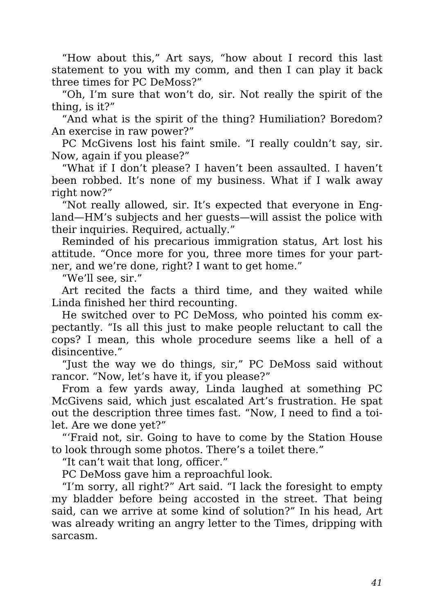"How about this," Art says, "how about I record this last statement to you with my comm, and then I can play it back three times for PC DeMoss?"

"Oh, I'm sure that won't do, sir. Not really the spirit of the thing, is it?"

"And what is the spirit of the thing? Humiliation? Boredom? An exercise in raw power?"

PC McGivens lost his faint smile. "I really couldn't say, sir. Now, again if you please?"

"What if I don't please? I haven't been assaulted. I haven't been robbed. It's none of my business. What if I walk away right now?"

"Not really allowed, sir. It's expected that everyone in England—HM's subjects and her guests—will assist the police with their inquiries. Required, actually."

Reminded of his precarious immigration status, Art lost his attitude. "Once more for you, three more times for your partner, and we're done, right? I want to get home."

"We'll see, sir."

Art recited the facts a third time, and they waited while Linda finished her third recounting.

He switched over to PC DeMoss, who pointed his comm expectantly. "Is all this just to make people reluctant to call the cops? I mean, this whole procedure seems like a hell of a disincentive."

"Just the way we do things, sir," PC DeMoss said without rancor. "Now, let's have it, if you please?"

From a few yards away, Linda laughed at something PC McGivens said, which just escalated Art's frustration. He spat out the description three times fast. "Now, I need to find a toilet. Are we done yet?"

"'Fraid not, sir. Going to have to come by the Station House to look through some photos. There's a toilet there."

"It can't wait that long, officer."

PC DeMoss gave him a reproachful look.

"I'm sorry, all right?" Art said. "I lack the foresight to empty my bladder before being accosted in the street. That being said, can we arrive at some kind of solution?" In his head, Art was already writing an angry letter to the Times, dripping with sarcasm.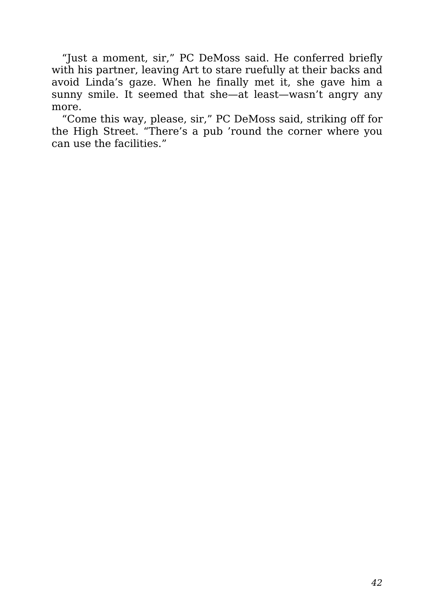"Just a moment, sir," PC DeMoss said. He conferred briefly with his partner, leaving Art to stare ruefully at their backs and avoid Linda's gaze. When he finally met it, she gave him a sunny smile. It seemed that she—at least—wasn't angry any more.

"Come this way, please, sir," PC DeMoss said, striking off for the High Street. "There's a pub 'round the corner where you can use the facilities."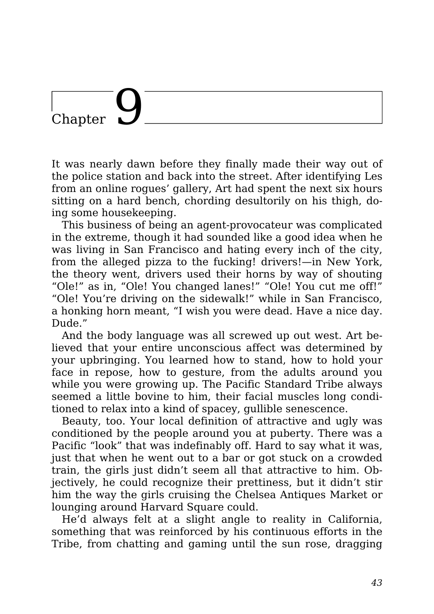## Chapter

It was nearly dawn before they finally made their way out of the police station and back into the street. After identifying Les from an online rogues' gallery, Art had spent the next six hours sitting on a hard bench, chording desultorily on his thigh, doing some housekeeping.

This business of being an agent-provocateur was complicated in the extreme, though it had sounded like a good idea when he was living in San Francisco and hating every inch of the city, from the alleged pizza to the fucking! drivers!—in New York, the theory went, drivers used their horns by way of shouting "Ole!" as in, "Ole! You changed lanes!" "Ole! You cut me off!" "Ole! You're driving on the sidewalk!" while in San Francisco, a honking horn meant, "I wish you were dead. Have a nice day. Dude."

And the body language was all screwed up out west. Art believed that your entire unconscious affect was determined by your upbringing. You learned how to stand, how to hold your face in repose, how to gesture, from the adults around you while you were growing up. The Pacific Standard Tribe always seemed a little bovine to him, their facial muscles long conditioned to relax into a kind of spacey, gullible senescence.

Beauty, too. Your local definition of attractive and ugly was conditioned by the people around you at puberty. There was a Pacific "look" that was indefinably off. Hard to say what it was, just that when he went out to a bar or got stuck on a crowded train, the girls just didn't seem all that attractive to him. Objectively, he could recognize their prettiness, but it didn't stir him the way the girls cruising the Chelsea Antiques Market or lounging around Harvard Square could.

He'd always felt at a slight angle to reality in California, something that was reinforced by his continuous efforts in the Tribe, from chatting and gaming until the sun rose, dragging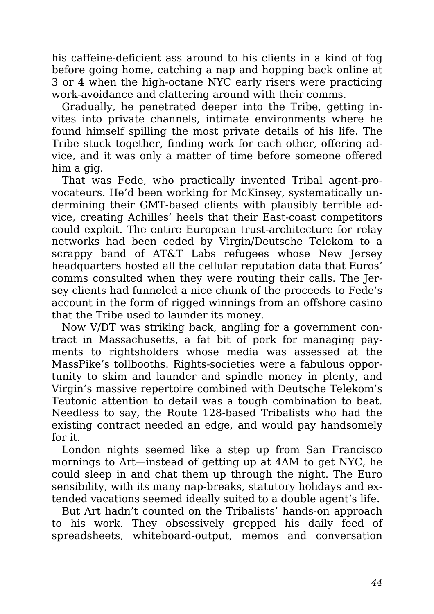his caffeine-deficient ass around to his clients in a kind of fog before going home, catching a nap and hopping back online at 3 or 4 when the high-octane NYC early risers were practicing work-avoidance and clattering around with their comms.

Gradually, he penetrated deeper into the Tribe, getting invites into private channels, intimate environments where he found himself spilling the most private details of his life. The Tribe stuck together, finding work for each other, offering advice, and it was only a matter of time before someone offered him a gig.

That was Fede, who practically invented Tribal agent-provocateurs. He'd been working for McKinsey, systematically undermining their GMT-based clients with plausibly terrible advice, creating Achilles' heels that their East-coast competitors could exploit. The entire European trust-architecture for relay networks had been ceded by Virgin/Deutsche Telekom to a scrappy band of AT&T Labs refugees whose New Jersey headquarters hosted all the cellular reputation data that Euros' comms consulted when they were routing their calls. The Jersey clients had funneled a nice chunk of the proceeds to Fede's account in the form of rigged winnings from an offshore casino that the Tribe used to launder its money.

Now V/DT was striking back, angling for a government contract in Massachusetts, a fat bit of pork for managing payments to rightsholders whose media was assessed at the MassPike's tollbooths. Rights-societies were a fabulous opportunity to skim and launder and spindle money in plenty, and Virgin's massive repertoire combined with Deutsche Telekom's Teutonic attention to detail was a tough combination to beat. Needless to say, the Route 128-based Tribalists who had the existing contract needed an edge, and would pay handsomely for it.

London nights seemed like a step up from San Francisco mornings to Art—instead of getting up at 4AM to get NYC, he could sleep in and chat them up through the night. The Euro sensibility, with its many nap-breaks, statutory holidays and extended vacations seemed ideally suited to a double agent's life.

But Art hadn't counted on the Tribalists' hands-on approach to his work. They obsessively grepped his daily feed of spreadsheets, whiteboard-output, memos and conversation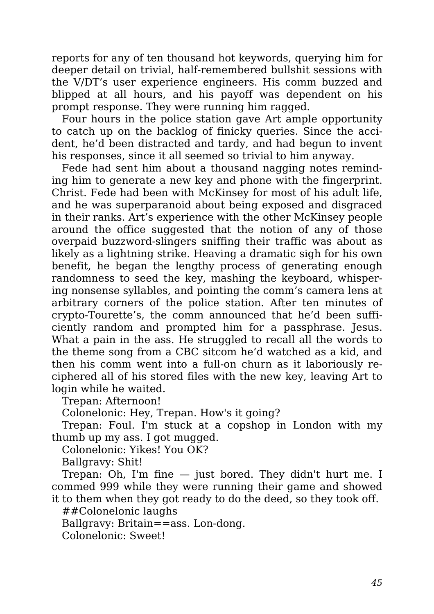reports for any of ten thousand hot keywords, querying him for deeper detail on trivial, half-remembered bullshit sessions with the V/DT's user experience engineers. His comm buzzed and blipped at all hours, and his payoff was dependent on his prompt response. They were running him ragged.

Four hours in the police station gave Art ample opportunity to catch up on the backlog of finicky queries. Since the accident, he'd been distracted and tardy, and had begun to invent his responses, since it all seemed so trivial to him anyway.

Fede had sent him about a thousand nagging notes reminding him to generate a new key and phone with the fingerprint. Christ. Fede had been with McKinsey for most of his adult life, and he was superparanoid about being exposed and disgraced in their ranks. Art's experience with the other McKinsey people around the office suggested that the notion of any of those overpaid buzzword-slingers sniffing their traffic was about as likely as a lightning strike. Heaving a dramatic sigh for his own benefit, he began the lengthy process of generating enough randomness to seed the key, mashing the keyboard, whispering nonsense syllables, and pointing the comm's camera lens at arbitrary corners of the police station. After ten minutes of crypto-Tourette's, the comm announced that he'd been sufficiently random and prompted him for a passphrase. Jesus. What a pain in the ass. He struggled to recall all the words to the theme song from a CBC sitcom he'd watched as a kid, and then his comm went into a full-on churn as it laboriously reciphered all of his stored files with the new key, leaving Art to login while he waited.

Trepan: Afternoon!

Colonelonic: Hey, Trepan. How's it going?

Trepan: Foul. I'm stuck at a copshop in London with my thumb up my ass. I got mugged.

Colonelonic: Yikes! You OK?

Ballgravy: Shit!

Trepan: Oh, I'm fine — just bored. They didn't hurt me. I commed 999 while they were running their game and showed it to them when they got ready to do the deed, so they took off.

##Colonelonic laughs

Ballgravy: Britain==ass. Lon-dong.

Colonelonic: Sweet!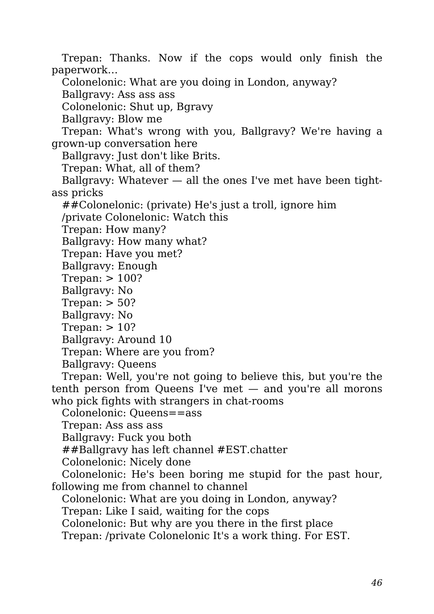Trepan: Thanks. Now if the cops would only finish the paperwork… Colonelonic: What are you doing in London, anyway? Ballgravy: Ass ass ass Colonelonic: Shut up, Bgravy Ballgravy: Blow me Trepan: What's wrong with you, Ballgravy? We're having a grown-up conversation here Ballgravy: Just don't like Brits. Trepan: What, all of them? Ballgravy: Whatever — all the ones I've met have been tightass pricks ##Colonelonic: (private) He's just a troll, ignore him /private Colonelonic: Watch this Trepan: How many? Ballgravy: How many what? Trepan: Have you met? Ballgravy: Enough Trepan:  $> 100$ ? Ballgravy: No Trepan:  $> 50$ ? Ballgravy: No Trepan:  $> 10$ ? Ballgravy: Around 10 Trepan: Where are you from? Ballgravy: Queens Trepan: Well, you're not going to believe this, but you're the tenth person from Queens I've met — and you're all morons who pick fights with strangers in chat-rooms Colonelonic: Queens==ass Trepan: Ass ass ass Ballgravy: Fuck you both ##Ballgravy has left channel #EST.chatter Colonelonic: Nicely done Colonelonic: He's been boring me stupid for the past hour, following me from channel to channel Colonelonic: What are you doing in London, anyway? Trepan: Like I said, waiting for the cops Colonelonic: But why are you there in the first place Trepan: /private Colonelonic It's a work thing. For EST.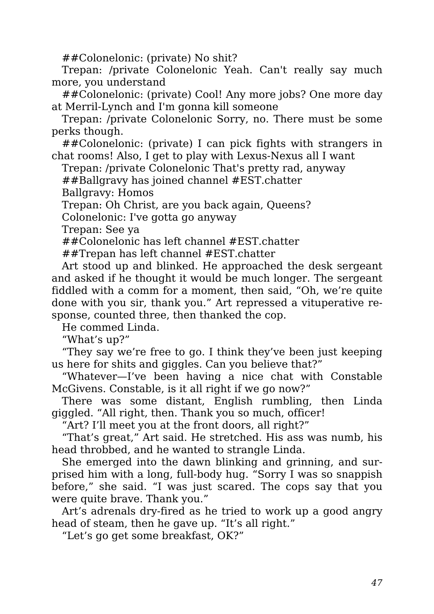##Colonelonic: (private) No shit?

Trepan: /private Colonelonic Yeah. Can't really say much more, you understand

##Colonelonic: (private) Cool! Any more jobs? One more day at Merril-Lynch and I'm gonna kill someone

Trepan: /private Colonelonic Sorry, no. There must be some perks though.

##Colonelonic: (private) I can pick fights with strangers in chat rooms! Also, I get to play with Lexus-Nexus all I want

Trepan: /private Colonelonic That's pretty rad, anyway

##Ballgravy has joined channel #EST.chatter

Ballgravy: Homos

Trepan: Oh Christ, are you back again, Queens?

Colonelonic: I've gotta go anyway

Trepan: See ya

##Colonelonic has left channel #EST.chatter

##Trepan has left channel #EST.chatter

Art stood up and blinked. He approached the desk sergeant and asked if he thought it would be much longer. The sergeant fiddled with a comm for a moment, then said, "Oh, we're quite done with you sir, thank you." Art repressed a vituperative response, counted three, then thanked the cop.

He commed Linda.

"What's up?"

"They say we're free to go. I think they've been just keeping us here for shits and giggles. Can you believe that?"

"Whatever—I've been having a nice chat with Constable McGivens. Constable, is it all right if we go now?"

There was some distant, English rumbling, then Linda giggled. "All right, then. Thank you so much, officer!

"Art? I'll meet you at the front doors, all right?"

"That's great," Art said. He stretched. His ass was numb, his head throbbed, and he wanted to strangle Linda.

She emerged into the dawn blinking and grinning, and surprised him with a long, full-body hug. "Sorry I was so snappish before," she said. "I was just scared. The cops say that you were quite brave. Thank you."

Art's adrenals dry-fired as he tried to work up a good angry head of steam, then he gave up. "It's all right."

"Let's go get some breakfast, OK?"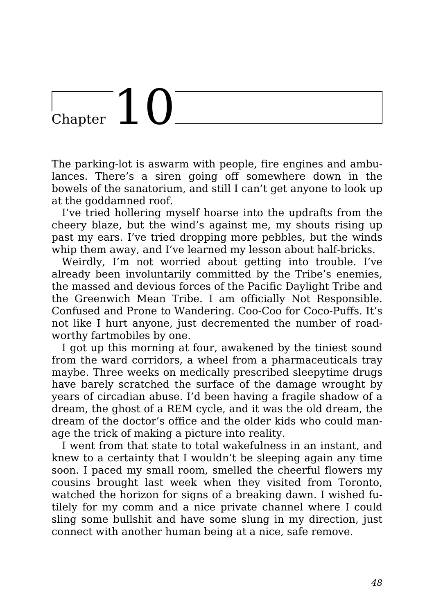## Chapter  $10^{-1}$

The parking-lot is aswarm with people, fire engines and ambulances. There's a siren going off somewhere down in the bowels of the sanatorium, and still I can't get anyone to look up at the goddamned roof.

I've tried hollering myself hoarse into the updrafts from the cheery blaze, but the wind's against me, my shouts rising up past my ears. I've tried dropping more pebbles, but the winds whip them away, and I've learned my lesson about half-bricks.

Weirdly, I'm not worried about getting into trouble. I've already been involuntarily committed by the Tribe's enemies, the massed and devious forces of the Pacific Daylight Tribe and the Greenwich Mean Tribe. I am officially Not Responsible. Confused and Prone to Wandering. Coo-Coo for Coco-Puffs. It's not like I hurt anyone, just decremented the number of roadworthy fartmobiles by one.

I got up this morning at four, awakened by the tiniest sound from the ward corridors, a wheel from a pharmaceuticals tray maybe. Three weeks on medically prescribed sleepytime drugs have barely scratched the surface of the damage wrought by years of circadian abuse. I'd been having a fragile shadow of a dream, the ghost of a REM cycle, and it was the old dream, the dream of the doctor's office and the older kids who could manage the trick of making a picture into reality.

I went from that state to total wakefulness in an instant, and knew to a certainty that I wouldn't be sleeping again any time soon. I paced my small room, smelled the cheerful flowers my cousins brought last week when they visited from Toronto, watched the horizon for signs of a breaking dawn. I wished futilely for my comm and a nice private channel where I could sling some bullshit and have some slung in my direction, just connect with another human being at a nice, safe remove.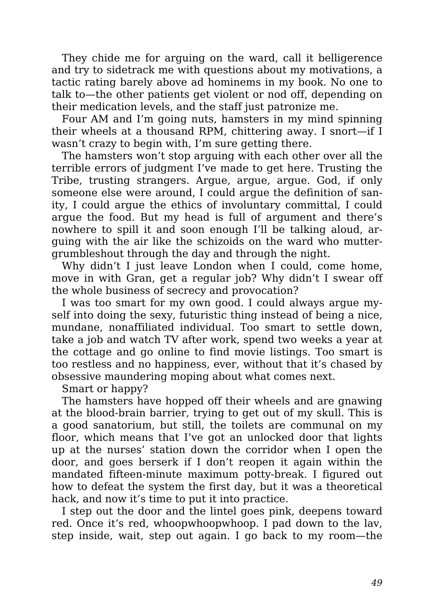They chide me for arguing on the ward, call it belligerence and try to sidetrack me with questions about my motivations, a tactic rating barely above ad hominems in my book. No one to talk to—the other patients get violent or nod off, depending on their medication levels, and the staff just patronize me.

Four AM and I'm going nuts, hamsters in my mind spinning their wheels at a thousand RPM, chittering away. I snort—if I wasn't crazy to begin with, I'm sure getting there.

The hamsters won't stop arguing with each other over all the terrible errors of judgment I've made to get here. Trusting the Tribe, trusting strangers. Argue, argue, argue. God, if only someone else were around, I could argue the definition of sanity, I could argue the ethics of involuntary committal, I could argue the food. But my head is full of argument and there's nowhere to spill it and soon enough I'll be talking aloud, arguing with the air like the schizoids on the ward who muttergrumbleshout through the day and through the night.

Why didn't I just leave London when I could, come home, move in with Gran, get a regular job? Why didn't I swear off the whole business of secrecy and provocation?

I was too smart for my own good. I could always argue myself into doing the sexy, futuristic thing instead of being a nice, mundane, nonaffiliated individual. Too smart to settle down, take a job and watch TV after work, spend two weeks a year at the cottage and go online to find movie listings. Too smart is too restless and no happiness, ever, without that it's chased by obsessive maundering moping about what comes next.

Smart or happy?

The hamsters have hopped off their wheels and are gnawing at the blood-brain barrier, trying to get out of my skull. This is a good sanatorium, but still, the toilets are communal on my floor, which means that I've got an unlocked door that lights up at the nurses' station down the corridor when I open the door, and goes berserk if I don't reopen it again within the mandated fifteen-minute maximum potty-break. I figured out how to defeat the system the first day, but it was a theoretical hack, and now it's time to put it into practice.

I step out the door and the lintel goes pink, deepens toward red. Once it's red, whoopwhoopwhoop. I pad down to the lav, step inside, wait, step out again. I go back to my room—the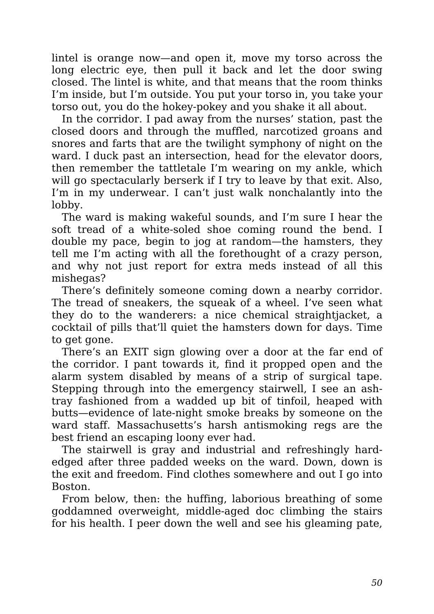lintel is orange now—and open it, move my torso across the long electric eye, then pull it back and let the door swing closed. The lintel is white, and that means that the room thinks I'm inside, but I'm outside. You put your torso in, you take your torso out, you do the hokey-pokey and you shake it all about.

In the corridor. I pad away from the nurses' station, past the closed doors and through the muffled, narcotized groans and snores and farts that are the twilight symphony of night on the ward. I duck past an intersection, head for the elevator doors, then remember the tattletale I'm wearing on my ankle, which will go spectacularly berserk if I try to leave by that exit. Also, I'm in my underwear. I can't just walk nonchalantly into the lobby.

The ward is making wakeful sounds, and I'm sure I hear the soft tread of a white-soled shoe coming round the bend. I double my pace, begin to jog at random—the hamsters, they tell me I'm acting with all the forethought of a crazy person, and why not just report for extra meds instead of all this mishegas?

There's definitely someone coming down a nearby corridor. The tread of sneakers, the squeak of a wheel. I've seen what they do to the wanderers: a nice chemical straightjacket, a cocktail of pills that'll quiet the hamsters down for days. Time to get gone.

There's an EXIT sign glowing over a door at the far end of the corridor. I pant towards it, find it propped open and the alarm system disabled by means of a strip of surgical tape. Stepping through into the emergency stairwell, I see an ashtray fashioned from a wadded up bit of tinfoil, heaped with butts—evidence of late-night smoke breaks by someone on the ward staff. Massachusetts's harsh antismoking regs are the best friend an escaping loony ever had.

The stairwell is gray and industrial and refreshingly hardedged after three padded weeks on the ward. Down, down is the exit and freedom. Find clothes somewhere and out I go into Boston.

From below, then: the huffing, laborious breathing of some goddamned overweight, middle-aged doc climbing the stairs for his health. I peer down the well and see his gleaming pate,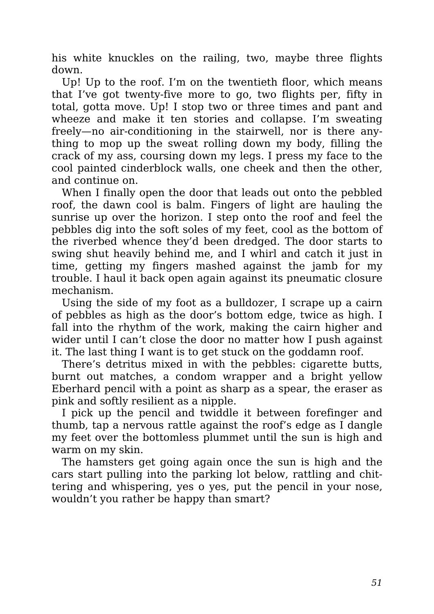his white knuckles on the railing, two, maybe three flights down.

Up! Up to the roof. I'm on the twentieth floor, which means that I've got twenty-five more to go, two flights per, fifty in total, gotta move. Up! I stop two or three times and pant and wheeze and make it ten stories and collapse. I'm sweating freely—no air-conditioning in the stairwell, nor is there anything to mop up the sweat rolling down my body, filling the crack of my ass, coursing down my legs. I press my face to the cool painted cinderblock walls, one cheek and then the other, and continue on.

When I finally open the door that leads out onto the pebbled roof, the dawn cool is balm. Fingers of light are hauling the sunrise up over the horizon. I step onto the roof and feel the pebbles dig into the soft soles of my feet, cool as the bottom of the riverbed whence they'd been dredged. The door starts to swing shut heavily behind me, and I whirl and catch it just in time, getting my fingers mashed against the jamb for my trouble. I haul it back open again against its pneumatic closure mechanism.

Using the side of my foot as a bulldozer, I scrape up a cairn of pebbles as high as the door's bottom edge, twice as high. I fall into the rhythm of the work, making the cairn higher and wider until I can't close the door no matter how I push against it. The last thing I want is to get stuck on the goddamn roof.

There's detritus mixed in with the pebbles: cigarette butts, burnt out matches, a condom wrapper and a bright yellow Eberhard pencil with a point as sharp as a spear, the eraser as pink and softly resilient as a nipple.

I pick up the pencil and twiddle it between forefinger and thumb, tap a nervous rattle against the roof's edge as I dangle my feet over the bottomless plummet until the sun is high and warm on my skin.

The hamsters get going again once the sun is high and the cars start pulling into the parking lot below, rattling and chittering and whispering, yes o yes, put the pencil in your nose, wouldn't you rather be happy than smart?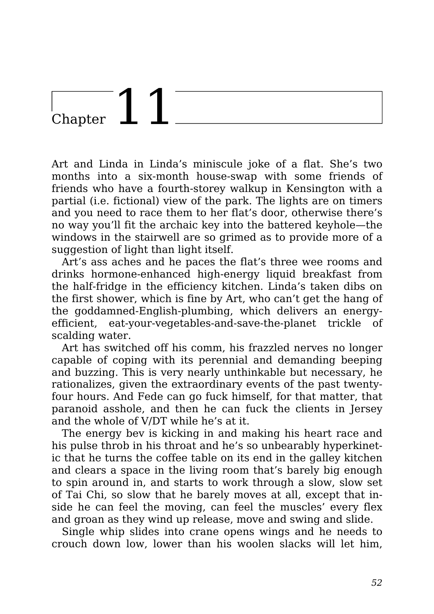## $\begin{array}{c} \begin{array}{c} \end{array}$  Chapter  $\begin{array}{c} \end{array}$

Art and Linda in Linda's miniscule joke of a flat. She's two months into a six-month house-swap with some friends of friends who have a fourth-storey walkup in Kensington with a partial (i.e. fictional) view of the park. The lights are on timers and you need to race them to her flat's door, otherwise there's no way you'll fit the archaic key into the battered keyhole—the windows in the stairwell are so grimed as to provide more of a suggestion of light than light itself.

Art's ass aches and he paces the flat's three wee rooms and drinks hormone-enhanced high-energy liquid breakfast from the half-fridge in the efficiency kitchen. Linda's taken dibs on the first shower, which is fine by Art, who can't get the hang of the goddamned-English-plumbing, which delivers an energyefficient, eat-your-vegetables-and-save-the-planet trickle of scalding water.

Art has switched off his comm, his frazzled nerves no longer capable of coping with its perennial and demanding beeping and buzzing. This is very nearly unthinkable but necessary, he rationalizes, given the extraordinary events of the past twentyfour hours. And Fede can go fuck himself, for that matter, that paranoid asshole, and then he can fuck the clients in Jersey and the whole of V/DT while he's at it.

The energy bev is kicking in and making his heart race and his pulse throb in his throat and he's so unbearably hyperkinetic that he turns the coffee table on its end in the galley kitchen and clears a space in the living room that's barely big enough to spin around in, and starts to work through a slow, slow set of Tai Chi, so slow that he barely moves at all, except that inside he can feel the moving, can feel the muscles' every flex and groan as they wind up release, move and swing and slide.

Single whip slides into crane opens wings and he needs to crouch down low, lower than his woolen slacks will let him,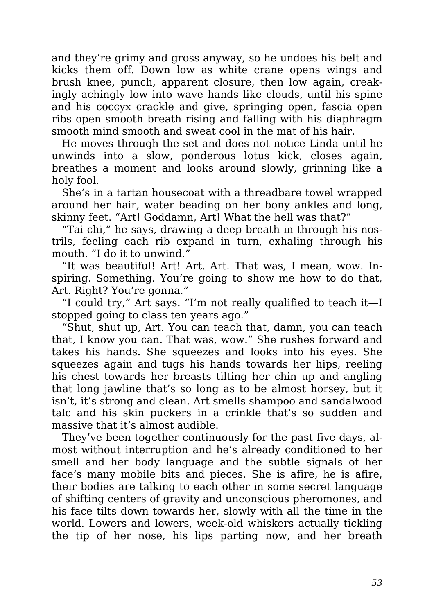and they're grimy and gross anyway, so he undoes his belt and kicks them off. Down low as white crane opens wings and brush knee, punch, apparent closure, then low again, creakingly achingly low into wave hands like clouds, until his spine and his coccyx crackle and give, springing open, fascia open ribs open smooth breath rising and falling with his diaphragm smooth mind smooth and sweat cool in the mat of his hair.

He moves through the set and does not notice Linda until he unwinds into a slow, ponderous lotus kick, closes again, breathes a moment and looks around slowly, grinning like a holy fool.

She's in a tartan housecoat with a threadbare towel wrapped around her hair, water beading on her bony ankles and long, skinny feet. "Art! Goddamn, Art! What the hell was that?"

"Tai chi," he says, drawing a deep breath in through his nostrils, feeling each rib expand in turn, exhaling through his mouth. "I do it to unwind."

"It was beautiful! Art! Art. Art. That was, I mean, wow. Inspiring. Something. You're going to show me how to do that, Art. Right? You're gonna."

"I could try," Art says. "I'm not really qualified to teach it—I stopped going to class ten years ago."

"Shut, shut up, Art. You can teach that, damn, you can teach that, I know you can. That was, wow." She rushes forward and takes his hands. She squeezes and looks into his eyes. She squeezes again and tugs his hands towards her hips, reeling his chest towards her breasts tilting her chin up and angling that long jawline that's so long as to be almost horsey, but it isn't, it's strong and clean. Art smells shampoo and sandalwood talc and his skin puckers in a crinkle that's so sudden and massive that it's almost audible.

They've been together continuously for the past five days, almost without interruption and he's already conditioned to her smell and her body language and the subtle signals of her face's many mobile bits and pieces. She is afire, he is afire, their bodies are talking to each other in some secret language of shifting centers of gravity and unconscious pheromones, and his face tilts down towards her, slowly with all the time in the world. Lowers and lowers, week-old whiskers actually tickling the tip of her nose, his lips parting now, and her breath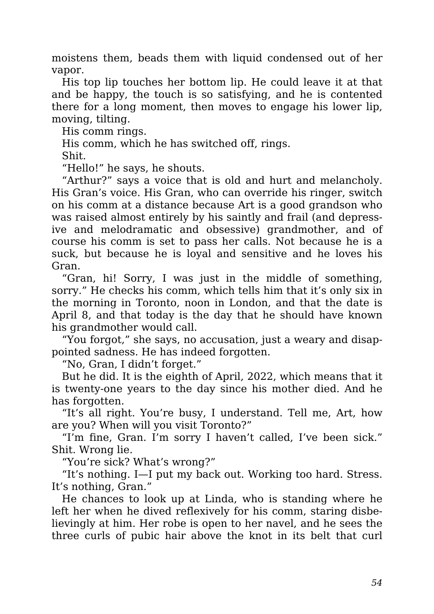moistens them, beads them with liquid condensed out of her vapor.

His top lip touches her bottom lip. He could leave it at that and be happy, the touch is so satisfying, and he is contented there for a long moment, then moves to engage his lower lip, moving, tilting.

His comm rings.

His comm, which he has switched off, rings.

Shit.

"Hello!" he says, he shouts.

"Arthur?" says a voice that is old and hurt and melancholy. His Gran's voice. His Gran, who can override his ringer, switch on his comm at a distance because Art is a good grandson who was raised almost entirely by his saintly and frail (and depressive and melodramatic and obsessive) grandmother, and of course his comm is set to pass her calls. Not because he is a suck, but because he is loyal and sensitive and he loves his Gran.

"Gran, hi! Sorry, I was just in the middle of something, sorry." He checks his comm, which tells him that it's only six in the morning in Toronto, noon in London, and that the date is April 8, and that today is the day that he should have known his grandmother would call.

"You forgot," she says, no accusation, just a weary and disappointed sadness. He has indeed forgotten.

"No, Gran, I didn't forget."

But he did. It is the eighth of April, 2022, which means that it is twenty-one years to the day since his mother died. And he has forgotten.

"It's all right. You're busy, I understand. Tell me, Art, how are you? When will you visit Toronto?"

"I'm fine, Gran. I'm sorry I haven't called, I've been sick." Shit. Wrong lie.

"You're sick? What's wrong?"

"It's nothing. I—I put my back out. Working too hard. Stress. It's nothing, Gran."

He chances to look up at Linda, who is standing where he left her when he dived reflexively for his comm, staring disbelievingly at him. Her robe is open to her navel, and he sees the three curls of pubic hair above the knot in its belt that curl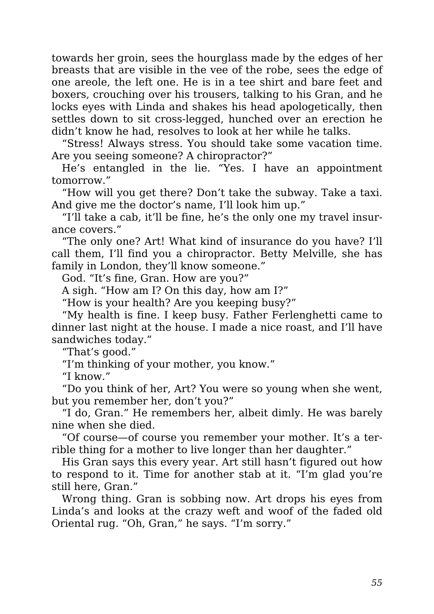towards her groin, sees the hourglass made by the edges of her breasts that are visible in the vee of the robe, sees the edge of one areole, the left one. He is in a tee shirt and bare feet and boxers, crouching over his trousers, talking to his Gran, and he locks eyes with Linda and shakes his head apologetically, then settles down to sit cross-legged, hunched over an erection he didn't know he had, resolves to look at her while he talks.

"Stress! Always stress. You should take some vacation time. Are you seeing someone? A chiropractor?"

He's entangled in the lie. "Yes. I have an appointment tomorrow."

"How will you get there? Don't take the subway. Take a taxi. And give me the doctor's name, I'll look him up."

"I'll take a cab, it'll be fine, he's the only one my travel insurance covers."

"The only one? Art! What kind of insurance do you have? I'll call them, I'll find you a chiropractor. Betty Melville, she has family in London, they'll know someone."

God. "It's fine, Gran. How are you?"

A sigh. "How am I? On this day, how am I?"

"How is your health? Are you keeping busy?"

"My health is fine. I keep busy. Father Ferlenghetti came to dinner last night at the house. I made a nice roast, and I'll have sandwiches today."

"That's good."

"I'm thinking of your mother, you know."

"I know."

"Do you think of her, Art? You were so young when she went, but you remember her, don't you?"

"I do, Gran." He remembers her, albeit dimly. He was barely nine when she died.

"Of course—of course you remember your mother. It's a terrible thing for a mother to live longer than her daughter."

His Gran says this every year. Art still hasn't figured out how to respond to it. Time for another stab at it. "I'm glad you're still here, Gran."

Wrong thing. Gran is sobbing now. Art drops his eyes from Linda's and looks at the crazy weft and woof of the faded old Oriental rug. "Oh, Gran," he says. "I'm sorry."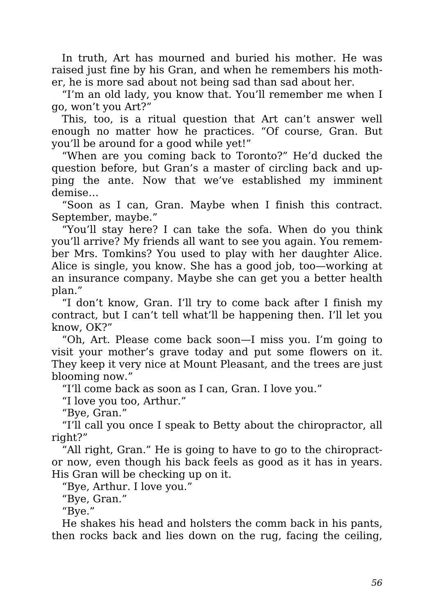In truth, Art has mourned and buried his mother. He was raised just fine by his Gran, and when he remembers his mother, he is more sad about not being sad than sad about her.

"I'm an old lady, you know that. You'll remember me when I go, won't you Art?"

This, too, is a ritual question that Art can't answer well enough no matter how he practices. "Of course, Gran. But you'll be around for a good while yet!"

"When are you coming back to Toronto?" He'd ducked the question before, but Gran's a master of circling back and upping the ante. Now that we've established my imminent demise…

"Soon as I can, Gran. Maybe when I finish this contract. September, maybe."

"You'll stay here? I can take the sofa. When do you think you'll arrive? My friends all want to see you again. You remember Mrs. Tomkins? You used to play with her daughter Alice. Alice is single, you know. She has a good job, too—working at an insurance company. Maybe she can get you a better health plan."

"I don't know, Gran. I'll try to come back after I finish my contract, but I can't tell what'll be happening then. I'll let you know, OK?"

"Oh, Art. Please come back soon—I miss you. I'm going to visit your mother's grave today and put some flowers on it. They keep it very nice at Mount Pleasant, and the trees are just blooming now."

"I'll come back as soon as I can, Gran. I love you."

"I love you too, Arthur."

"Bye, Gran."

"I'll call you once I speak to Betty about the chiropractor, all right?"

"All right, Gran." He is going to have to go to the chiropractor now, even though his back feels as good as it has in years. His Gran will be checking up on it.

"Bye, Arthur. I love you."

"Bye, Gran."

"Bye."

He shakes his head and holsters the comm back in his pants, then rocks back and lies down on the rug, facing the ceiling,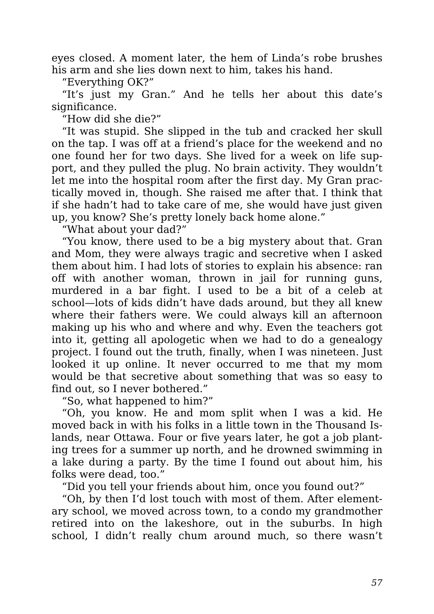eyes closed. A moment later, the hem of Linda's robe brushes his arm and she lies down next to him, takes his hand.

"Everything OK?"

"It's just my Gran." And he tells her about this date's significance.

"How did she die?"

"It was stupid. She slipped in the tub and cracked her skull on the tap. I was off at a friend's place for the weekend and no one found her for two days. She lived for a week on life support, and they pulled the plug. No brain activity. They wouldn't let me into the hospital room after the first day. My Gran practically moved in, though. She raised me after that. I think that if she hadn't had to take care of me, she would have just given up, you know? She's pretty lonely back home alone."

"What about your dad?"

"You know, there used to be a big mystery about that. Gran and Mom, they were always tragic and secretive when I asked them about him. I had lots of stories to explain his absence: ran off with another woman, thrown in jail for running guns, murdered in a bar fight. I used to be a bit of a celeb at school—lots of kids didn't have dads around, but they all knew where their fathers were. We could always kill an afternoon making up his who and where and why. Even the teachers got into it, getting all apologetic when we had to do a genealogy project. I found out the truth, finally, when I was nineteen. Just looked it up online. It never occurred to me that my mom would be that secretive about something that was so easy to find out, so I never bothered."

"So, what happened to him?"

"Oh, you know. He and mom split when I was a kid. He moved back in with his folks in a little town in the Thousand Islands, near Ottawa. Four or five years later, he got a job planting trees for a summer up north, and he drowned swimming in a lake during a party. By the time I found out about him, his folks were dead, too."

"Did you tell your friends about him, once you found out?"

"Oh, by then I'd lost touch with most of them. After elementary school, we moved across town, to a condo my grandmother retired into on the lakeshore, out in the suburbs. In high school, I didn't really chum around much, so there wasn't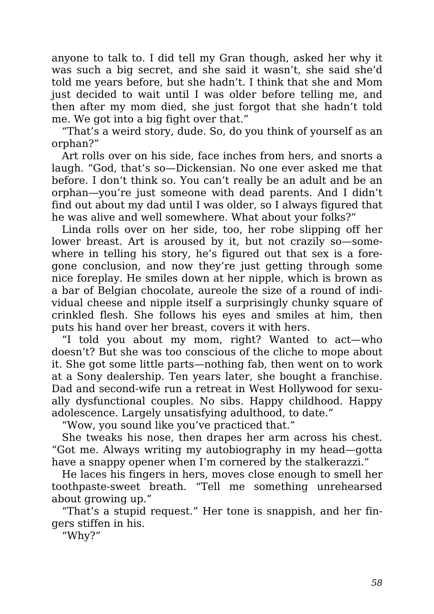anyone to talk to. I did tell my Gran though, asked her why it was such a big secret, and she said it wasn't, she said she'd told me years before, but she hadn't. I think that she and Mom just decided to wait until I was older before telling me, and then after my mom died, she just forgot that she hadn't told me. We got into a big fight over that."

"That's a weird story, dude. So, do you think of yourself as an orphan?"

Art rolls over on his side, face inches from hers, and snorts a laugh. "God, that's so—Dickensian. No one ever asked me that before. I don't think so. You can't really be an adult and be an orphan—you're just someone with dead parents. And I didn't find out about my dad until I was older, so I always figured that he was alive and well somewhere. What about your folks?"

Linda rolls over on her side, too, her robe slipping off her lower breast. Art is aroused by it, but not crazily so—somewhere in telling his story, he's figured out that sex is a foregone conclusion, and now they're just getting through some nice foreplay. He smiles down at her nipple, which is brown as a bar of Belgian chocolate, aureole the size of a round of individual cheese and nipple itself a surprisingly chunky square of crinkled flesh. She follows his eyes and smiles at him, then puts his hand over her breast, covers it with hers.

"I told you about my mom, right? Wanted to act—who doesn't? But she was too conscious of the cliche to mope about it. She got some little parts—nothing fab, then went on to work at a Sony dealership. Ten years later, she bought a franchise. Dad and second-wife run a retreat in West Hollywood for sexually dysfunctional couples. No sibs. Happy childhood. Happy adolescence. Largely unsatisfying adulthood, to date."

"Wow, you sound like you've practiced that."

She tweaks his nose, then drapes her arm across his chest. "Got me. Always writing my autobiography in my head—gotta have a snappy opener when I'm cornered by the stalkerazzi."

He laces his fingers in hers, moves close enough to smell her toothpaste-sweet breath. "Tell me something unrehearsed about growing up."

"That's a stupid request." Her tone is snappish, and her fingers stiffen in his.

"Why?"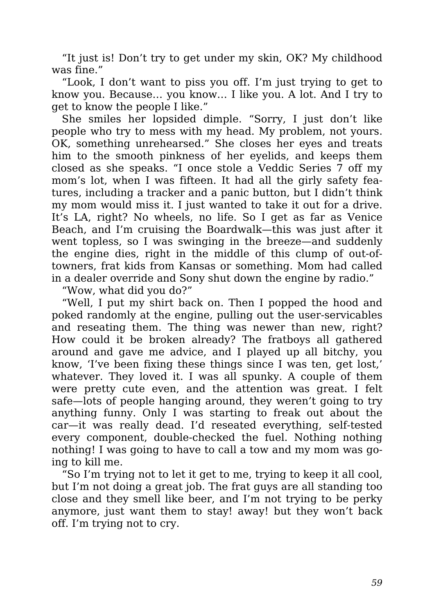"It just is! Don't try to get under my skin, OK? My childhood was fine."

"Look, I don't want to piss you off. I'm just trying to get to know you. Because… you know… I like you. A lot. And I try to get to know the people I like."

She smiles her lopsided dimple. "Sorry, I just don't like people who try to mess with my head. My problem, not yours. OK, something unrehearsed." She closes her eyes and treats him to the smooth pinkness of her eyelids, and keeps them closed as she speaks. "I once stole a Veddic Series 7 off my mom's lot, when I was fifteen. It had all the girly safety features, including a tracker and a panic button, but I didn't think my mom would miss it. I just wanted to take it out for a drive. It's LA, right? No wheels, no life. So I get as far as Venice Beach, and I'm cruising the Boardwalk—this was just after it went topless, so I was swinging in the breeze—and suddenly the engine dies, right in the middle of this clump of out-oftowners, frat kids from Kansas or something. Mom had called in a dealer override and Sony shut down the engine by radio."

"Wow, what did you do?"

"Well, I put my shirt back on. Then I popped the hood and poked randomly at the engine, pulling out the user-servicables and reseating them. The thing was newer than new, right? How could it be broken already? The fratboys all gathered around and gave me advice, and I played up all bitchy, you know, 'I've been fixing these things since I was ten, get lost,' whatever. They loved it. I was all spunky. A couple of them were pretty cute even, and the attention was great. I felt safe—lots of people hanging around, they weren't going to try anything funny. Only I was starting to freak out about the car—it was really dead. I'd reseated everything, self-tested every component, double-checked the fuel. Nothing nothing nothing! I was going to have to call a tow and my mom was going to kill me.

"So I'm trying not to let it get to me, trying to keep it all cool, but I'm not doing a great job. The frat guys are all standing too close and they smell like beer, and I'm not trying to be perky anymore, just want them to stay! away! but they won't back off. I'm trying not to cry.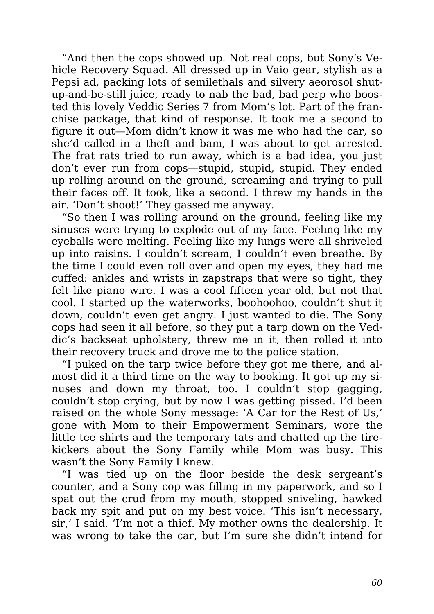"And then the cops showed up. Not real cops, but Sony's Vehicle Recovery Squad. All dressed up in Vaio gear, stylish as a Pepsi ad, packing lots of semilethals and silvery aeorosol shutup-and-be-still juice, ready to nab the bad, bad perp who boosted this lovely Veddic Series 7 from Mom's lot. Part of the franchise package, that kind of response. It took me a second to figure it out—Mom didn't know it was me who had the car, so she'd called in a theft and bam, I was about to get arrested. The frat rats tried to run away, which is a bad idea, you just don't ever run from cops—stupid, stupid, stupid. They ended up rolling around on the ground, screaming and trying to pull their faces off. It took, like a second. I threw my hands in the air. 'Don't shoot!' They gassed me anyway.

"So then I was rolling around on the ground, feeling like my sinuses were trying to explode out of my face. Feeling like my eyeballs were melting. Feeling like my lungs were all shriveled up into raisins. I couldn't scream, I couldn't even breathe. By the time I could even roll over and open my eyes, they had me cuffed: ankles and wrists in zapstraps that were so tight, they felt like piano wire. I was a cool fifteen year old, but not that cool. I started up the waterworks, boohoohoo, couldn't shut it down, couldn't even get angry. I just wanted to die. The Sony cops had seen it all before, so they put a tarp down on the Veddic's backseat upholstery, threw me in it, then rolled it into their recovery truck and drove me to the police station.

"I puked on the tarp twice before they got me there, and almost did it a third time on the way to booking. It got up my sinuses and down my throat, too. I couldn't stop gagging, couldn't stop crying, but by now I was getting pissed. I'd been raised on the whole Sony message: 'A Car for the Rest of Us,' gone with Mom to their Empowerment Seminars, wore the little tee shirts and the temporary tats and chatted up the tirekickers about the Sony Family while Mom was busy. This wasn't the Sony Family I knew.

"I was tied up on the floor beside the desk sergeant's counter, and a Sony cop was filling in my paperwork, and so I spat out the crud from my mouth, stopped sniveling, hawked back my spit and put on my best voice. 'This isn't necessary, sir,' I said. 'I'm not a thief. My mother owns the dealership. It was wrong to take the car, but I'm sure she didn't intend for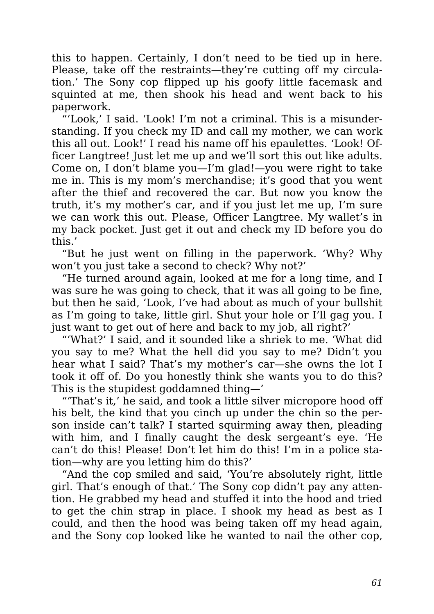this to happen. Certainly, I don't need to be tied up in here. Please, take off the restraints—they're cutting off my circulation.' The Sony cop flipped up his goofy little facemask and squinted at me, then shook his head and went back to his paperwork.

"'Look,' I said. 'Look! I'm not a criminal. This is a misunderstanding. If you check my ID and call my mother, we can work this all out. Look!' I read his name off his epaulettes. 'Look! Officer Langtree! Just let me up and we'll sort this out like adults. Come on, I don't blame you—I'm glad!—you were right to take me in. This is my mom's merchandise; it's good that you went after the thief and recovered the car. But now you know the truth, it's my mother's car, and if you just let me up, I'm sure we can work this out. Please, Officer Langtree. My wallet's in my back pocket. Just get it out and check my ID before you do this.'

"But he just went on filling in the paperwork. 'Why? Why won't you just take a second to check? Why not?'

"He turned around again, looked at me for a long time, and I was sure he was going to check, that it was all going to be fine, but then he said, 'Look, I've had about as much of your bullshit as I'm going to take, little girl. Shut your hole or I'll gag you. I just want to get out of here and back to my job, all right?'

"'What?' I said, and it sounded like a shriek to me. 'What did you say to me? What the hell did you say to me? Didn't you hear what I said? That's my mother's car—she owns the lot I took it off of. Do you honestly think she wants you to do this? This is the stupidest goddamned thing—'

"'That's it,' he said, and took a little silver micropore hood off his belt, the kind that you cinch up under the chin so the person inside can't talk? I started squirming away then, pleading with him, and I finally caught the desk sergeant's eye. 'He can't do this! Please! Don't let him do this! I'm in a police station—why are you letting him do this?'

"And the cop smiled and said, 'You're absolutely right, little girl. That's enough of that.' The Sony cop didn't pay any attention. He grabbed my head and stuffed it into the hood and tried to get the chin strap in place. I shook my head as best as I could, and then the hood was being taken off my head again, and the Sony cop looked like he wanted to nail the other cop,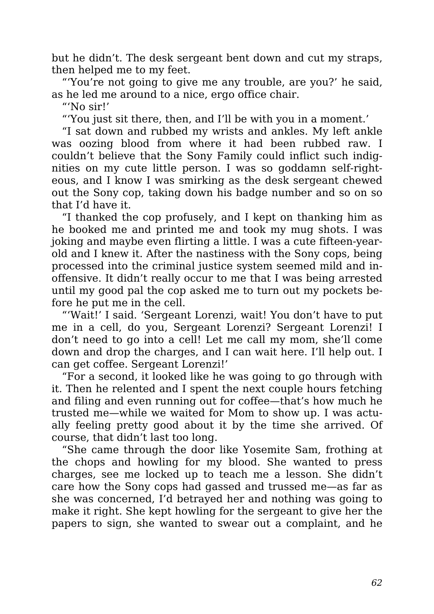but he didn't. The desk sergeant bent down and cut my straps, then helped me to my feet.

"'You're not going to give me any trouble, are you?' he said, as he led me around to a nice, ergo office chair.

"'No sir!'

"'You just sit there, then, and I'll be with you in a moment.'

"I sat down and rubbed my wrists and ankles. My left ankle was oozing blood from where it had been rubbed raw. I couldn't believe that the Sony Family could inflict such indignities on my cute little person. I was so goddamn self-righteous, and I know I was smirking as the desk sergeant chewed out the Sony cop, taking down his badge number and so on so that I'd have it.

"I thanked the cop profusely, and I kept on thanking him as he booked me and printed me and took my mug shots. I was joking and maybe even flirting a little. I was a cute fifteen-yearold and I knew it. After the nastiness with the Sony cops, being processed into the criminal justice system seemed mild and inoffensive. It didn't really occur to me that I was being arrested until my good pal the cop asked me to turn out my pockets before he put me in the cell.

"'Wait!' I said. 'Sergeant Lorenzi, wait! You don't have to put me in a cell, do you, Sergeant Lorenzi? Sergeant Lorenzi! I don't need to go into a cell! Let me call my mom, she'll come down and drop the charges, and I can wait here. I'll help out. I can get coffee. Sergeant Lorenzi!'

"For a second, it looked like he was going to go through with it. Then he relented and I spent the next couple hours fetching and filing and even running out for coffee—that's how much he trusted me—while we waited for Mom to show up. I was actually feeling pretty good about it by the time she arrived. Of course, that didn't last too long.

"She came through the door like Yosemite Sam, frothing at the chops and howling for my blood. She wanted to press charges, see me locked up to teach me a lesson. She didn't care how the Sony cops had gassed and trussed me—as far as she was concerned, I'd betrayed her and nothing was going to make it right. She kept howling for the sergeant to give her the papers to sign, she wanted to swear out a complaint, and he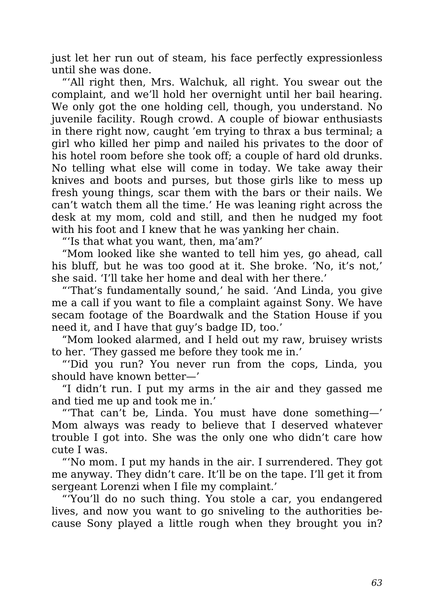just let her run out of steam, his face perfectly expressionless until she was done.

"'All right then, Mrs. Walchuk, all right. You swear out the complaint, and we'll hold her overnight until her bail hearing. We only got the one holding cell, though, you understand. No juvenile facility. Rough crowd. A couple of biowar enthusiasts in there right now, caught 'em trying to thrax a bus terminal; a girl who killed her pimp and nailed his privates to the door of his hotel room before she took off; a couple of hard old drunks. No telling what else will come in today. We take away their knives and boots and purses, but those girls like to mess up fresh young things, scar them with the bars or their nails. We can't watch them all the time.' He was leaning right across the desk at my mom, cold and still, and then he nudged my foot with his foot and I knew that he was yanking her chain.

"'Is that what you want, then, ma'am?'

"Mom looked like she wanted to tell him yes, go ahead, call his bluff, but he was too good at it. She broke. 'No, it's not,' she said. 'I'll take her home and deal with her there.'

"'That's fundamentally sound,' he said. 'And Linda, you give me a call if you want to file a complaint against Sony. We have secam footage of the Boardwalk and the Station House if you need it, and I have that guy's badge ID, too.'

"Mom looked alarmed, and I held out my raw, bruisey wrists to her. 'They gassed me before they took me in.'

"'Did you run? You never run from the cops, Linda, you should have known better—'

"I didn't run. I put my arms in the air and they gassed me and tied me up and took me in.'

"'That can't be, Linda. You must have done something—' Mom always was ready to believe that I deserved whatever trouble I got into. She was the only one who didn't care how cute I was.

"'No mom. I put my hands in the air. I surrendered. They got me anyway. They didn't care. It'll be on the tape. I'll get it from sergeant Lorenzi when I file my complaint.'

"'You'll do no such thing. You stole a car, you endangered lives, and now you want to go sniveling to the authorities because Sony played a little rough when they brought you in?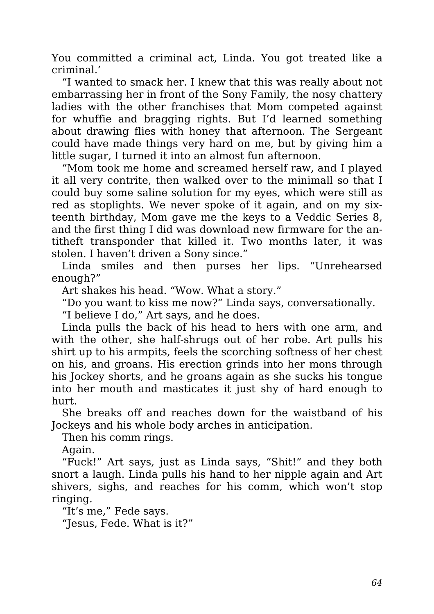You committed a criminal act, Linda. You got treated like a criminal.'

"I wanted to smack her. I knew that this was really about not embarrassing her in front of the Sony Family, the nosy chattery ladies with the other franchises that Mom competed against for whuffie and bragging rights. But I'd learned something about drawing flies with honey that afternoon. The Sergeant could have made things very hard on me, but by giving him a little sugar, I turned it into an almost fun afternoon.

"Mom took me home and screamed herself raw, and I played it all very contrite, then walked over to the minimall so that I could buy some saline solution for my eyes, which were still as red as stoplights. We never spoke of it again, and on my sixteenth birthday, Mom gave me the keys to a Veddic Series 8, and the first thing I did was download new firmware for the antitheft transponder that killed it. Two months later, it was stolen. I haven't driven a Sony since."

Linda smiles and then purses her lips. "Unrehearsed enough?"

Art shakes his head. "Wow. What a story."

"Do you want to kiss me now?" Linda says, conversationally.

"I believe I do," Art says, and he does.

Linda pulls the back of his head to hers with one arm, and with the other, she half-shrugs out of her robe. Art pulls his shirt up to his armpits, feels the scorching softness of her chest on his, and groans. His erection grinds into her mons through his Jockey shorts, and he groans again as she sucks his tongue into her mouth and masticates it just shy of hard enough to hurt.

She breaks off and reaches down for the waistband of his Jockeys and his whole body arches in anticipation.

Then his comm rings.

Again.

"Fuck!" Art says, just as Linda says, "Shit!" and they both snort a laugh. Linda pulls his hand to her nipple again and Art shivers, sighs, and reaches for his comm, which won't stop ringing.

"It's me," Fede says.

"Jesus, Fede. What is it?"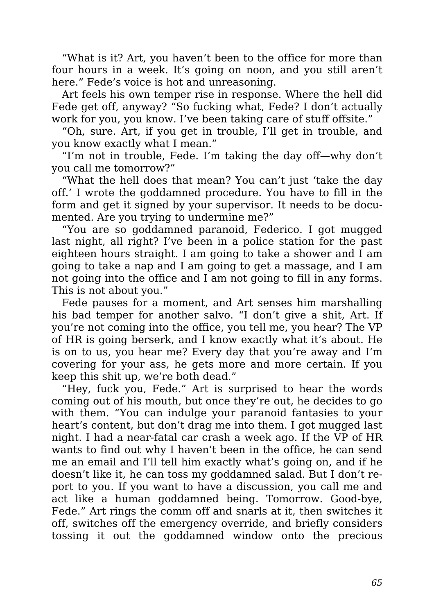"What is it? Art, you haven't been to the office for more than four hours in a week. It's going on noon, and you still aren't here." Fede's voice is hot and unreasoning.

Art feels his own temper rise in response. Where the hell did Fede get off, anyway? "So fucking what, Fede? I don't actually work for you, you know. I've been taking care of stuff offsite."

"Oh, sure. Art, if you get in trouble, I'll get in trouble, and you know exactly what I mean."

"I'm not in trouble, Fede. I'm taking the day off—why don't you call me tomorrow?"

"What the hell does that mean? You can't just 'take the day off.' I wrote the goddamned procedure. You have to fill in the form and get it signed by your supervisor. It needs to be documented. Are you trying to undermine me?"

"You are so goddamned paranoid, Federico. I got mugged last night, all right? I've been in a police station for the past eighteen hours straight. I am going to take a shower and I am going to take a nap and I am going to get a massage, and I am not going into the office and I am not going to fill in any forms. This is not about you."

Fede pauses for a moment, and Art senses him marshalling his bad temper for another salvo. "I don't give a shit, Art. If you're not coming into the office, you tell me, you hear? The VP of HR is going berserk, and I know exactly what it's about. He is on to us, you hear me? Every day that you're away and I'm covering for your ass, he gets more and more certain. If you keep this shit up, we're both dead."

"Hey, fuck you, Fede." Art is surprised to hear the words coming out of his mouth, but once they're out, he decides to go with them. "You can indulge your paranoid fantasies to your heart's content, but don't drag me into them. I got mugged last night. I had a near-fatal car crash a week ago. If the VP of HR wants to find out why I haven't been in the office, he can send me an email and I'll tell him exactly what's going on, and if he doesn't like it, he can toss my goddamned salad. But I don't report to you. If you want to have a discussion, you call me and act like a human goddamned being. Tomorrow. Good-bye, Fede." Art rings the comm off and snarls at it, then switches it off, switches off the emergency override, and briefly considers tossing it out the goddamned window onto the precious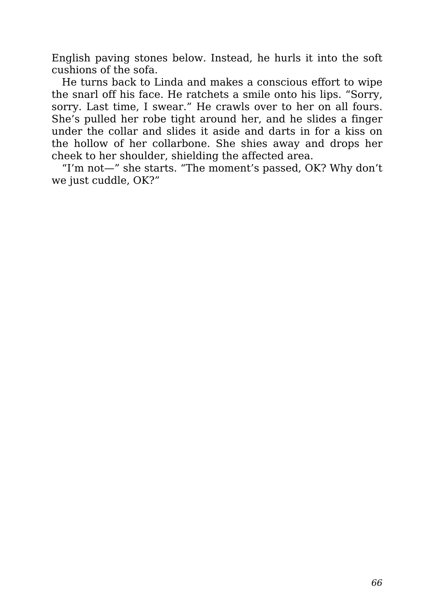English paving stones below. Instead, he hurls it into the soft cushions of the sofa.

He turns back to Linda and makes a conscious effort to wipe the snarl off his face. He ratchets a smile onto his lips. "Sorry, sorry. Last time, I swear." He crawls over to her on all fours. She's pulled her robe tight around her, and he slides a finger under the collar and slides it aside and darts in for a kiss on the hollow of her collarbone. She shies away and drops her cheek to her shoulder, shielding the affected area.

"I'm not—" she starts. "The moment's passed, OK? Why don't we just cuddle, OK?"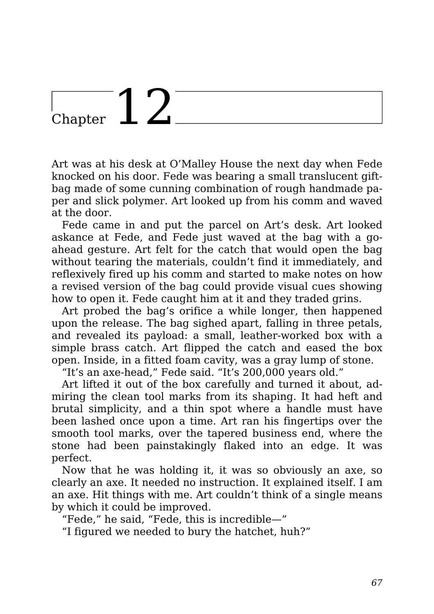## Chapter  $12$

Art was at his desk at O'Malley House the next day when Fede knocked on his door. Fede was bearing a small translucent giftbag made of some cunning combination of rough handmade paper and slick polymer. Art looked up from his comm and waved at the door.

Fede came in and put the parcel on Art's desk. Art looked askance at Fede, and Fede just waved at the bag with a goahead gesture. Art felt for the catch that would open the bag without tearing the materials, couldn't find it immediately, and reflexively fired up his comm and started to make notes on how a revised version of the bag could provide visual cues showing how to open it. Fede caught him at it and they traded grins.

Art probed the bag's orifice a while longer, then happened upon the release. The bag sighed apart, falling in three petals, and revealed its payload: a small, leather-worked box with a simple brass catch. Art flipped the catch and eased the box open. Inside, in a fitted foam cavity, was a gray lump of stone.

"It's an axe-head," Fede said. "It's 200,000 years old."

Art lifted it out of the box carefully and turned it about, admiring the clean tool marks from its shaping. It had heft and brutal simplicity, and a thin spot where a handle must have been lashed once upon a time. Art ran his fingertips over the smooth tool marks, over the tapered business end, where the stone had been painstakingly flaked into an edge. It was perfect.

Now that he was holding it, it was so obviously an axe, so clearly an axe. It needed no instruction. It explained itself. I am an axe. Hit things with me. Art couldn't think of a single means by which it could be improved.

"Fede," he said, "Fede, this is incredible—"

"I figured we needed to bury the hatchet, huh?"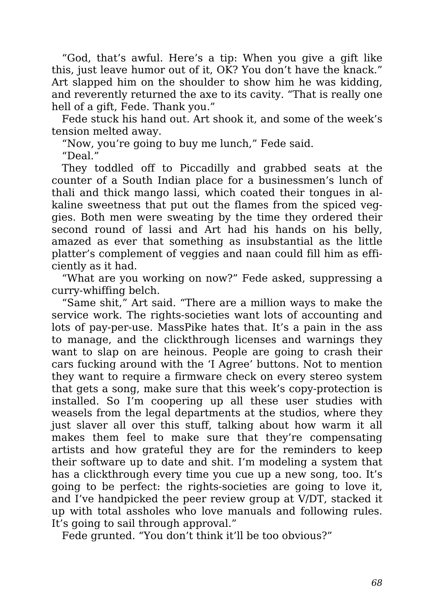"God, that's awful. Here's a tip: When you give a gift like this, just leave humor out of it, OK? You don't have the knack." Art slapped him on the shoulder to show him he was kidding, and reverently returned the axe to its cavity. "That is really one hell of a gift, Fede. Thank you."

Fede stuck his hand out. Art shook it, and some of the week's tension melted away.

"Now, you're going to buy me lunch," Fede said.

"Deal."

They toddled off to Piccadilly and grabbed seats at the counter of a South Indian place for a businessmen's lunch of thali and thick mango lassi, which coated their tongues in alkaline sweetness that put out the flames from the spiced veggies. Both men were sweating by the time they ordered their second round of lassi and Art had his hands on his belly, amazed as ever that something as insubstantial as the little platter's complement of veggies and naan could fill him as efficiently as it had.

"What are you working on now?" Fede asked, suppressing a curry-whiffing belch.

"Same shit," Art said. "There are a million ways to make the service work. The rights-societies want lots of accounting and lots of pay-per-use. MassPike hates that. It's a pain in the ass to manage, and the clickthrough licenses and warnings they want to slap on are heinous. People are going to crash their cars fucking around with the 'I Agree' buttons. Not to mention they want to require a firmware check on every stereo system that gets a song, make sure that this week's copy-protection is installed. So I'm coopering up all these user studies with weasels from the legal departments at the studios, where they just slaver all over this stuff, talking about how warm it all makes them feel to make sure that they're compensating artists and how grateful they are for the reminders to keep their software up to date and shit. I'm modeling a system that has a clickthrough every time you cue up a new song, too. It's going to be perfect: the rights-societies are going to love it, and I've handpicked the peer review group at V/DT, stacked it up with total assholes who love manuals and following rules. It's going to sail through approval."

Fede grunted. "You don't think it'll be too obvious?"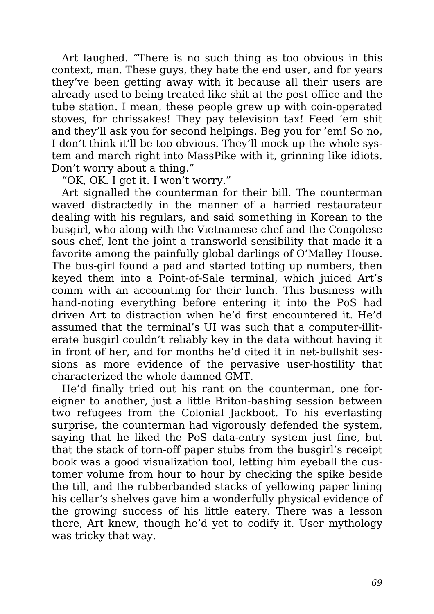Art laughed. "There is no such thing as too obvious in this context, man. These guys, they hate the end user, and for years they've been getting away with it because all their users are already used to being treated like shit at the post office and the tube station. I mean, these people grew up with coin-operated stoves, for chrissakes! They pay television tax! Feed 'em shit and they'll ask you for second helpings. Beg you for 'em! So no, I don't think it'll be too obvious. They'll mock up the whole system and march right into MassPike with it, grinning like idiots. Don't worry about a thing."

"OK, OK. I get it. I won't worry."

Art signalled the counterman for their bill. The counterman waved distractedly in the manner of a harried restaurateur dealing with his regulars, and said something in Korean to the busgirl, who along with the Vietnamese chef and the Congolese sous chef, lent the joint a transworld sensibility that made it a favorite among the painfully global darlings of O'Malley House. The bus-girl found a pad and started totting up numbers, then keyed them into a Point-of-Sale terminal, which juiced Art's comm with an accounting for their lunch. This business with hand-noting everything before entering it into the PoS had driven Art to distraction when he'd first encountered it. He'd assumed that the terminal's UI was such that a computer-illiterate busgirl couldn't reliably key in the data without having it in front of her, and for months he'd cited it in net-bullshit sessions as more evidence of the pervasive user-hostility that characterized the whole damned GMT.

He'd finally tried out his rant on the counterman, one foreigner to another, just a little Briton-bashing session between two refugees from the Colonial Jackboot. To his everlasting surprise, the counterman had vigorously defended the system, saying that he liked the PoS data-entry system just fine, but that the stack of torn-off paper stubs from the busgirl's receipt book was a good visualization tool, letting him eyeball the customer volume from hour to hour by checking the spike beside the till, and the rubberbanded stacks of yellowing paper lining his cellar's shelves gave him a wonderfully physical evidence of the growing success of his little eatery. There was a lesson there, Art knew, though he'd yet to codify it. User mythology was tricky that way.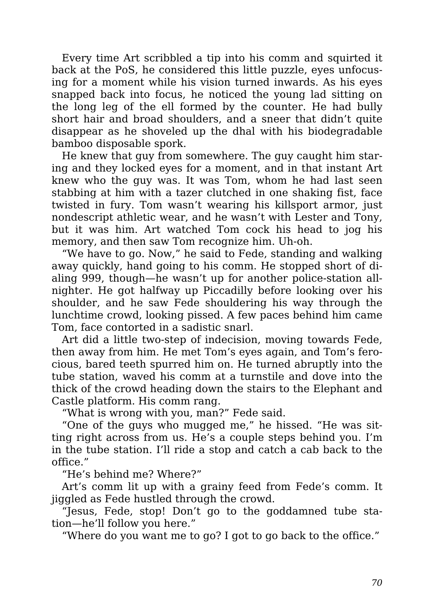Every time Art scribbled a tip into his comm and squirted it back at the PoS, he considered this little puzzle, eyes unfocusing for a moment while his vision turned inwards. As his eyes snapped back into focus, he noticed the young lad sitting on the long leg of the ell formed by the counter. He had bully short hair and broad shoulders, and a sneer that didn't quite disappear as he shoveled up the dhal with his biodegradable bamboo disposable spork.

He knew that guy from somewhere. The guy caught him staring and they locked eyes for a moment, and in that instant Art knew who the guy was. It was Tom, whom he had last seen stabbing at him with a tazer clutched in one shaking fist, face twisted in fury. Tom wasn't wearing his killsport armor, just nondescript athletic wear, and he wasn't with Lester and Tony, but it was him. Art watched Tom cock his head to jog his memory, and then saw Tom recognize him. Uh-oh.

"We have to go. Now," he said to Fede, standing and walking away quickly, hand going to his comm. He stopped short of dialing 999, though—he wasn't up for another police-station allnighter. He got halfway up Piccadilly before looking over his shoulder, and he saw Fede shouldering his way through the lunchtime crowd, looking pissed. A few paces behind him came Tom, face contorted in a sadistic snarl.

Art did a little two-step of indecision, moving towards Fede, then away from him. He met Tom's eyes again, and Tom's ferocious, bared teeth spurred him on. He turned abruptly into the tube station, waved his comm at a turnstile and dove into the thick of the crowd heading down the stairs to the Elephant and Castle platform. His comm rang.

"What is wrong with you, man?" Fede said.

"One of the guys who mugged me," he hissed. "He was sitting right across from us. He's a couple steps behind you. I'm in the tube station. I'll ride a stop and catch a cab back to the office."

"He's behind me? Where?"

Art's comm lit up with a grainy feed from Fede's comm. It jiggled as Fede hustled through the crowd.

"Jesus, Fede, stop! Don't go to the goddamned tube station—he'll follow you here."

"Where do you want me to go? I got to go back to the office."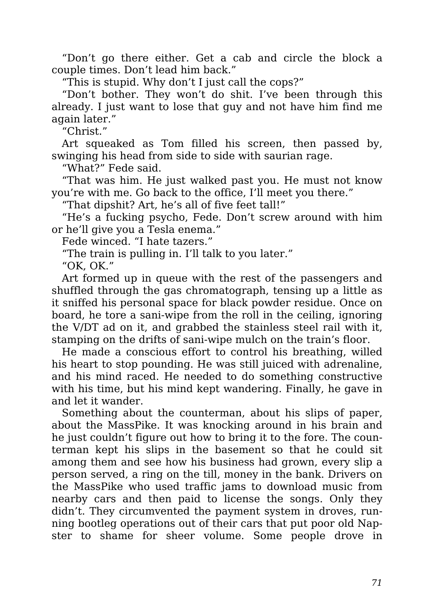"Don't go there either. Get a cab and circle the block a couple times. Don't lead him back."

"This is stupid. Why don't I just call the cops?"

"Don't bother. They won't do shit. I've been through this already. I just want to lose that guy and not have him find me again later."

"Christ."

Art squeaked as Tom filled his screen, then passed by, swinging his head from side to side with saurian rage.

"What?" Fede said.

"That was him. He just walked past you. He must not know you're with me. Go back to the office, I'll meet you there."

"That dipshit? Art, he's all of five feet tall!"

"He's a fucking psycho, Fede. Don't screw around with him or he'll give you a Tesla enema."

Fede winced. "I hate tazers."

"The train is pulling in. I'll talk to you later."

"OK, OK."

Art formed up in queue with the rest of the passengers and shuffled through the gas chromatograph, tensing up a little as it sniffed his personal space for black powder residue. Once on board, he tore a sani-wipe from the roll in the ceiling, ignoring the V/DT ad on it, and grabbed the stainless steel rail with it, stamping on the drifts of sani-wipe mulch on the train's floor.

He made a conscious effort to control his breathing, willed his heart to stop pounding. He was still juiced with adrenaline, and his mind raced. He needed to do something constructive with his time, but his mind kept wandering. Finally, he gave in and let it wander.

Something about the counterman, about his slips of paper, about the MassPike. It was knocking around in his brain and he just couldn't figure out how to bring it to the fore. The counterman kept his slips in the basement so that he could sit among them and see how his business had grown, every slip a person served, a ring on the till, money in the bank. Drivers on the MassPike who used traffic jams to download music from nearby cars and then paid to license the songs. Only they didn't. They circumvented the payment system in droves, running bootleg operations out of their cars that put poor old Napster to shame for sheer volume. Some people drove in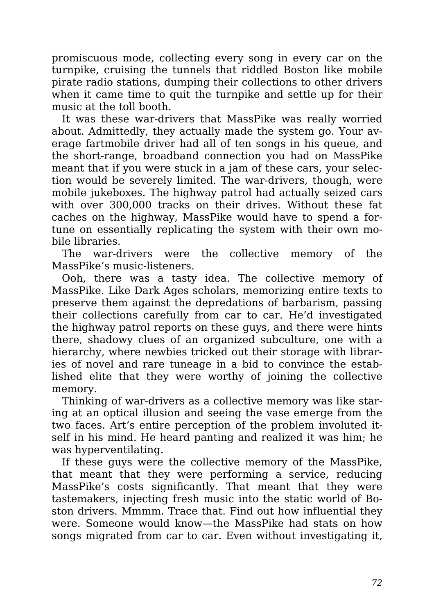promiscuous mode, collecting every song in every car on the turnpike, cruising the tunnels that riddled Boston like mobile pirate radio stations, dumping their collections to other drivers when it came time to quit the turnpike and settle up for their music at the toll booth.

It was these war-drivers that MassPike was really worried about. Admittedly, they actually made the system go. Your average fartmobile driver had all of ten songs in his queue, and the short-range, broadband connection you had on MassPike meant that if you were stuck in a jam of these cars, your selection would be severely limited. The war-drivers, though, were mobile jukeboxes. The highway patrol had actually seized cars with over 300,000 tracks on their drives. Without these fat caches on the highway, MassPike would have to spend a fortune on essentially replicating the system with their own mobile libraries.

The war-drivers were the collective memory of the MassPike's music-listeners.

Ooh, there was a tasty idea. The collective memory of MassPike. Like Dark Ages scholars, memorizing entire texts to preserve them against the depredations of barbarism, passing their collections carefully from car to car. He'd investigated the highway patrol reports on these guys, and there were hints there, shadowy clues of an organized subculture, one with a hierarchy, where newbies tricked out their storage with libraries of novel and rare tuneage in a bid to convince the established elite that they were worthy of joining the collective memory.

Thinking of war-drivers as a collective memory was like staring at an optical illusion and seeing the vase emerge from the two faces. Art's entire perception of the problem involuted itself in his mind. He heard panting and realized it was him; he was hyperventilating.

If these guys were the collective memory of the MassPike, that meant that they were performing a service, reducing MassPike's costs significantly. That meant that they were tastemakers, injecting fresh music into the static world of Boston drivers. Mmmm. Trace that. Find out how influential they were. Someone would know—the MassPike had stats on how songs migrated from car to car. Even without investigating it,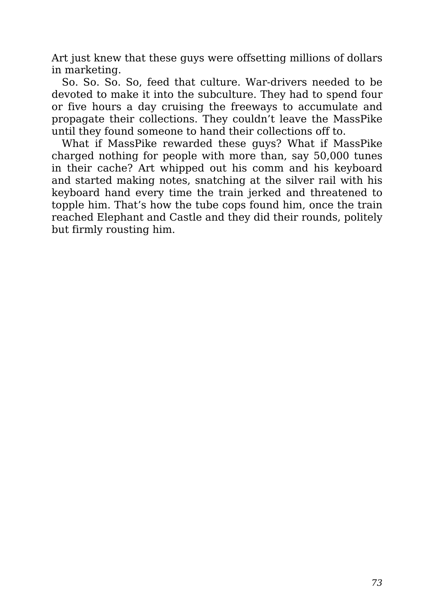Art just knew that these guys were offsetting millions of dollars in marketing.

So. So. So. So, feed that culture. War-drivers needed to be devoted to make it into the subculture. They had to spend four or five hours a day cruising the freeways to accumulate and propagate their collections. They couldn't leave the MassPike until they found someone to hand their collections off to.

What if MassPike rewarded these guys? What if MassPike charged nothing for people with more than, say 50,000 tunes in their cache? Art whipped out his comm and his keyboard and started making notes, snatching at the silver rail with his keyboard hand every time the train jerked and threatened to topple him. That's how the tube cops found him, once the train reached Elephant and Castle and they did their rounds, politely but firmly rousting him.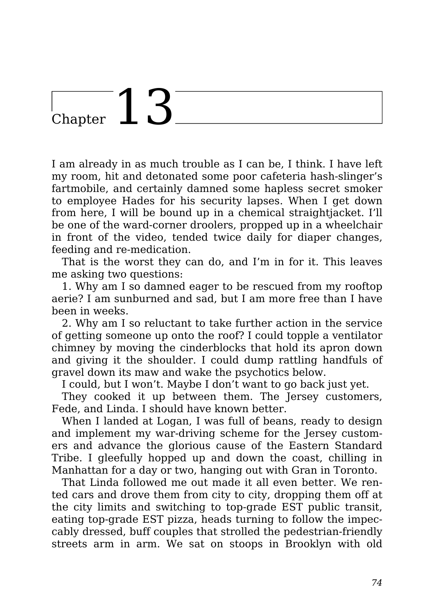#### Chapter  $13$

I am already in as much trouble as I can be, I think. I have left my room, hit and detonated some poor cafeteria hash-slinger's fartmobile, and certainly damned some hapless secret smoker to employee Hades for his security lapses. When I get down from here, I will be bound up in a chemical straightjacket. I'll be one of the ward-corner droolers, propped up in a wheelchair in front of the video, tended twice daily for diaper changes, feeding and re-medication.

That is the worst they can do, and I'm in for it. This leaves me asking two questions:

1. Why am I so damned eager to be rescued from my rooftop aerie? I am sunburned and sad, but I am more free than I have been in weeks.

2. Why am I so reluctant to take further action in the service of getting someone up onto the roof? I could topple a ventilator chimney by moving the cinderblocks that hold its apron down and giving it the shoulder. I could dump rattling handfuls of gravel down its maw and wake the psychotics below.

I could, but I won't. Maybe I don't want to go back just yet.

They cooked it up between them. The Jersey customers, Fede, and Linda. I should have known better.

When I landed at Logan, I was full of beans, ready to design and implement my war-driving scheme for the Jersey customers and advance the glorious cause of the Eastern Standard Tribe. I gleefully hopped up and down the coast, chilling in Manhattan for a day or two, hanging out with Gran in Toronto.

That Linda followed me out made it all even better. We rented cars and drove them from city to city, dropping them off at the city limits and switching to top-grade EST public transit, eating top-grade EST pizza, heads turning to follow the impeccably dressed, buff couples that strolled the pedestrian-friendly streets arm in arm. We sat on stoops in Brooklyn with old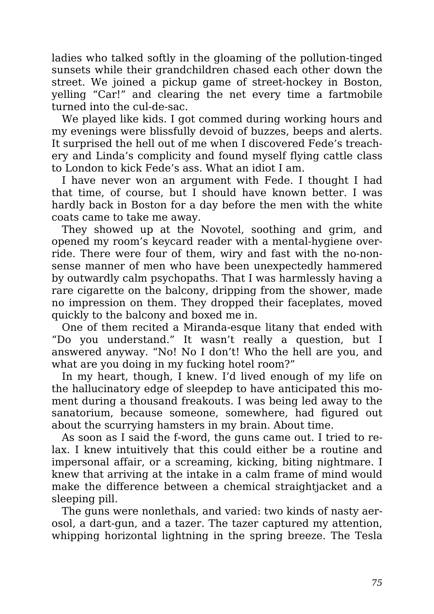ladies who talked softly in the gloaming of the pollution-tinged sunsets while their grandchildren chased each other down the street. We joined a pickup game of street-hockey in Boston, yelling "Car!" and clearing the net every time a fartmobile turned into the cul-de-sac.

We played like kids. I got commed during working hours and my evenings were blissfully devoid of buzzes, beeps and alerts. It surprised the hell out of me when I discovered Fede's treachery and Linda's complicity and found myself flying cattle class to London to kick Fede's ass. What an idiot I am.

I have never won an argument with Fede. I thought I had that time, of course, but I should have known better. I was hardly back in Boston for a day before the men with the white coats came to take me away.

They showed up at the Novotel, soothing and grim, and opened my room's keycard reader with a mental-hygiene override. There were four of them, wiry and fast with the no-nonsense manner of men who have been unexpectedly hammered by outwardly calm psychopaths. That I was harmlessly having a rare cigarette on the balcony, dripping from the shower, made no impression on them. They dropped their faceplates, moved quickly to the balcony and boxed me in.

One of them recited a Miranda-esque litany that ended with "Do you understand." It wasn't really a question, but I answered anyway. "No! No I don't! Who the hell are you, and what are you doing in my fucking hotel room?"

In my heart, though, I knew. I'd lived enough of my life on the hallucinatory edge of sleepdep to have anticipated this moment during a thousand freakouts. I was being led away to the sanatorium, because someone, somewhere, had figured out about the scurrying hamsters in my brain. About time.

As soon as I said the f-word, the guns came out. I tried to relax. I knew intuitively that this could either be a routine and impersonal affair, or a screaming, kicking, biting nightmare. I knew that arriving at the intake in a calm frame of mind would make the difference between a chemical straightjacket and a sleeping pill.

The guns were nonlethals, and varied: two kinds of nasty aerosol, a dart-gun, and a tazer. The tazer captured my attention, whipping horizontal lightning in the spring breeze. The Tesla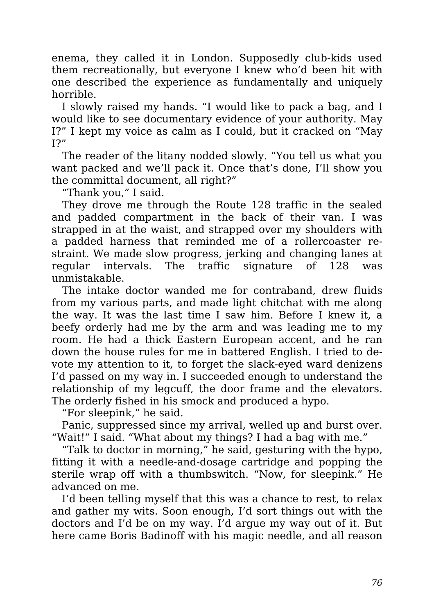enema, they called it in London. Supposedly club-kids used them recreationally, but everyone I knew who'd been hit with one described the experience as fundamentally and uniquely horrible.

I slowly raised my hands. "I would like to pack a bag, and I would like to see documentary evidence of your authority. May I?" I kept my voice as calm as I could, but it cracked on "May  $I$ ?"

The reader of the litany nodded slowly. "You tell us what you want packed and we'll pack it. Once that's done, I'll show you the committal document, all right?"

"Thank you," I said.

They drove me through the Route 128 traffic in the sealed and padded compartment in the back of their van. I was strapped in at the waist, and strapped over my shoulders with a padded harness that reminded me of a rollercoaster restraint. We made slow progress, jerking and changing lanes at regular intervals. The traffic signature of 128 was unmistakable.

The intake doctor wanded me for contraband, drew fluids from my various parts, and made light chitchat with me along the way. It was the last time I saw him. Before I knew it, a beefy orderly had me by the arm and was leading me to my room. He had a thick Eastern European accent, and he ran down the house rules for me in battered English. I tried to devote my attention to it, to forget the slack-eyed ward denizens I'd passed on my way in. I succeeded enough to understand the relationship of my legcuff, the door frame and the elevators. The orderly fished in his smock and produced a hypo.

"For sleepink," he said.

Panic, suppressed since my arrival, welled up and burst over. "Wait!" I said. "What about my things? I had a bag with me."

"Talk to doctor in morning," he said, gesturing with the hypo, fitting it with a needle-and-dosage cartridge and popping the sterile wrap off with a thumbswitch. "Now, for sleepink." He advanced on me.

I'd been telling myself that this was a chance to rest, to relax and gather my wits. Soon enough, I'd sort things out with the doctors and I'd be on my way. I'd argue my way out of it. But here came Boris Badinoff with his magic needle, and all reason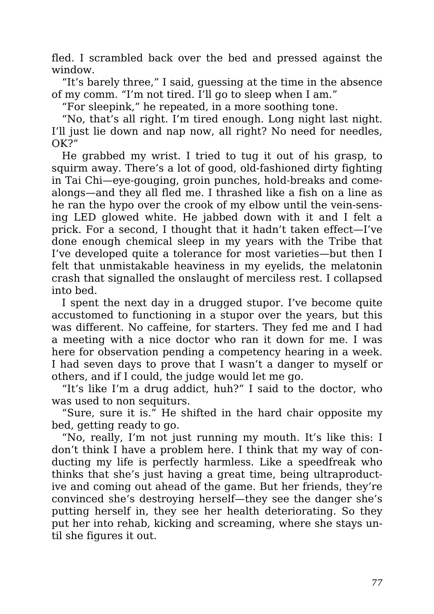fled. I scrambled back over the bed and pressed against the window.

"It's barely three," I said, guessing at the time in the absence of my comm. "I'm not tired. I'll go to sleep when I am."

"For sleepink," he repeated, in a more soothing tone.

"No, that's all right. I'm tired enough. Long night last night. I'll just lie down and nap now, all right? No need for needles, OK?"

He grabbed my wrist. I tried to tug it out of his grasp, to squirm away. There's a lot of good, old-fashioned dirty fighting in Tai Chi—eye-gouging, groin punches, hold-breaks and comealongs—and they all fled me. I thrashed like a fish on a line as he ran the hypo over the crook of my elbow until the vein-sensing LED glowed white. He jabbed down with it and I felt a prick. For a second, I thought that it hadn't taken effect—I've done enough chemical sleep in my years with the Tribe that I've developed quite a tolerance for most varieties—but then I felt that unmistakable heaviness in my eyelids, the melatonin crash that signalled the onslaught of merciless rest. I collapsed into bed.

I spent the next day in a drugged stupor. I've become quite accustomed to functioning in a stupor over the years, but this was different. No caffeine, for starters. They fed me and I had a meeting with a nice doctor who ran it down for me. I was here for observation pending a competency hearing in a week. I had seven days to prove that I wasn't a danger to myself or others, and if I could, the judge would let me go.

"It's like I'm a drug addict, huh?" I said to the doctor, who was used to non sequiturs.

"Sure, sure it is." He shifted in the hard chair opposite my bed, getting ready to go.

"No, really, I'm not just running my mouth. It's like this: I don't think I have a problem here. I think that my way of conducting my life is perfectly harmless. Like a speedfreak who thinks that she's just having a great time, being ultraproductive and coming out ahead of the game. But her friends, they're convinced she's destroying herself—they see the danger she's putting herself in, they see her health deteriorating. So they put her into rehab, kicking and screaming, where she stays until she figures it out.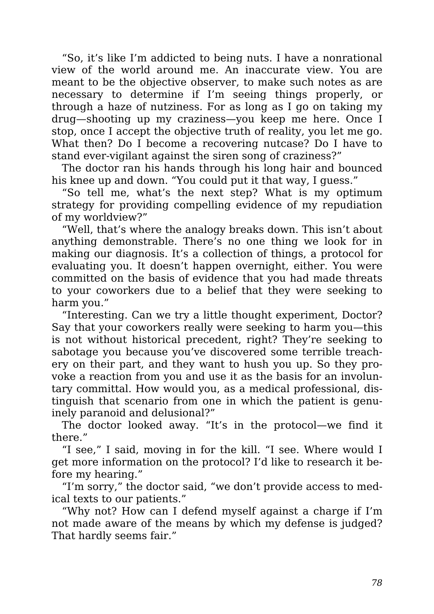"So, it's like I'm addicted to being nuts. I have a nonrational view of the world around me. An inaccurate view. You are meant to be the objective observer, to make such notes as are necessary to determine if I'm seeing things properly, or through a haze of nutziness. For as long as I go on taking my drug—shooting up my craziness—you keep me here. Once I stop, once I accept the objective truth of reality, you let me go. What then? Do I become a recovering nutcase? Do I have to stand ever-vigilant against the siren song of craziness?"

The doctor ran his hands through his long hair and bounced his knee up and down. "You could put it that way, I guess."

"So tell me, what's the next step? What is my optimum strategy for providing compelling evidence of my repudiation of my worldview?"

"Well, that's where the analogy breaks down. This isn't about anything demonstrable. There's no one thing we look for in making our diagnosis. It's a collection of things, a protocol for evaluating you. It doesn't happen overnight, either. You were committed on the basis of evidence that you had made threats to your coworkers due to a belief that they were seeking to harm you."

"Interesting. Can we try a little thought experiment, Doctor? Say that your coworkers really were seeking to harm you—this is not without historical precedent, right? They're seeking to sabotage you because you've discovered some terrible treachery on their part, and they want to hush you up. So they provoke a reaction from you and use it as the basis for an involuntary committal. How would you, as a medical professional, distinguish that scenario from one in which the patient is genuinely paranoid and delusional?"

The doctor looked away. "It's in the protocol—we find it there."

"I see," I said, moving in for the kill. "I see. Where would I get more information on the protocol? I'd like to research it before my hearing."

"I'm sorry," the doctor said, "we don't provide access to medical texts to our patients."

"Why not? How can I defend myself against a charge if I'm not made aware of the means by which my defense is judged? That hardly seems fair."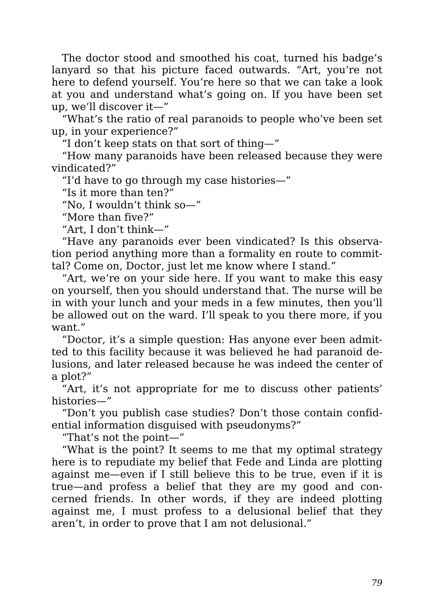The doctor stood and smoothed his coat, turned his badge's lanyard so that his picture faced outwards. "Art, you're not here to defend yourself. You're here so that we can take a look at you and understand what's going on. If you have been set up, we'll discover it—"

"What's the ratio of real paranoids to people who've been set up, in your experience?"

"I don't keep stats on that sort of thing—"

"How many paranoids have been released because they were vindicated?"

"I'd have to go through my case histories—"

"Is it more than ten?"

"No, I wouldn't think so—"

"More than five?"

"Art, I don't think—"

"Have any paranoids ever been vindicated? Is this observation period anything more than a formality en route to committal? Come on, Doctor, just let me know where I stand."

"Art, we're on your side here. If you want to make this easy on yourself, then you should understand that. The nurse will be in with your lunch and your meds in a few minutes, then you'll be allowed out on the ward. I'll speak to you there more, if you want."

"Doctor, it's a simple question: Has anyone ever been admitted to this facility because it was believed he had paranoid delusions, and later released because he was indeed the center of a plot?"

"Art, it's not appropriate for me to discuss other patients' histories—"

"Don't you publish case studies? Don't those contain confidential information disguised with pseudonyms?"

"That's not the point—"

"What is the point? It seems to me that my optimal strategy here is to repudiate my belief that Fede and Linda are plotting against me—even if I still believe this to be true, even if it is true—and profess a belief that they are my good and concerned friends. In other words, if they are indeed plotting against me, I must profess to a delusional belief that they aren't, in order to prove that I am not delusional."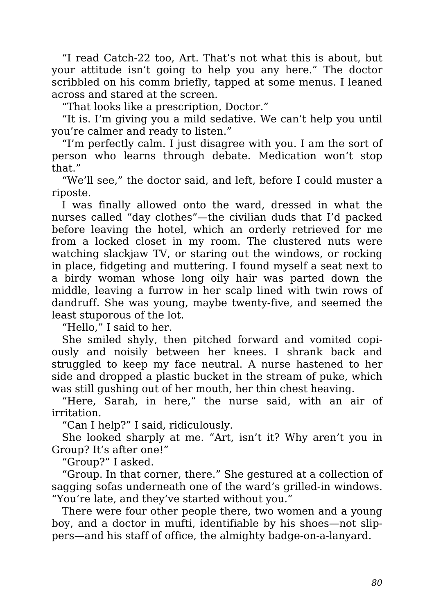"I read Catch-22 too, Art. That's not what this is about, but your attitude isn't going to help you any here." The doctor scribbled on his comm briefly, tapped at some menus. I leaned across and stared at the screen.

"That looks like a prescription, Doctor."

"It is. I'm giving you a mild sedative. We can't help you until you're calmer and ready to listen."

"I'm perfectly calm. I just disagree with you. I am the sort of person who learns through debate. Medication won't stop that."

"We'll see," the doctor said, and left, before I could muster a riposte.

I was finally allowed onto the ward, dressed in what the nurses called "day clothes"—the civilian duds that I'd packed before leaving the hotel, which an orderly retrieved for me from a locked closet in my room. The clustered nuts were watching slackjaw TV, or staring out the windows, or rocking in place, fidgeting and muttering. I found myself a seat next to a birdy woman whose long oily hair was parted down the middle, leaving a furrow in her scalp lined with twin rows of dandruff. She was young, maybe twenty-five, and seemed the least stuporous of the lot.

"Hello," I said to her.

She smiled shyly, then pitched forward and vomited copiously and noisily between her knees. I shrank back and struggled to keep my face neutral. A nurse hastened to her side and dropped a plastic bucket in the stream of puke, which was still gushing out of her mouth, her thin chest heaving.

"Here, Sarah, in here," the nurse said, with an air of irritation.

"Can I help?" I said, ridiculously.

She looked sharply at me. "Art, isn't it? Why aren't you in Group? It's after one!"

"Group?" I asked.

"Group. In that corner, there." She gestured at a collection of sagging sofas underneath one of the ward's grilled-in windows. "You're late, and they've started without you."

There were four other people there, two women and a young boy, and a doctor in mufti, identifiable by his shoes—not slippers—and his staff of office, the almighty badge-on-a-lanyard.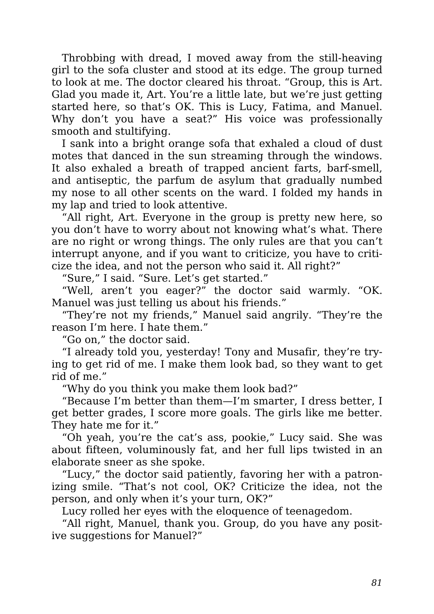Throbbing with dread, I moved away from the still-heaving girl to the sofa cluster and stood at its edge. The group turned to look at me. The doctor cleared his throat. "Group, this is Art. Glad you made it, Art. You're a little late, but we're just getting started here, so that's OK. This is Lucy, Fatima, and Manuel. Why don't you have a seat?" His voice was professionally smooth and stultifying.

I sank into a bright orange sofa that exhaled a cloud of dust motes that danced in the sun streaming through the windows. It also exhaled a breath of trapped ancient farts, barf-smell, and antiseptic, the parfum de asylum that gradually numbed my nose to all other scents on the ward. I folded my hands in my lap and tried to look attentive.

"All right, Art. Everyone in the group is pretty new here, so you don't have to worry about not knowing what's what. There are no right or wrong things. The only rules are that you can't interrupt anyone, and if you want to criticize, you have to criticize the idea, and not the person who said it. All right?"

"Sure," I said. "Sure. Let's get started."

"Well, aren't you eager?" the doctor said warmly. "OK. Manuel was just telling us about his friends."

"They're not my friends," Manuel said angrily. "They're the reason I'm here. I hate them."

"Go on," the doctor said.

"I already told you, yesterday! Tony and Musafir, they're trying to get rid of me. I make them look bad, so they want to get rid of me."

"Why do you think you make them look bad?"

"Because I'm better than them—I'm smarter, I dress better, I get better grades, I score more goals. The girls like me better. They hate me for it."

"Oh yeah, you're the cat's ass, pookie," Lucy said. She was about fifteen, voluminously fat, and her full lips twisted in an elaborate sneer as she spoke.

"Lucy," the doctor said patiently, favoring her with a patronizing smile. "That's not cool, OK? Criticize the idea, not the person, and only when it's your turn, OK?"

Lucy rolled her eyes with the eloquence of teenagedom.

"All right, Manuel, thank you. Group, do you have any positive suggestions for Manuel?"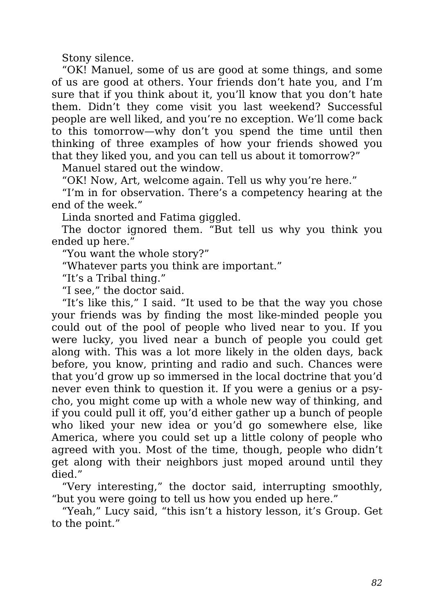Stony silence.

"OK! Manuel, some of us are good at some things, and some of us are good at others. Your friends don't hate you, and I'm sure that if you think about it, you'll know that you don't hate them. Didn't they come visit you last weekend? Successful people are well liked, and you're no exception. We'll come back to this tomorrow—why don't you spend the time until then thinking of three examples of how your friends showed you that they liked you, and you can tell us about it tomorrow?"

Manuel stared out the window.

"OK! Now, Art, welcome again. Tell us why you're here."

"I'm in for observation. There's a competency hearing at the end of the week."

Linda snorted and Fatima giggled.

The doctor ignored them. "But tell us why you think you ended up here."

"You want the whole story?"

"Whatever parts you think are important."

"It's a Tribal thing."

"I see," the doctor said.

"It's like this," I said. "It used to be that the way you chose your friends was by finding the most like-minded people you could out of the pool of people who lived near to you. If you were lucky, you lived near a bunch of people you could get along with. This was a lot more likely in the olden days, back before, you know, printing and radio and such. Chances were that you'd grow up so immersed in the local doctrine that you'd never even think to question it. If you were a genius or a psycho, you might come up with a whole new way of thinking, and if you could pull it off, you'd either gather up a bunch of people who liked your new idea or you'd go somewhere else, like America, where you could set up a little colony of people who agreed with you. Most of the time, though, people who didn't get along with their neighbors just moped around until they died."

"Very interesting," the doctor said, interrupting smoothly, "but you were going to tell us how you ended up here."

"Yeah," Lucy said, "this isn't a history lesson, it's Group. Get to the point."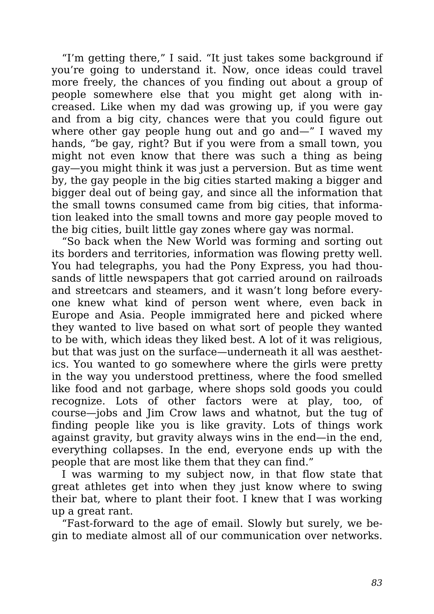"I'm getting there," I said. "It just takes some background if you're going to understand it. Now, once ideas could travel more freely, the chances of you finding out about a group of people somewhere else that you might get along with increased. Like when my dad was growing up, if you were gay and from a big city, chances were that you could figure out where other gay people hung out and go and—" I waved my hands, "be gay, right? But if you were from a small town, you might not even know that there was such a thing as being gay—you might think it was just a perversion. But as time went by, the gay people in the big cities started making a bigger and bigger deal out of being gay, and since all the information that the small towns consumed came from big cities, that information leaked into the small towns and more gay people moved to the big cities, built little gay zones where gay was normal.

"So back when the New World was forming and sorting out its borders and territories, information was flowing pretty well. You had telegraphs, you had the Pony Express, you had thousands of little newspapers that got carried around on railroads and streetcars and steamers, and it wasn't long before everyone knew what kind of person went where, even back in Europe and Asia. People immigrated here and picked where they wanted to live based on what sort of people they wanted to be with, which ideas they liked best. A lot of it was religious, but that was just on the surface—underneath it all was aesthetics. You wanted to go somewhere where the girls were pretty in the way you understood prettiness, where the food smelled like food and not garbage, where shops sold goods you could recognize. Lots of other factors were at play, too, of course—jobs and Jim Crow laws and whatnot, but the tug of finding people like you is like gravity. Lots of things work against gravity, but gravity always wins in the end—in the end, everything collapses. In the end, everyone ends up with the people that are most like them that they can find."

I was warming to my subject now, in that flow state that great athletes get into when they just know where to swing their bat, where to plant their foot. I knew that I was working up a great rant.

"Fast-forward to the age of email. Slowly but surely, we begin to mediate almost all of our communication over networks.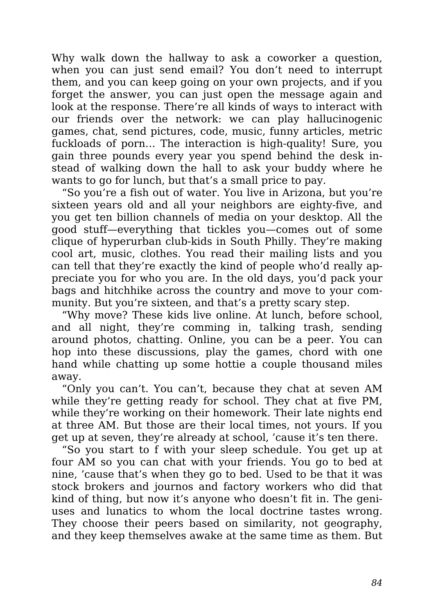Why walk down the hallway to ask a coworker a question, when you can just send email? You don't need to interrupt them, and you can keep going on your own projects, and if you forget the answer, you can just open the message again and look at the response. There're all kinds of ways to interact with our friends over the network: we can play hallucinogenic games, chat, send pictures, code, music, funny articles, metric fuckloads of porn… The interaction is high-quality! Sure, you gain three pounds every year you spend behind the desk instead of walking down the hall to ask your buddy where he wants to go for lunch, but that's a small price to pay.

"So you're a fish out of water. You live in Arizona, but you're sixteen years old and all your neighbors are eighty-five, and you get ten billion channels of media on your desktop. All the good stuff—everything that tickles you—comes out of some clique of hyperurban club-kids in South Philly. They're making cool art, music, clothes. You read their mailing lists and you can tell that they're exactly the kind of people who'd really appreciate you for who you are. In the old days, you'd pack your bags and hitchhike across the country and move to your community. But you're sixteen, and that's a pretty scary step.

"Why move? These kids live online. At lunch, before school, and all night, they're comming in, talking trash, sending around photos, chatting. Online, you can be a peer. You can hop into these discussions, play the games, chord with one hand while chatting up some hottie a couple thousand miles away.

"Only you can't. You can't, because they chat at seven AM while they're getting ready for school. They chat at five PM, while they're working on their homework. Their late nights end at three AM. But those are their local times, not yours. If you get up at seven, they're already at school, 'cause it's ten there.

"So you start to f with your sleep schedule. You get up at four AM so you can chat with your friends. You go to bed at nine, 'cause that's when they go to bed. Used to be that it was stock brokers and journos and factory workers who did that kind of thing, but now it's anyone who doesn't fit in. The geniuses and lunatics to whom the local doctrine tastes wrong. They choose their peers based on similarity, not geography, and they keep themselves awake at the same time as them. But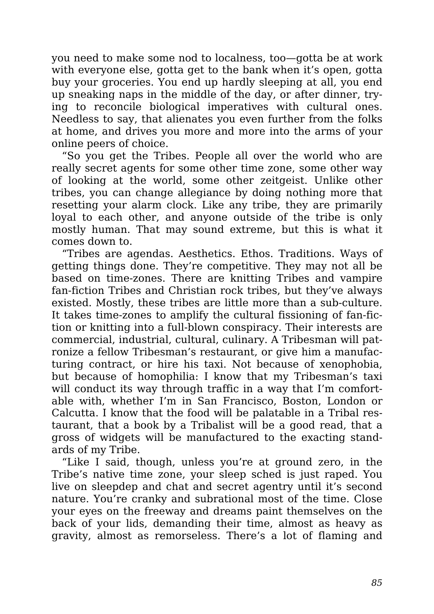you need to make some nod to localness, too—gotta be at work with everyone else, gotta get to the bank when it's open, gotta buy your groceries. You end up hardly sleeping at all, you end up sneaking naps in the middle of the day, or after dinner, trying to reconcile biological imperatives with cultural ones. Needless to say, that alienates you even further from the folks at home, and drives you more and more into the arms of your online peers of choice.

"So you get the Tribes. People all over the world who are really secret agents for some other time zone, some other way of looking at the world, some other zeitgeist. Unlike other tribes, you can change allegiance by doing nothing more that resetting your alarm clock. Like any tribe, they are primarily loyal to each other, and anyone outside of the tribe is only mostly human. That may sound extreme, but this is what it comes down to.

"Tribes are agendas. Aesthetics. Ethos. Traditions. Ways of getting things done. They're competitive. They may not all be based on time-zones. There are knitting Tribes and vampire fan-fiction Tribes and Christian rock tribes, but they've always existed. Mostly, these tribes are little more than a sub-culture. It takes time-zones to amplify the cultural fissioning of fan-fiction or knitting into a full-blown conspiracy. Their interests are commercial, industrial, cultural, culinary. A Tribesman will patronize a fellow Tribesman's restaurant, or give him a manufacturing contract, or hire his taxi. Not because of xenophobia, but because of homophilia: I know that my Tribesman's taxi will conduct its way through traffic in a way that I'm comfortable with, whether I'm in San Francisco, Boston, London or Calcutta. I know that the food will be palatable in a Tribal restaurant, that a book by a Tribalist will be a good read, that a gross of widgets will be manufactured to the exacting standards of my Tribe.

"Like I said, though, unless you're at ground zero, in the Tribe's native time zone, your sleep sched is just raped. You live on sleepdep and chat and secret agentry until it's second nature. You're cranky and subrational most of the time. Close your eyes on the freeway and dreams paint themselves on the back of your lids, demanding their time, almost as heavy as gravity, almost as remorseless. There's a lot of flaming and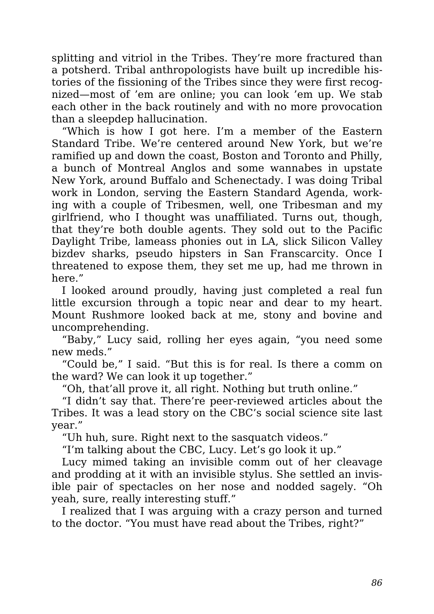splitting and vitriol in the Tribes. They're more fractured than a potsherd. Tribal anthropologists have built up incredible histories of the fissioning of the Tribes since they were first recognized—most of 'em are online; you can look 'em up. We stab each other in the back routinely and with no more provocation than a sleepdep hallucination.

"Which is how I got here. I'm a member of the Eastern Standard Tribe. We're centered around New York, but we're ramified up and down the coast, Boston and Toronto and Philly, a bunch of Montreal Anglos and some wannabes in upstate New York, around Buffalo and Schenectady. I was doing Tribal work in London, serving the Eastern Standard Agenda, working with a couple of Tribesmen, well, one Tribesman and my girlfriend, who I thought was unaffiliated. Turns out, though, that they're both double agents. They sold out to the Pacific Daylight Tribe, lameass phonies out in LA, slick Silicon Valley bizdev sharks, pseudo hipsters in San Franscarcity. Once I threatened to expose them, they set me up, had me thrown in here."

I looked around proudly, having just completed a real fun little excursion through a topic near and dear to my heart. Mount Rushmore looked back at me, stony and bovine and uncomprehending.

"Baby," Lucy said, rolling her eyes again, "you need some new meds."

"Could be," I said. "But this is for real. Is there a comm on the ward? We can look it up together."

"Oh, that'all prove it, all right. Nothing but truth online."

"I didn't say that. There're peer-reviewed articles about the Tribes. It was a lead story on the CBC's social science site last year."

"Uh huh, sure. Right next to the sasquatch videos."

"I'm talking about the CBC, Lucy. Let's go look it up."

Lucy mimed taking an invisible comm out of her cleavage and prodding at it with an invisible stylus. She settled an invisible pair of spectacles on her nose and nodded sagely. "Oh yeah, sure, really interesting stuff."

I realized that I was arguing with a crazy person and turned to the doctor. "You must have read about the Tribes, right?"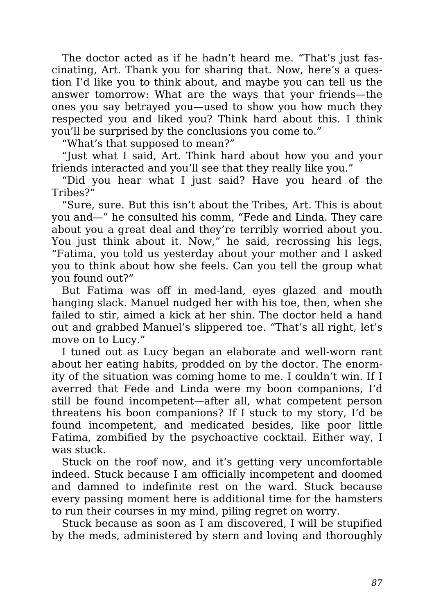The doctor acted as if he hadn't heard me. "That's just fascinating, Art. Thank you for sharing that. Now, here's a question I'd like you to think about, and maybe you can tell us the answer tomorrow: What are the ways that your friends—the ones you say betrayed you—used to show you how much they respected you and liked you? Think hard about this. I think you'll be surprised by the conclusions you come to."

"What's that supposed to mean?"

"Just what I said, Art. Think hard about how you and your friends interacted and you'll see that they really like you."

"Did you hear what I just said? Have you heard of the Tribes?"

"Sure, sure. But this isn't about the Tribes, Art. This is about you and—" he consulted his comm, "Fede and Linda. They care about you a great deal and they're terribly worried about you. You just think about it. Now," he said, recrossing his legs, "Fatima, you told us yesterday about your mother and I asked you to think about how she feels. Can you tell the group what you found out?"

But Fatima was off in med-land, eyes glazed and mouth hanging slack. Manuel nudged her with his toe, then, when she failed to stir, aimed a kick at her shin. The doctor held a hand out and grabbed Manuel's slippered toe. "That's all right, let's move on to Lucy."

I tuned out as Lucy began an elaborate and well-worn rant about her eating habits, prodded on by the doctor. The enormity of the situation was coming home to me. I couldn't win. If I averred that Fede and Linda were my boon companions, I'd still be found incompetent—after all, what competent person threatens his boon companions? If I stuck to my story, I'd be found incompetent, and medicated besides, like poor little Fatima, zombified by the psychoactive cocktail. Either way, I was stuck.

Stuck on the roof now, and it's getting very uncomfortable indeed. Stuck because I am officially incompetent and doomed and damned to indefinite rest on the ward. Stuck because every passing moment here is additional time for the hamsters to run their courses in my mind, piling regret on worry.

Stuck because as soon as I am discovered, I will be stupified by the meds, administered by stern and loving and thoroughly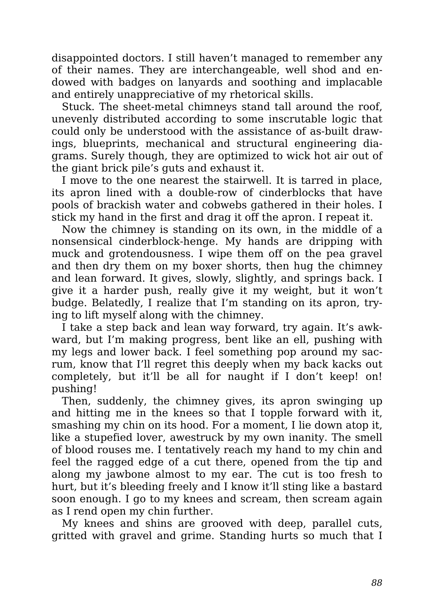disappointed doctors. I still haven't managed to remember any of their names. They are interchangeable, well shod and endowed with badges on lanyards and soothing and implacable and entirely unappreciative of my rhetorical skills.

Stuck. The sheet-metal chimneys stand tall around the roof, unevenly distributed according to some inscrutable logic that could only be understood with the assistance of as-built drawings, blueprints, mechanical and structural engineering diagrams. Surely though, they are optimized to wick hot air out of the giant brick pile's guts and exhaust it.

I move to the one nearest the stairwell. It is tarred in place, its apron lined with a double-row of cinderblocks that have pools of brackish water and cobwebs gathered in their holes. I stick my hand in the first and drag it off the apron. I repeat it.

Now the chimney is standing on its own, in the middle of a nonsensical cinderblock-henge. My hands are dripping with muck and grotendousness. I wipe them off on the pea gravel and then dry them on my boxer shorts, then hug the chimney and lean forward. It gives, slowly, slightly, and springs back. I give it a harder push, really give it my weight, but it won't budge. Belatedly, I realize that I'm standing on its apron, trying to lift myself along with the chimney.

I take a step back and lean way forward, try again. It's awkward, but I'm making progress, bent like an ell, pushing with my legs and lower back. I feel something pop around my sacrum, know that I'll regret this deeply when my back kacks out completely, but it'll be all for naught if I don't keep! on! pushing!

Then, suddenly, the chimney gives, its apron swinging up and hitting me in the knees so that I topple forward with it, smashing my chin on its hood. For a moment, I lie down atop it, like a stupefied lover, awestruck by my own inanity. The smell of blood rouses me. I tentatively reach my hand to my chin and feel the ragged edge of a cut there, opened from the tip and along my jawbone almost to my ear. The cut is too fresh to hurt, but it's bleeding freely and I know it'll sting like a bastard soon enough. I go to my knees and scream, then scream again as I rend open my chin further.

My knees and shins are grooved with deep, parallel cuts, gritted with gravel and grime. Standing hurts so much that I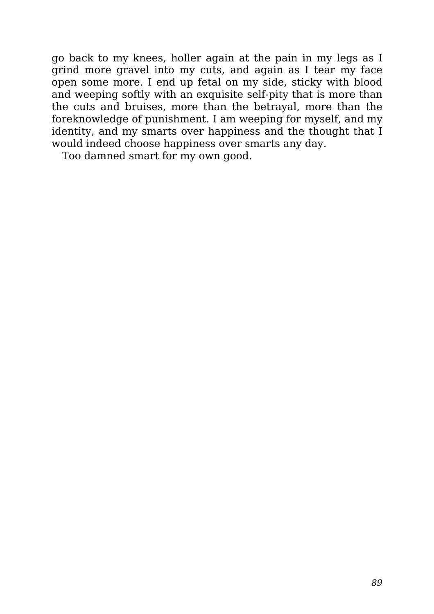go back to my knees, holler again at the pain in my legs as I grind more gravel into my cuts, and again as I tear my face open some more. I end up fetal on my side, sticky with blood and weeping softly with an exquisite self-pity that is more than the cuts and bruises, more than the betrayal, more than the foreknowledge of punishment. I am weeping for myself, and my identity, and my smarts over happiness and the thought that I would indeed choose happiness over smarts any day.

Too damned smart for my own good.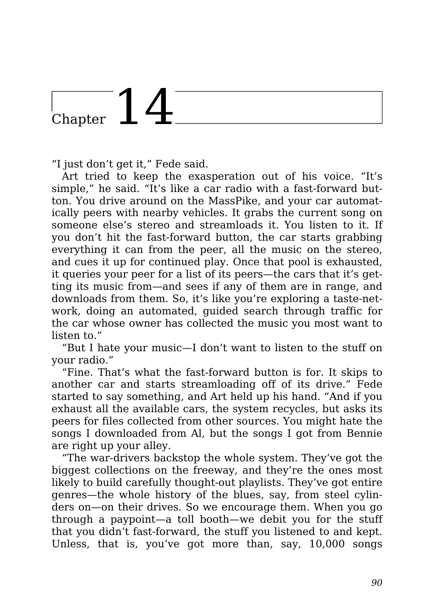### $\overline{\text{Chapter 14}}$

"I just don't get it," Fede said.

Art tried to keep the exasperation out of his voice. "It's simple," he said. "It's like a car radio with a fast-forward button. You drive around on the MassPike, and your car automatically peers with nearby vehicles. It grabs the current song on someone else's stereo and streamloads it. You listen to it. If you don't hit the fast-forward button, the car starts grabbing everything it can from the peer, all the music on the stereo, and cues it up for continued play. Once that pool is exhausted, it queries your peer for a list of its peers—the cars that it's getting its music from—and sees if any of them are in range, and downloads from them. So, it's like you're exploring a taste-network, doing an automated, guided search through traffic for the car whose owner has collected the music you most want to listen to."

"But I hate your music—I don't want to listen to the stuff on your radio."

"Fine. That's what the fast-forward button is for. It skips to another car and starts streamloading off of its drive." Fede started to say something, and Art held up his hand. "And if you exhaust all the available cars, the system recycles, but asks its peers for files collected from other sources. You might hate the songs I downloaded from Al, but the songs I got from Bennie are right up your alley.

"The war-drivers backstop the whole system. They've got the biggest collections on the freeway, and they're the ones most likely to build carefully thought-out playlists. They've got entire genres—the whole history of the blues, say, from steel cylinders on—on their drives. So we encourage them. When you go through a paypoint—a toll booth—we debit you for the stuff that you didn't fast-forward, the stuff you listened to and kept. Unless, that is, you've got more than, say, 10,000 songs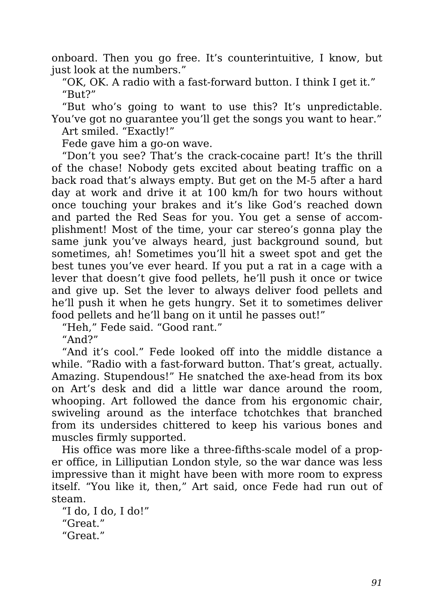onboard. Then you go free. It's counterintuitive, I know, but just look at the numbers."

"OK, OK. A radio with a fast-forward button. I think I get it." "But?"

"But who's going to want to use this? It's unpredictable. You've got no guarantee you'll get the songs you want to hear."

Art smiled. "Exactly!"

Fede gave him a go-on wave.

"Don't you see? That's the crack-cocaine part! It's the thrill of the chase! Nobody gets excited about beating traffic on a back road that's always empty. But get on the M-5 after a hard day at work and drive it at 100 km/h for two hours without once touching your brakes and it's like God's reached down and parted the Red Seas for you. You get a sense of accomplishment! Most of the time, your car stereo's gonna play the same junk you've always heard, just background sound, but sometimes, ah! Sometimes you'll hit a sweet spot and get the best tunes you've ever heard. If you put a rat in a cage with a lever that doesn't give food pellets, he'll push it once or twice and give up. Set the lever to always deliver food pellets and he'll push it when he gets hungry. Set it to sometimes deliver food pellets and he'll bang on it until he passes out!"

"Heh," Fede said. "Good rant."

"And?"

"And it's cool." Fede looked off into the middle distance a while. "Radio with a fast-forward button. That's great, actually. Amazing. Stupendous!" He snatched the axe-head from its box on Art's desk and did a little war dance around the room, whooping. Art followed the dance from his ergonomic chair, swiveling around as the interface tchotchkes that branched from its undersides chittered to keep his various bones and muscles firmly supported.

His office was more like a three-fifths-scale model of a proper office, in Lilliputian London style, so the war dance was less impressive than it might have been with more room to express itself. "You like it, then," Art said, once Fede had run out of steam.

"I do, I do, I do!"

"Great."

"Great."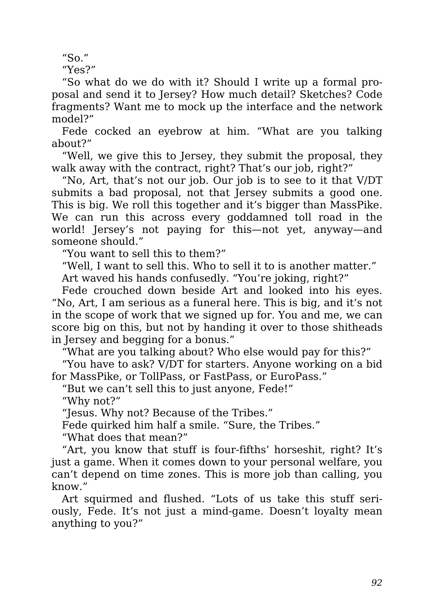"So."

"Yes?"

"So what do we do with it? Should I write up a formal proposal and send it to Jersey? How much detail? Sketches? Code fragments? Want me to mock up the interface and the network model?"

Fede cocked an eyebrow at him. "What are you talking about?"

"Well, we give this to Jersey, they submit the proposal, they walk away with the contract, right? That's our job, right?"

"No, Art, that's not our job. Our job is to see to it that V/DT submits a bad proposal, not that Jersey submits a good one. This is big. We roll this together and it's bigger than MassPike. We can run this across every goddamned toll road in the world! Jersey's not paying for this—not yet, anyway—and someone should."

"You want to sell this to them?"

"Well, I want to sell this. Who to sell it to is another matter."

Art waved his hands confusedly. "You're joking, right?"

Fede crouched down beside Art and looked into his eyes. "No, Art, I am serious as a funeral here. This is big, and it's not in the scope of work that we signed up for. You and me, we can score big on this, but not by handing it over to those shitheads in Jersey and begging for a bonus."

"What are you talking about? Who else would pay for this?"

"You have to ask? V/DT for starters. Anyone working on a bid for MassPike, or TollPass, or FastPass, or EuroPass."

"But we can't sell this to just anyone, Fede!"

"Why not?"

"Jesus. Why not? Because of the Tribes."

Fede quirked him half a smile. "Sure, the Tribes."

"What does that mean?"

"Art, you know that stuff is four-fifths' horseshit, right? It's just a game. When it comes down to your personal welfare, you can't depend on time zones. This is more job than calling, you know."

Art squirmed and flushed. "Lots of us take this stuff seriously, Fede. It's not just a mind-game. Doesn't loyalty mean anything to you?"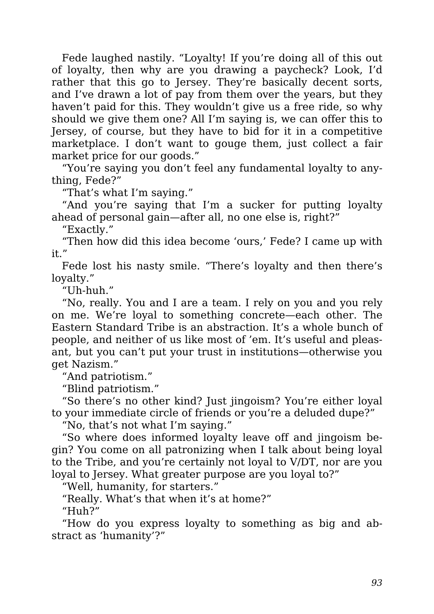Fede laughed nastily. "Loyalty! If you're doing all of this out of loyalty, then why are you drawing a paycheck? Look, I'd rather that this go to Jersey. They're basically decent sorts, and I've drawn a lot of pay from them over the years, but they haven't paid for this. They wouldn't give us a free ride, so why should we give them one? All I'm saying is, we can offer this to Jersey, of course, but they have to bid for it in a competitive marketplace. I don't want to gouge them, just collect a fair market price for our goods."

"You're saying you don't feel any fundamental loyalty to anything, Fede?"

"That's what I'm saying."

"And you're saying that I'm a sucker for putting loyalty ahead of personal gain—after all, no one else is, right?"

"Exactly."

"Then how did this idea become 'ours,' Fede? I came up with it."

Fede lost his nasty smile. "There's loyalty and then there's loyalty."

"Uh-huh."

"No, really. You and I are a team. I rely on you and you rely on me. We're loyal to something concrete—each other. The Eastern Standard Tribe is an abstraction. It's a whole bunch of people, and neither of us like most of 'em. It's useful and pleasant, but you can't put your trust in institutions—otherwise you get Nazism."

"And patriotism."

"Blind patriotism."

"So there's no other kind? Just jingoism? You're either loyal to your immediate circle of friends or you're a deluded dupe?"

"No, that's not what I'm saying."

"So where does informed loyalty leave off and jingoism begin? You come on all patronizing when I talk about being loyal to the Tribe, and you're certainly not loyal to V/DT, nor are you loyal to Jersey. What greater purpose are you loyal to?"

"Well, humanity, for starters."

"Really. What's that when it's at home?"

"Huh?"

"How do you express loyalty to something as big and abstract as 'humanity'?"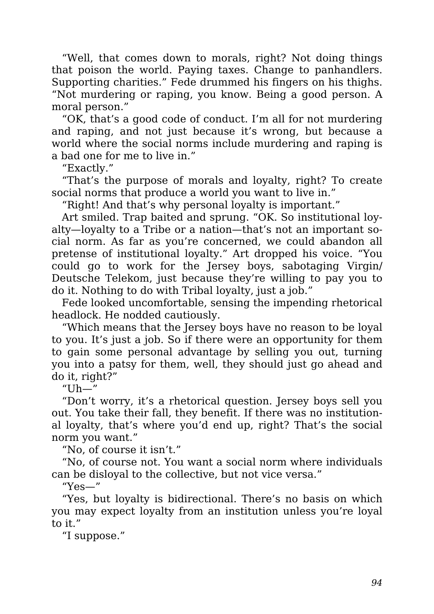"Well, that comes down to morals, right? Not doing things that poison the world. Paying taxes. Change to panhandlers. Supporting charities." Fede drummed his fingers on his thighs. "Not murdering or raping, you know. Being a good person. A moral person."

"OK, that's a good code of conduct. I'm all for not murdering and raping, and not just because it's wrong, but because a world where the social norms include murdering and raping is a bad one for me to live in."

"Exactly."

"That's the purpose of morals and loyalty, right? To create social norms that produce a world you want to live in."

"Right! And that's why personal loyalty is important."

Art smiled. Trap baited and sprung. "OK. So institutional loyalty—loyalty to a Tribe or a nation—that's not an important social norm. As far as you're concerned, we could abandon all pretense of institutional loyalty." Art dropped his voice. "You could go to work for the Jersey boys, sabotaging Virgin/ Deutsche Telekom, just because they're willing to pay you to do it. Nothing to do with Tribal loyalty, just a job."

Fede looked uncomfortable, sensing the impending rhetorical headlock. He nodded cautiously.

"Which means that the Jersey boys have no reason to be loyal to you. It's just a job. So if there were an opportunity for them to gain some personal advantage by selling you out, turning you into a patsy for them, well, they should just go ahead and do it, right?"

"Uh—"

"Don't worry, it's a rhetorical question. Jersey boys sell you out. You take their fall, they benefit. If there was no institutional loyalty, that's where you'd end up, right? That's the social norm you want."

"No, of course it isn't."

"No, of course not. You want a social norm where individuals can be disloyal to the collective, but not vice versa."

"Yes—"

"Yes, but loyalty is bidirectional. There's no basis on which you may expect loyalty from an institution unless you're loyal to it."

"I suppose."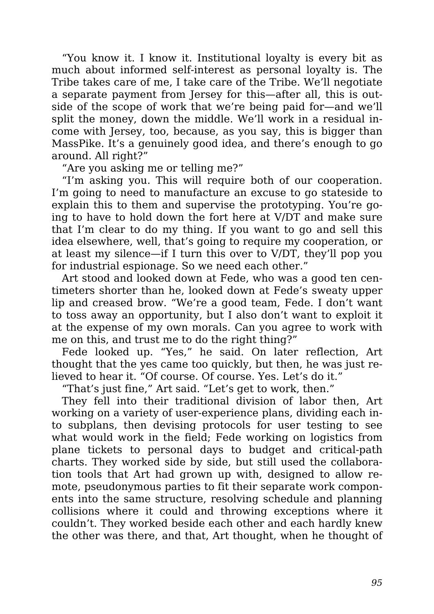"You know it. I know it. Institutional loyalty is every bit as much about informed self-interest as personal loyalty is. The Tribe takes care of me, I take care of the Tribe. We'll negotiate a separate payment from Jersey for this—after all, this is outside of the scope of work that we're being paid for—and we'll split the money, down the middle. We'll work in a residual income with Jersey, too, because, as you say, this is bigger than MassPike. It's a genuinely good idea, and there's enough to go around. All right?"

"Are you asking me or telling me?"

"I'm asking you. This will require both of our cooperation. I'm going to need to manufacture an excuse to go stateside to explain this to them and supervise the prototyping. You're going to have to hold down the fort here at V/DT and make sure that I'm clear to do my thing. If you want to go and sell this idea elsewhere, well, that's going to require my cooperation, or at least my silence—if I turn this over to V/DT, they'll pop you for industrial espionage. So we need each other."

Art stood and looked down at Fede, who was a good ten centimeters shorter than he, looked down at Fede's sweaty upper lip and creased brow. "We're a good team, Fede. I don't want to toss away an opportunity, but I also don't want to exploit it at the expense of my own morals. Can you agree to work with me on this, and trust me to do the right thing?"

Fede looked up. "Yes," he said. On later reflection, Art thought that the yes came too quickly, but then, he was just relieved to hear it. "Of course. Of course. Yes. Let's do it."

"That's just fine," Art said. "Let's get to work, then."

They fell into their traditional division of labor then, Art working on a variety of user-experience plans, dividing each into subplans, then devising protocols for user testing to see what would work in the field; Fede working on logistics from plane tickets to personal days to budget and critical-path charts. They worked side by side, but still used the collaboration tools that Art had grown up with, designed to allow remote, pseudonymous parties to fit their separate work components into the same structure, resolving schedule and planning collisions where it could and throwing exceptions where it couldn't. They worked beside each other and each hardly knew the other was there, and that, Art thought, when he thought of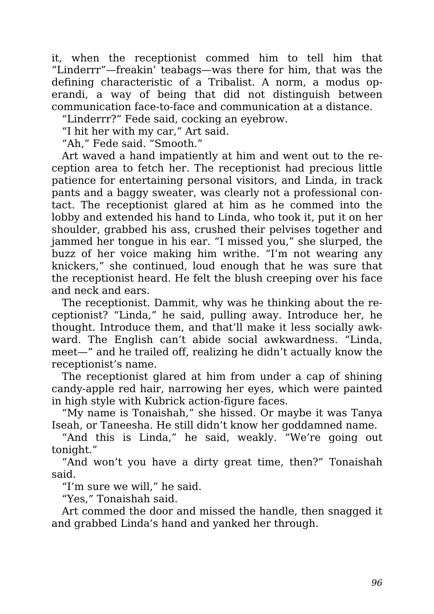it, when the receptionist commed him to tell him that "Linderrr"—freakin' teabags—was there for him, that was the defining characteristic of a Tribalist. A norm, a modus operandi, a way of being that did not distinguish between communication face-to-face and communication at a distance.

"Linderrr?" Fede said, cocking an eyebrow.

"I hit her with my car," Art said.

"Ah," Fede said. "Smooth."

Art waved a hand impatiently at him and went out to the reception area to fetch her. The receptionist had precious little patience for entertaining personal visitors, and Linda, in track pants and a baggy sweater, was clearly not a professional contact. The receptionist glared at him as he commed into the lobby and extended his hand to Linda, who took it, put it on her shoulder, grabbed his ass, crushed their pelvises together and jammed her tongue in his ear. "I missed you," she slurped, the buzz of her voice making him writhe. "I'm not wearing any knickers," she continued, loud enough that he was sure that the receptionist heard. He felt the blush creeping over his face and neck and ears.

The receptionist. Dammit, why was he thinking about the receptionist? "Linda," he said, pulling away. Introduce her, he thought. Introduce them, and that'll make it less socially awkward. The English can't abide social awkwardness. "Linda, meet—" and he trailed off, realizing he didn't actually know the receptionist's name.

The receptionist glared at him from under a cap of shining candy-apple red hair, narrowing her eyes, which were painted in high style with Kubrick action-figure faces.

"My name is Tonaishah," she hissed. Or maybe it was Tanya Iseah, or Taneesha. He still didn't know her goddamned name.

"And this is Linda," he said, weakly. "We're going out tonight."

"And won't you have a dirty great time, then?" Tonaishah said.

"I'm sure we will," he said.

"Yes," Tonaishah said.

Art commed the door and missed the handle, then snagged it and grabbed Linda's hand and yanked her through.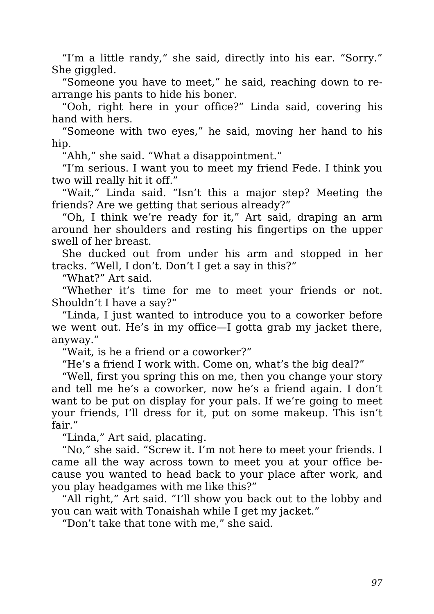"I'm a little randy," she said, directly into his ear. "Sorry." She giggled.

"Someone you have to meet," he said, reaching down to rearrange his pants to hide his boner.

"Ooh, right here in your office?" Linda said, covering his hand with hers.

"Someone with two eyes," he said, moving her hand to his hip.

"Ahh," she said. "What a disappointment."

"I'm serious. I want you to meet my friend Fede. I think you two will really hit it off."

"Wait," Linda said. "Isn't this a major step? Meeting the friends? Are we getting that serious already?"

"Oh, I think we're ready for it," Art said, draping an arm around her shoulders and resting his fingertips on the upper swell of her breast.

She ducked out from under his arm and stopped in her tracks. "Well, I don't. Don't I get a say in this?"

"What?" Art said.

"Whether it's time for me to meet your friends or not. Shouldn't I have a say?"

"Linda, I just wanted to introduce you to a coworker before we went out. He's in my office—I gotta grab my jacket there, anyway."

"Wait, is he a friend or a coworker?"

"He's a friend I work with. Come on, what's the big deal?"

"Well, first you spring this on me, then you change your story and tell me he's a coworker, now he's a friend again. I don't want to be put on display for your pals. If we're going to meet your friends, I'll dress for it, put on some makeup. This isn't fair."

"Linda," Art said, placating.

"No," she said. "Screw it. I'm not here to meet your friends. I came all the way across town to meet you at your office because you wanted to head back to your place after work, and you play headgames with me like this?"

"All right," Art said. "I'll show you back out to the lobby and you can wait with Tonaishah while I get my jacket."

"Don't take that tone with me," she said.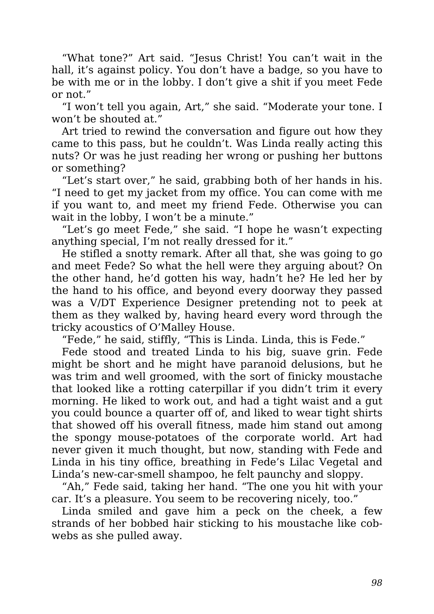"What tone?" Art said. "Jesus Christ! You can't wait in the hall, it's against policy. You don't have a badge, so you have to be with me or in the lobby. I don't give a shit if you meet Fede or not."

"I won't tell you again, Art," she said. "Moderate your tone. I won't be shouted at."

Art tried to rewind the conversation and figure out how they came to this pass, but he couldn't. Was Linda really acting this nuts? Or was he just reading her wrong or pushing her buttons or something?

"Let's start over," he said, grabbing both of her hands in his. "I need to get my jacket from my office. You can come with me if you want to, and meet my friend Fede. Otherwise you can wait in the lobby, I won't be a minute."

"Let's go meet Fede," she said. "I hope he wasn't expecting anything special, I'm not really dressed for it."

He stifled a snotty remark. After all that, she was going to go and meet Fede? So what the hell were they arguing about? On the other hand, he'd gotten his way, hadn't he? He led her by the hand to his office, and beyond every doorway they passed was a V/DT Experience Designer pretending not to peek at them as they walked by, having heard every word through the tricky acoustics of O'Malley House.

"Fede," he said, stiffly, "This is Linda. Linda, this is Fede."

Fede stood and treated Linda to his big, suave grin. Fede might be short and he might have paranoid delusions, but he was trim and well groomed, with the sort of finicky moustache that looked like a rotting caterpillar if you didn't trim it every morning. He liked to work out, and had a tight waist and a gut you could bounce a quarter off of, and liked to wear tight shirts that showed off his overall fitness, made him stand out among the spongy mouse-potatoes of the corporate world. Art had never given it much thought, but now, standing with Fede and Linda in his tiny office, breathing in Fede's Lilac Vegetal and Linda's new-car-smell shampoo, he felt paunchy and sloppy.

"Ah," Fede said, taking her hand. "The one you hit with your car. It's a pleasure. You seem to be recovering nicely, too."

Linda smiled and gave him a peck on the cheek, a few strands of her bobbed hair sticking to his moustache like cobwebs as she pulled away.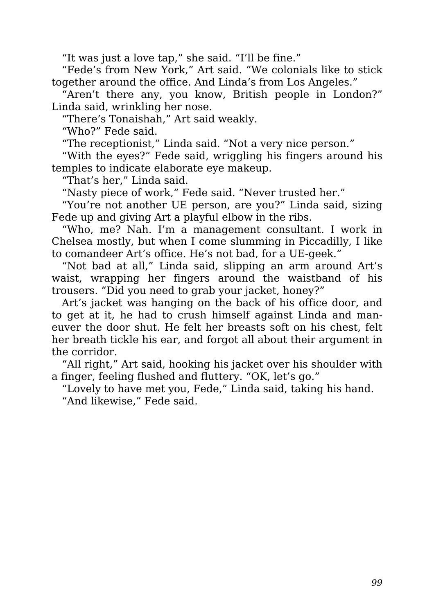"It was just a love tap," she said. "I'll be fine."

"Fede's from New York," Art said. "We colonials like to stick together around the office. And Linda's from Los Angeles."

"Aren't there any, you know, British people in London?" Linda said, wrinkling her nose.

"There's Tonaishah," Art said weakly.

"Who?" Fede said.

"The receptionist," Linda said. "Not a very nice person."

"With the eyes?" Fede said, wriggling his fingers around his temples to indicate elaborate eye makeup.

"That's her," Linda said.

"Nasty piece of work," Fede said. "Never trusted her."

"You're not another UE person, are you?" Linda said, sizing Fede up and giving Art a playful elbow in the ribs.

"Who, me? Nah. I'm a management consultant. I work in Chelsea mostly, but when I come slumming in Piccadilly, I like to comandeer Art's office. He's not bad, for a UE-geek."

"Not bad at all," Linda said, slipping an arm around Art's waist, wrapping her fingers around the waistband of his trousers. "Did you need to grab your jacket, honey?"

Art's jacket was hanging on the back of his office door, and to get at it, he had to crush himself against Linda and maneuver the door shut. He felt her breasts soft on his chest, felt her breath tickle his ear, and forgot all about their argument in the corridor.

"All right," Art said, hooking his jacket over his shoulder with a finger, feeling flushed and fluttery. "OK, let's go."

"Lovely to have met you, Fede," Linda said, taking his hand.

"And likewise," Fede said.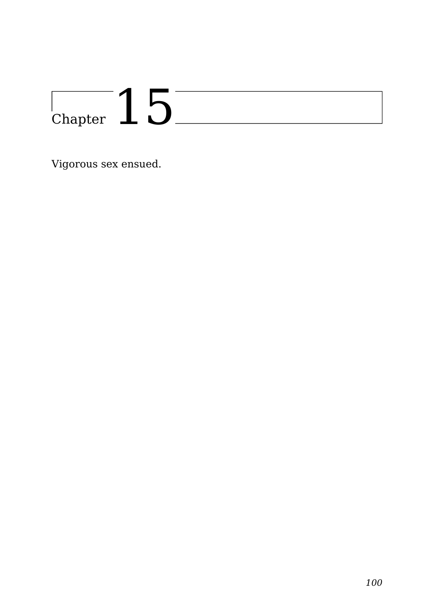## Chapter 15

Vigorous sex ensued.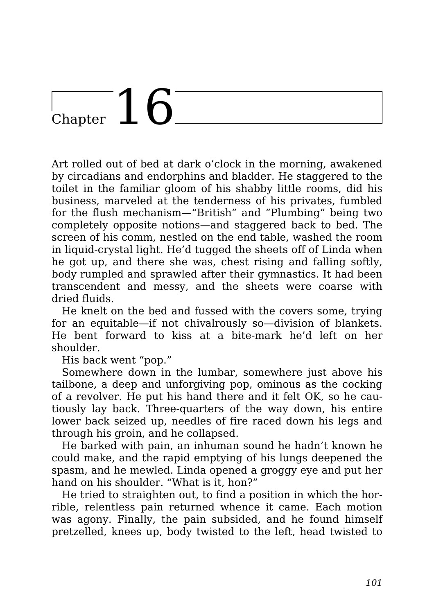### Chapter  $16$

Art rolled out of bed at dark o'clock in the morning, awakened by circadians and endorphins and bladder. He staggered to the toilet in the familiar gloom of his shabby little rooms, did his business, marveled at the tenderness of his privates, fumbled for the flush mechanism—"British" and "Plumbing" being two completely opposite notions—and staggered back to bed. The screen of his comm, nestled on the end table, washed the room in liquid-crystal light. He'd tugged the sheets off of Linda when he got up, and there she was, chest rising and falling softly, body rumpled and sprawled after their gymnastics. It had been transcendent and messy, and the sheets were coarse with dried fluids.

He knelt on the bed and fussed with the covers some, trying for an equitable—if not chivalrously so—division of blankets. He bent forward to kiss at a bite-mark he'd left on her shoulder.

His back went "pop."

Somewhere down in the lumbar, somewhere just above his tailbone, a deep and unforgiving pop, ominous as the cocking of a revolver. He put his hand there and it felt OK, so he cautiously lay back. Three-quarters of the way down, his entire lower back seized up, needles of fire raced down his legs and through his groin, and he collapsed.

He barked with pain, an inhuman sound he hadn't known he could make, and the rapid emptying of his lungs deepened the spasm, and he mewled. Linda opened a groggy eye and put her hand on his shoulder. "What is it, hon?"

He tried to straighten out, to find a position in which the horrible, relentless pain returned whence it came. Each motion was agony. Finally, the pain subsided, and he found himself pretzelled, knees up, body twisted to the left, head twisted to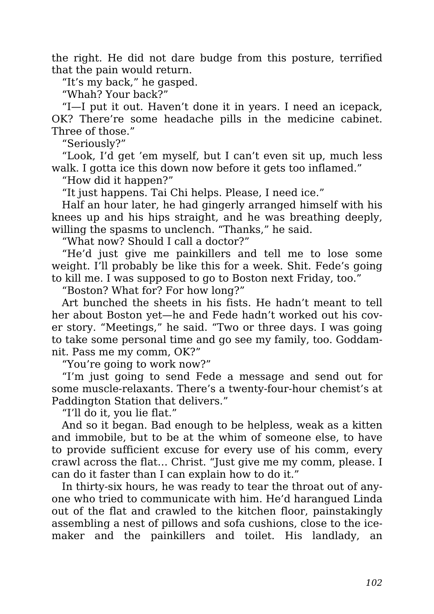the right. He did not dare budge from this posture, terrified that the pain would return.

"It's my back," he gasped.

"Whah? Your back?"

"I—I put it out. Haven't done it in years. I need an icepack, OK? There're some headache pills in the medicine cabinet. Three of those."

"Seriously?"

"Look, I'd get 'em myself, but I can't even sit up, much less walk. I gotta ice this down now before it gets too inflamed."

"How did it happen?"

"It just happens. Tai Chi helps. Please, I need ice."

Half an hour later, he had gingerly arranged himself with his knees up and his hips straight, and he was breathing deeply, willing the spasms to unclench. "Thanks," he said.

"What now? Should I call a doctor?"

"He'd just give me painkillers and tell me to lose some weight. I'll probably be like this for a week. Shit. Fede's going to kill me. I was supposed to go to Boston next Friday, too."

"Boston? What for? For how long?"

Art bunched the sheets in his fists. He hadn't meant to tell her about Boston yet—he and Fede hadn't worked out his cover story. "Meetings," he said. "Two or three days. I was going to take some personal time and go see my family, too. Goddamnit. Pass me my comm, OK?"

"You're going to work now?"

"I'm just going to send Fede a message and send out for some muscle-relaxants. There's a twenty-four-hour chemist's at Paddington Station that delivers."

"I'll do it, you lie flat."

And so it began. Bad enough to be helpless, weak as a kitten and immobile, but to be at the whim of someone else, to have to provide sufficient excuse for every use of his comm, every crawl across the flat… Christ. "Just give me my comm, please. I can do it faster than I can explain how to do it."

In thirty-six hours, he was ready to tear the throat out of anyone who tried to communicate with him. He'd harangued Linda out of the flat and crawled to the kitchen floor, painstakingly assembling a nest of pillows and sofa cushions, close to the icemaker and the painkillers and toilet. His landlady, an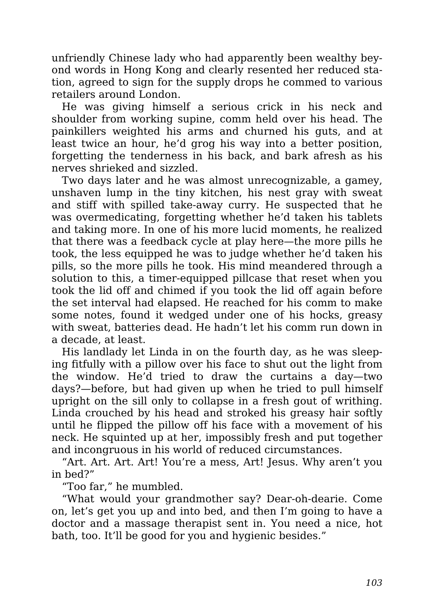unfriendly Chinese lady who had apparently been wealthy beyond words in Hong Kong and clearly resented her reduced station, agreed to sign for the supply drops he commed to various retailers around London.

He was giving himself a serious crick in his neck and shoulder from working supine, comm held over his head. The painkillers weighted his arms and churned his guts, and at least twice an hour, he'd grog his way into a better position, forgetting the tenderness in his back, and bark afresh as his nerves shrieked and sizzled.

Two days later and he was almost unrecognizable, a gamey, unshaven lump in the tiny kitchen, his nest gray with sweat and stiff with spilled take-away curry. He suspected that he was overmedicating, forgetting whether he'd taken his tablets and taking more. In one of his more lucid moments, he realized that there was a feedback cycle at play here—the more pills he took, the less equipped he was to judge whether he'd taken his pills, so the more pills he took. His mind meandered through a solution to this, a timer-equipped pillcase that reset when you took the lid off and chimed if you took the lid off again before the set interval had elapsed. He reached for his comm to make some notes, found it wedged under one of his hocks, greasy with sweat, batteries dead. He hadn't let his comm run down in a decade, at least.

His landlady let Linda in on the fourth day, as he was sleeping fitfully with a pillow over his face to shut out the light from the window. He'd tried to draw the curtains a day—two days?—before, but had given up when he tried to pull himself upright on the sill only to collapse in a fresh gout of writhing. Linda crouched by his head and stroked his greasy hair softly until he flipped the pillow off his face with a movement of his neck. He squinted up at her, impossibly fresh and put together and incongruous in his world of reduced circumstances.

"Art. Art. Art. Art! You're a mess, Art! Jesus. Why aren't you in bed?"

"Too far," he mumbled.

"What would your grandmother say? Dear-oh-dearie. Come on, let's get you up and into bed, and then I'm going to have a doctor and a massage therapist sent in. You need a nice, hot bath, too. It'll be good for you and hygienic besides."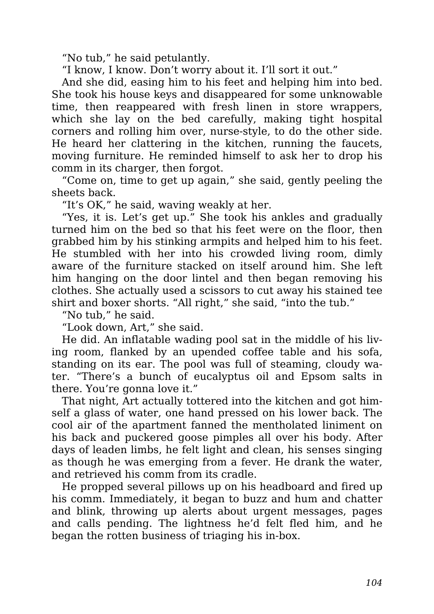"No tub," he said petulantly.

"I know, I know. Don't worry about it. I'll sort it out."

And she did, easing him to his feet and helping him into bed. She took his house keys and disappeared for some unknowable time, then reappeared with fresh linen in store wrappers, which she lay on the bed carefully, making tight hospital corners and rolling him over, nurse-style, to do the other side. He heard her clattering in the kitchen, running the faucets, moving furniture. He reminded himself to ask her to drop his comm in its charger, then forgot.

"Come on, time to get up again," she said, gently peeling the sheets back.

"It's OK," he said, waving weakly at her.

"Yes, it is. Let's get up." She took his ankles and gradually turned him on the bed so that his feet were on the floor, then grabbed him by his stinking armpits and helped him to his feet. He stumbled with her into his crowded living room, dimly aware of the furniture stacked on itself around him. She left him hanging on the door lintel and then began removing his clothes. She actually used a scissors to cut away his stained tee shirt and boxer shorts. "All right," she said, "into the tub."

"No tub," he said.

"Look down, Art," she said.

He did. An inflatable wading pool sat in the middle of his living room, flanked by an upended coffee table and his sofa, standing on its ear. The pool was full of steaming, cloudy water. "There's a bunch of eucalyptus oil and Epsom salts in there. You're gonna love it."

That night, Art actually tottered into the kitchen and got himself a glass of water, one hand pressed on his lower back. The cool air of the apartment fanned the mentholated liniment on his back and puckered goose pimples all over his body. After days of leaden limbs, he felt light and clean, his senses singing as though he was emerging from a fever. He drank the water, and retrieved his comm from its cradle.

He propped several pillows up on his headboard and fired up his comm. Immediately, it began to buzz and hum and chatter and blink, throwing up alerts about urgent messages, pages and calls pending. The lightness he'd felt fled him, and he began the rotten business of triaging his in-box.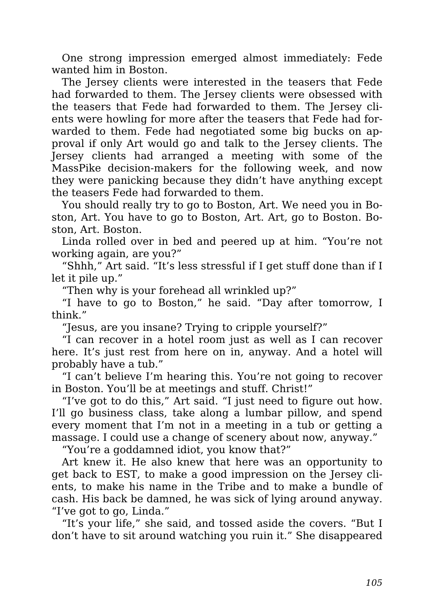One strong impression emerged almost immediately: Fede wanted him in Boston.

The Jersey clients were interested in the teasers that Fede had forwarded to them. The Jersey clients were obsessed with the teasers that Fede had forwarded to them. The Jersey clients were howling for more after the teasers that Fede had forwarded to them. Fede had negotiated some big bucks on approval if only Art would go and talk to the Jersey clients. The Jersey clients had arranged a meeting with some of the MassPike decision-makers for the following week, and now they were panicking because they didn't have anything except the teasers Fede had forwarded to them.

You should really try to go to Boston, Art. We need you in Boston, Art. You have to go to Boston, Art. Art, go to Boston. Boston, Art. Boston.

Linda rolled over in bed and peered up at him. "You're not working again, are you?"

"Shhh," Art said. "It's less stressful if I get stuff done than if I let it pile up."

"Then why is your forehead all wrinkled up?"

"I have to go to Boston," he said. "Day after tomorrow, I think."

"Jesus, are you insane? Trying to cripple yourself?"

"I can recover in a hotel room just as well as I can recover here. It's just rest from here on in, anyway. And a hotel will probably have a tub."

"I can't believe I'm hearing this. You're not going to recover in Boston. You'll be at meetings and stuff. Christ!"

"I've got to do this," Art said. "I just need to figure out how. I'll go business class, take along a lumbar pillow, and spend every moment that I'm not in a meeting in a tub or getting a massage. I could use a change of scenery about now, anyway."

"You're a goddamned idiot, you know that?"

Art knew it. He also knew that here was an opportunity to get back to EST, to make a good impression on the Jersey clients, to make his name in the Tribe and to make a bundle of cash. His back be damned, he was sick of lying around anyway. "I've got to go, Linda."

"It's your life," she said, and tossed aside the covers. "But I don't have to sit around watching you ruin it." She disappeared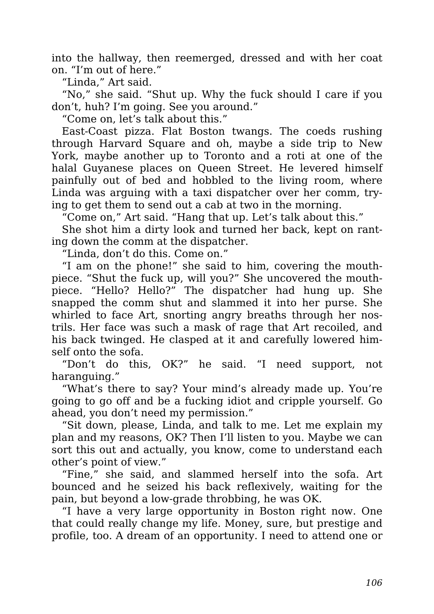into the hallway, then reemerged, dressed and with her coat on. "I'm out of here."

"Linda," Art said.

"No," she said. "Shut up. Why the fuck should I care if you don't, huh? I'm going. See you around."

"Come on, let's talk about this."

East-Coast pizza. Flat Boston twangs. The coeds rushing through Harvard Square and oh, maybe a side trip to New York, maybe another up to Toronto and a roti at one of the halal Guyanese places on Queen Street. He levered himself painfully out of bed and hobbled to the living room, where Linda was arguing with a taxi dispatcher over her comm, trying to get them to send out a cab at two in the morning.

"Come on," Art said. "Hang that up. Let's talk about this."

She shot him a dirty look and turned her back, kept on ranting down the comm at the dispatcher.

"Linda, don't do this. Come on."

"I am on the phone!" she said to him, covering the mouthpiece. "Shut the fuck up, will you?" She uncovered the mouthpiece. "Hello? Hello?" The dispatcher had hung up. She snapped the comm shut and slammed it into her purse. She whirled to face Art, snorting angry breaths through her nostrils. Her face was such a mask of rage that Art recoiled, and his back twinged. He clasped at it and carefully lowered himself onto the sofa.

"Don't do this, OK?" he said. "I need support, not haranguing."

"What's there to say? Your mind's already made up. You're going to go off and be a fucking idiot and cripple yourself. Go ahead, you don't need my permission."

"Sit down, please, Linda, and talk to me. Let me explain my plan and my reasons, OK? Then I'll listen to you. Maybe we can sort this out and actually, you know, come to understand each other's point of view."

"Fine," she said, and slammed herself into the sofa. Art bounced and he seized his back reflexively, waiting for the pain, but beyond a low-grade throbbing, he was OK.

"I have a very large opportunity in Boston right now. One that could really change my life. Money, sure, but prestige and profile, too. A dream of an opportunity. I need to attend one or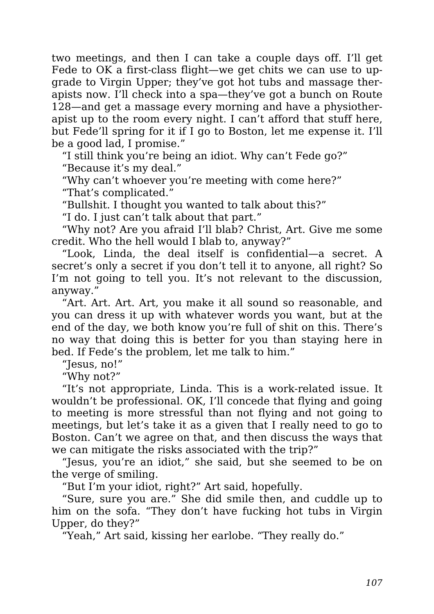two meetings, and then I can take a couple days off. I'll get Fede to OK a first-class flight—we get chits we can use to upgrade to Virgin Upper; they've got hot tubs and massage therapists now. I'll check into a spa—they've got a bunch on Route 128—and get a massage every morning and have a physiotherapist up to the room every night. I can't afford that stuff here, but Fede'll spring for it if I go to Boston, let me expense it. I'll be a good lad, I promise."

"I still think you're being an idiot. Why can't Fede go?" "Because it's my deal."

"Why can't whoever you're meeting with come here?" "That's complicated."

"Bullshit. I thought you wanted to talk about this?"

"I do. I just can't talk about that part."

"Why not? Are you afraid I'll blab? Christ, Art. Give me some credit. Who the hell would I blab to, anyway?"

"Look, Linda, the deal itself is confidential—a secret. A secret's only a secret if you don't tell it to anyone, all right? So I'm not going to tell you. It's not relevant to the discussion, anyway."

"Art. Art. Art. Art, you make it all sound so reasonable, and you can dress it up with whatever words you want, but at the end of the day, we both know you're full of shit on this. There's no way that doing this is better for you than staying here in bed. If Fede's the problem, let me talk to him."

"Jesus, no!"

"Why not?"

"It's not appropriate, Linda. This is a work-related issue. It wouldn't be professional. OK, I'll concede that flying and going to meeting is more stressful than not flying and not going to meetings, but let's take it as a given that I really need to go to Boston. Can't we agree on that, and then discuss the ways that we can mitigate the risks associated with the trip?"

"Jesus, you're an idiot," she said, but she seemed to be on the verge of smiling.

"But I'm your idiot, right?" Art said, hopefully.

"Sure, sure you are." She did smile then, and cuddle up to him on the sofa. "They don't have fucking hot tubs in Virgin Upper, do they?"

"Yeah," Art said, kissing her earlobe. "They really do."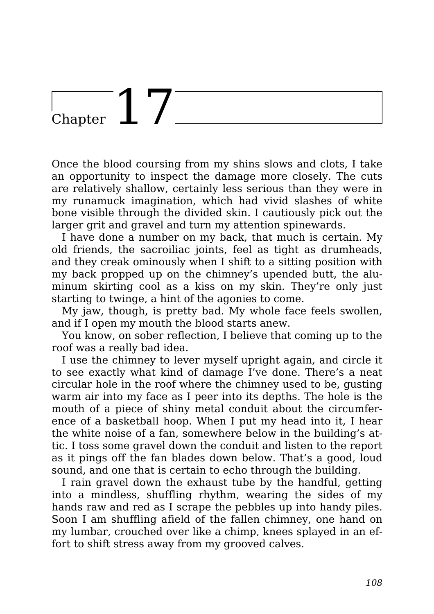# Chapter  $17$

Once the blood coursing from my shins slows and clots, I take an opportunity to inspect the damage more closely. The cuts are relatively shallow, certainly less serious than they were in my runamuck imagination, which had vivid slashes of white bone visible through the divided skin. I cautiously pick out the larger grit and gravel and turn my attention spinewards.

I have done a number on my back, that much is certain. My old friends, the sacroiliac joints, feel as tight as drumheads, and they creak ominously when I shift to a sitting position with my back propped up on the chimney's upended butt, the aluminum skirting cool as a kiss on my skin. They're only just starting to twinge, a hint of the agonies to come.

My jaw, though, is pretty bad. My whole face feels swollen, and if I open my mouth the blood starts anew.

You know, on sober reflection, I believe that coming up to the roof was a really bad idea.

I use the chimney to lever myself upright again, and circle it to see exactly what kind of damage I've done. There's a neat circular hole in the roof where the chimney used to be, gusting warm air into my face as I peer into its depths. The hole is the mouth of a piece of shiny metal conduit about the circumference of a basketball hoop. When I put my head into it, I hear the white noise of a fan, somewhere below in the building's attic. I toss some gravel down the conduit and listen to the report as it pings off the fan blades down below. That's a good, loud sound, and one that is certain to echo through the building.

I rain gravel down the exhaust tube by the handful, getting into a mindless, shuffling rhythm, wearing the sides of my hands raw and red as I scrape the pebbles up into handy piles. Soon I am shuffling afield of the fallen chimney, one hand on my lumbar, crouched over like a chimp, knees splayed in an effort to shift stress away from my grooved calves.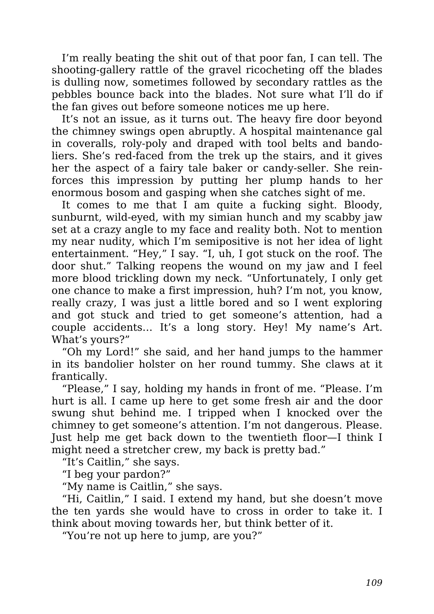I'm really beating the shit out of that poor fan, I can tell. The shooting-gallery rattle of the gravel ricocheting off the blades is dulling now, sometimes followed by secondary rattles as the pebbles bounce back into the blades. Not sure what I'll do if the fan gives out before someone notices me up here.

It's not an issue, as it turns out. The heavy fire door beyond the chimney swings open abruptly. A hospital maintenance gal in coveralls, roly-poly and draped with tool belts and bandoliers. She's red-faced from the trek up the stairs, and it gives her the aspect of a fairy tale baker or candy-seller. She reinforces this impression by putting her plump hands to her enormous bosom and gasping when she catches sight of me.

It comes to me that I am quite a fucking sight. Bloody, sunburnt, wild-eyed, with my simian hunch and my scabby jaw set at a crazy angle to my face and reality both. Not to mention my near nudity, which I'm semipositive is not her idea of light entertainment. "Hey," I say. "I, uh, I got stuck on the roof. The door shut." Talking reopens the wound on my jaw and I feel more blood trickling down my neck. "Unfortunately, I only get one chance to make a first impression, huh? I'm not, you know, really crazy, I was just a little bored and so I went exploring and got stuck and tried to get someone's attention, had a couple accidents… It's a long story. Hey! My name's Art. What's yours?"

"Oh my Lord!" she said, and her hand jumps to the hammer in its bandolier holster on her round tummy. She claws at it frantically.

"Please," I say, holding my hands in front of me. "Please. I'm hurt is all. I came up here to get some fresh air and the door swung shut behind me. I tripped when I knocked over the chimney to get someone's attention. I'm not dangerous. Please. Just help me get back down to the twentieth floor—I think I might need a stretcher crew, my back is pretty bad."

"It's Caitlin," she says.

"I beg your pardon?"

"My name is Caitlin," she says.

"Hi, Caitlin," I said. I extend my hand, but she doesn't move the ten yards she would have to cross in order to take it. I think about moving towards her, but think better of it.

"You're not up here to jump, are you?"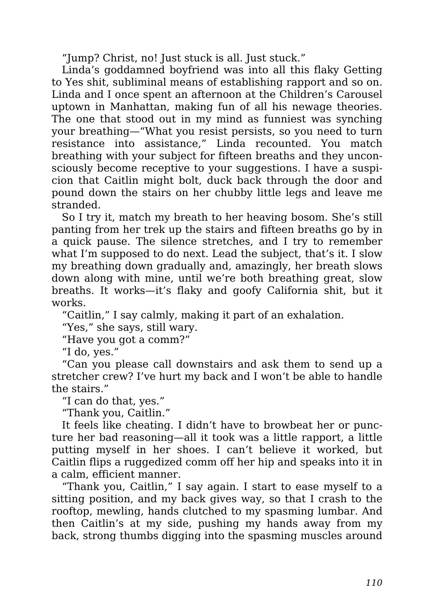"Jump? Christ, no! Just stuck is all. Just stuck."

Linda's goddamned boyfriend was into all this flaky Getting to Yes shit, subliminal means of establishing rapport and so on. Linda and I once spent an afternoon at the Children's Carousel uptown in Manhattan, making fun of all his newage theories. The one that stood out in my mind as funniest was synching your breathing—"What you resist persists, so you need to turn resistance into assistance," Linda recounted. You match breathing with your subject for fifteen breaths and they unconsciously become receptive to your suggestions. I have a suspicion that Caitlin might bolt, duck back through the door and pound down the stairs on her chubby little legs and leave me stranded.

So I try it, match my breath to her heaving bosom. She's still panting from her trek up the stairs and fifteen breaths go by in a quick pause. The silence stretches, and I try to remember what I'm supposed to do next. Lead the subject, that's it. I slow my breathing down gradually and, amazingly, her breath slows down along with mine, until we're both breathing great, slow breaths. It works—it's flaky and goofy California shit, but it works.

"Caitlin," I say calmly, making it part of an exhalation.

"Yes," she says, still wary.

"Have you got a comm?"

"I do, yes."

"Can you please call downstairs and ask them to send up a stretcher crew? I've hurt my back and I won't be able to handle the stairs."

"I can do that, yes."

"Thank you, Caitlin."

It feels like cheating. I didn't have to browbeat her or puncture her bad reasoning—all it took was a little rapport, a little putting myself in her shoes. I can't believe it worked, but Caitlin flips a ruggedized comm off her hip and speaks into it in a calm, efficient manner.

"Thank you, Caitlin," I say again. I start to ease myself to a sitting position, and my back gives way, so that I crash to the rooftop, mewling, hands clutched to my spasming lumbar. And then Caitlin's at my side, pushing my hands away from my back, strong thumbs digging into the spasming muscles around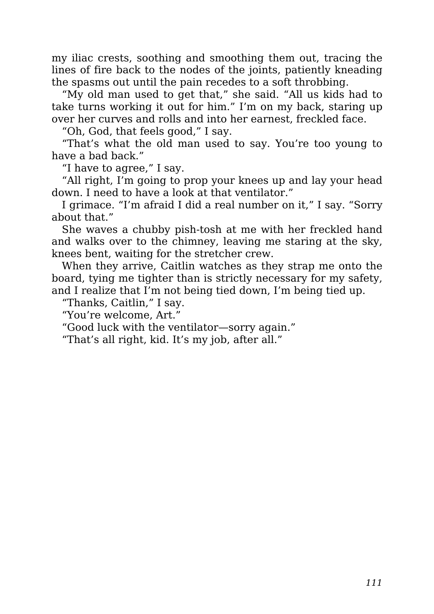my iliac crests, soothing and smoothing them out, tracing the lines of fire back to the nodes of the joints, patiently kneading the spasms out until the pain recedes to a soft throbbing.

"My old man used to get that," she said. "All us kids had to take turns working it out for him." I'm on my back, staring up over her curves and rolls and into her earnest, freckled face.

"Oh, God, that feels good," I say.

"That's what the old man used to say. You're too young to have a bad back."

"I have to agree," I say.

"All right, I'm going to prop your knees up and lay your head down. I need to have a look at that ventilator."

I grimace. "I'm afraid I did a real number on it," I say. "Sorry about that."

She waves a chubby pish-tosh at me with her freckled hand and walks over to the chimney, leaving me staring at the sky, knees bent, waiting for the stretcher crew.

When they arrive, Caitlin watches as they strap me onto the board, tying me tighter than is strictly necessary for my safety, and I realize that I'm not being tied down, I'm being tied up.

"Thanks, Caitlin," I say.

"You're welcome, Art."

"Good luck with the ventilator—sorry again."

"That's all right, kid. It's my job, after all."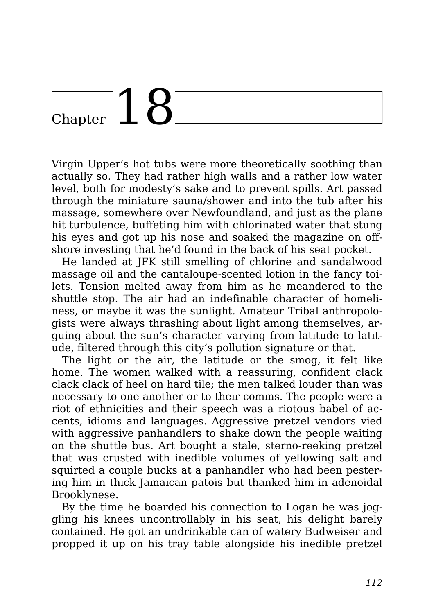### Chapter  $18$

Virgin Upper's hot tubs were more theoretically soothing than actually so. They had rather high walls and a rather low water level, both for modesty's sake and to prevent spills. Art passed through the miniature sauna/shower and into the tub after his massage, somewhere over Newfoundland, and just as the plane hit turbulence, buffeting him with chlorinated water that stung his eyes and got up his nose and soaked the magazine on offshore investing that he'd found in the back of his seat pocket.

He landed at JFK still smelling of chlorine and sandalwood massage oil and the cantaloupe-scented lotion in the fancy toilets. Tension melted away from him as he meandered to the shuttle stop. The air had an indefinable character of homeliness, or maybe it was the sunlight. Amateur Tribal anthropologists were always thrashing about light among themselves, arguing about the sun's character varying from latitude to latitude, filtered through this city's pollution signature or that.

The light or the air, the latitude or the smog, it felt like home. The women walked with a reassuring, confident clack clack clack of heel on hard tile; the men talked louder than was necessary to one another or to their comms. The people were a riot of ethnicities and their speech was a riotous babel of accents, idioms and languages. Aggressive pretzel vendors vied with aggressive panhandlers to shake down the people waiting on the shuttle bus. Art bought a stale, sterno-reeking pretzel that was crusted with inedible volumes of yellowing salt and squirted a couple bucks at a panhandler who had been pestering him in thick Jamaican patois but thanked him in adenoidal Brooklynese.

By the time he boarded his connection to Logan he was joggling his knees uncontrollably in his seat, his delight barely contained. He got an undrinkable can of watery Budweiser and propped it up on his tray table alongside his inedible pretzel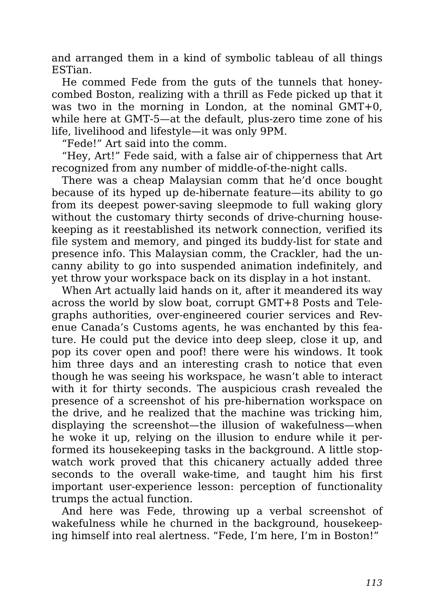and arranged them in a kind of symbolic tableau of all things ESTian.

He commed Fede from the guts of the tunnels that honeycombed Boston, realizing with a thrill as Fede picked up that it was two in the morning in London, at the nominal GMT+0, while here at GMT-5—at the default, plus-zero time zone of his life, livelihood and lifestyle—it was only 9PM.

"Fede!" Art said into the comm.

"Hey, Art!" Fede said, with a false air of chipperness that Art recognized from any number of middle-of-the-night calls.

There was a cheap Malaysian comm that he'd once bought because of its hyped up de-hibernate feature—its ability to go from its deepest power-saving sleepmode to full waking glory without the customary thirty seconds of drive-churning housekeeping as it reestablished its network connection, verified its file system and memory, and pinged its buddy-list for state and presence info. This Malaysian comm, the Crackler, had the uncanny ability to go into suspended animation indefinitely, and yet throw your workspace back on its display in a hot instant.

When Art actually laid hands on it, after it meandered its way across the world by slow boat, corrupt GMT+8 Posts and Telegraphs authorities, over-engineered courier services and Revenue Canada's Customs agents, he was enchanted by this feature. He could put the device into deep sleep, close it up, and pop its cover open and poof! there were his windows. It took him three days and an interesting crash to notice that even though he was seeing his workspace, he wasn't able to interact with it for thirty seconds. The auspicious crash revealed the presence of a screenshot of his pre-hibernation workspace on the drive, and he realized that the machine was tricking him, displaying the screenshot—the illusion of wakefulness—when he woke it up, relying on the illusion to endure while it performed its housekeeping tasks in the background. A little stopwatch work proved that this chicanery actually added three seconds to the overall wake-time, and taught him his first important user-experience lesson: perception of functionality trumps the actual function.

And here was Fede, throwing up a verbal screenshot of wakefulness while he churned in the background, housekeeping himself into real alertness. "Fede, I'm here, I'm in Boston!"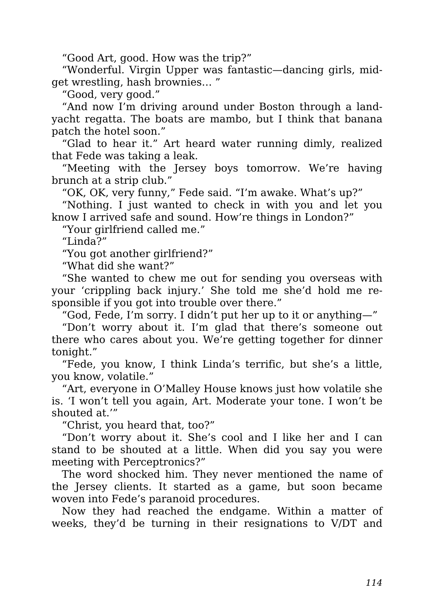"Good Art, good. How was the trip?"

"Wonderful. Virgin Upper was fantastic—dancing girls, midget wrestling, hash brownies… "

"Good, very good."

"And now I'm driving around under Boston through a landyacht regatta. The boats are mambo, but I think that banana patch the hotel soon."

"Glad to hear it." Art heard water running dimly, realized that Fede was taking a leak.

"Meeting with the Jersey boys tomorrow. We're having brunch at a strip club."

"OK, OK, very funny," Fede said. "I'm awake. What's up?"

"Nothing. I just wanted to check in with you and let you know I arrived safe and sound. How're things in London?"

"Your girlfriend called me."

"Linda?"

"You got another girlfriend?"

"What did she want?"

"She wanted to chew me out for sending you overseas with your 'crippling back injury.' She told me she'd hold me responsible if you got into trouble over there."

"God, Fede, I'm sorry. I didn't put her up to it or anything—"

"Don't worry about it. I'm glad that there's someone out there who cares about you. We're getting together for dinner tonight."

"Fede, you know, I think Linda's terrific, but she's a little, you know, volatile."

"Art, everyone in O'Malley House knows just how volatile she is. 'I won't tell you again, Art. Moderate your tone. I won't be shouted at.'"

"Christ, you heard that, too?"

"Don't worry about it. She's cool and I like her and I can stand to be shouted at a little. When did you say you were meeting with Perceptronics?"

The word shocked him. They never mentioned the name of the Jersey clients. It started as a game, but soon became woven into Fede's paranoid procedures.

Now they had reached the endgame. Within a matter of weeks, they'd be turning in their resignations to V/DT and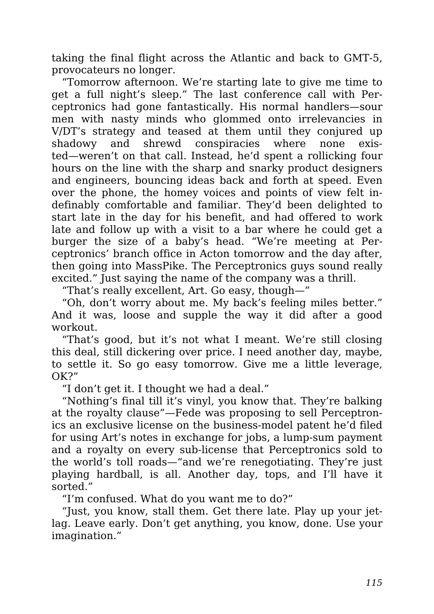taking the final flight across the Atlantic and back to GMT-5, provocateurs no longer.

"Tomorrow afternoon. We're starting late to give me time to get a full night's sleep." The last conference call with Perceptronics had gone fantastically. His normal handlers—sour men with nasty minds who glommed onto irrelevancies in V/DT's strategy and teased at them until they conjured up shadowy and shrewd conspiracies where none existed—weren't on that call. Instead, he'd spent a rollicking four hours on the line with the sharp and snarky product designers and engineers, bouncing ideas back and forth at speed. Even over the phone, the homey voices and points of view felt indefinably comfortable and familiar. They'd been delighted to start late in the day for his benefit, and had offered to work late and follow up with a visit to a bar where he could get a burger the size of a baby's head. "We're meeting at Perceptronics' branch office in Acton tomorrow and the day after, then going into MassPike. The Perceptronics guys sound really excited." Just saying the name of the company was a thrill.

"That's really excellent, Art. Go easy, though—"

"Oh, don't worry about me. My back's feeling miles better." And it was, loose and supple the way it did after a good workout.

"That's good, but it's not what I meant. We're still closing this deal, still dickering over price. I need another day, maybe, to settle it. So go easy tomorrow. Give me a little leverage, OK?"

"I don't get it. I thought we had a deal."

"Nothing's final till it's vinyl, you know that. They're balking at the royalty clause"—Fede was proposing to sell Perceptronics an exclusive license on the business-model patent he'd filed for using Art's notes in exchange for jobs, a lump-sum payment and a royalty on every sub-license that Perceptronics sold to the world's toll roads—"and we're renegotiating. They're just playing hardball, is all. Another day, tops, and I'll have it sorted."

"I'm confused. What do you want me to do?"

"Just, you know, stall them. Get there late. Play up your jetlag. Leave early. Don't get anything, you know, done. Use your imagination."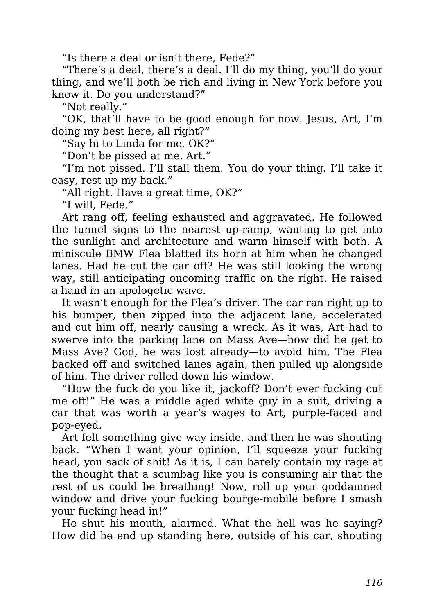"Is there a deal or isn't there, Fede?"

"There's a deal, there's a deal. I'll do my thing, you'll do your thing, and we'll both be rich and living in New York before you know it. Do you understand?"

"Not really."

"OK, that'll have to be good enough for now. Jesus, Art, I'm doing my best here, all right?"

"Say hi to Linda for me, OK?"

"Don't be pissed at me, Art."

"I'm not pissed. I'll stall them. You do your thing. I'll take it easy, rest up my back."

"All right. Have a great time, OK?"

"I will, Fede."

Art rang off, feeling exhausted and aggravated. He followed the tunnel signs to the nearest up-ramp, wanting to get into the sunlight and architecture and warm himself with both. A miniscule BMW Flea blatted its horn at him when he changed lanes. Had he cut the car off? He was still looking the wrong way, still anticipating oncoming traffic on the right. He raised a hand in an apologetic wave.

It wasn't enough for the Flea's driver. The car ran right up to his bumper, then zipped into the adjacent lane, accelerated and cut him off, nearly causing a wreck. As it was, Art had to swerve into the parking lane on Mass Ave—how did he get to Mass Ave? God, he was lost already—to avoid him. The Flea backed off and switched lanes again, then pulled up alongside of him. The driver rolled down his window.

"How the fuck do you like it, jackoff? Don't ever fucking cut me off!" He was a middle aged white guy in a suit, driving a car that was worth a year's wages to Art, purple-faced and pop-eyed.

Art felt something give way inside, and then he was shouting back. "When I want your opinion, I'll squeeze your fucking head, you sack of shit! As it is, I can barely contain my rage at the thought that a scumbag like you is consuming air that the rest of us could be breathing! Now, roll up your goddamned window and drive your fucking bourge-mobile before I smash your fucking head in!"

He shut his mouth, alarmed. What the hell was he saying? How did he end up standing here, outside of his car, shouting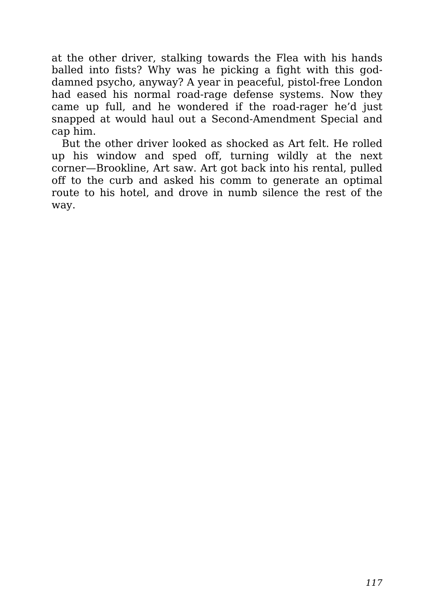at the other driver, stalking towards the Flea with his hands balled into fists? Why was he picking a fight with this goddamned psycho, anyway? A year in peaceful, pistol-free London had eased his normal road-rage defense systems. Now they came up full, and he wondered if the road-rager he'd just snapped at would haul out a Second-Amendment Special and cap him.

But the other driver looked as shocked as Art felt. He rolled up his window and sped off, turning wildly at the next corner—Brookline, Art saw. Art got back into his rental, pulled off to the curb and asked his comm to generate an optimal route to his hotel, and drove in numb silence the rest of the way.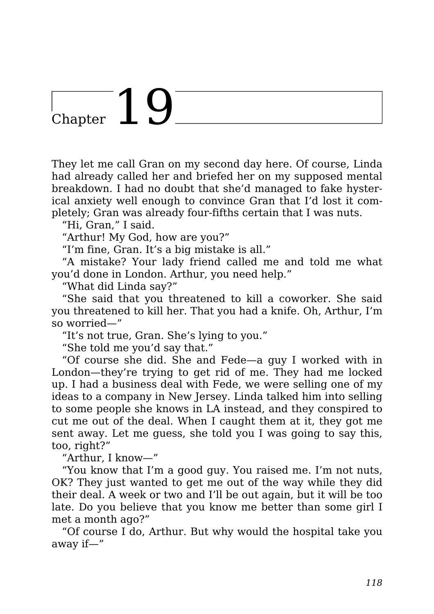## $\overline{\text{Chapter 10}}$

They let me call Gran on my second day here. Of course, Linda had already called her and briefed her on my supposed mental breakdown. I had no doubt that she'd managed to fake hysterical anxiety well enough to convince Gran that I'd lost it completely; Gran was already four-fifths certain that I was nuts.

"Hi, Gran," I said.

"Arthur! My God, how are you?"

"I'm fine, Gran. It's a big mistake is all."

"A mistake? Your lady friend called me and told me what you'd done in London. Arthur, you need help."

"What did Linda say?"

"She said that you threatened to kill a coworker. She said you threatened to kill her. That you had a knife. Oh, Arthur, I'm so worried—"

"It's not true, Gran. She's lying to you."

"She told me you'd say that."

"Of course she did. She and Fede—a guy I worked with in London—they're trying to get rid of me. They had me locked up. I had a business deal with Fede, we were selling one of my ideas to a company in New Jersey. Linda talked him into selling to some people she knows in LA instead, and they conspired to cut me out of the deal. When I caught them at it, they got me sent away. Let me guess, she told you I was going to say this, too, right?"

"Arthur, I know—"

"You know that I'm a good guy. You raised me. I'm not nuts, OK? They just wanted to get me out of the way while they did their deal. A week or two and I'll be out again, but it will be too late. Do you believe that you know me better than some girl I met a month ago?"

"Of course I do, Arthur. But why would the hospital take you away if—"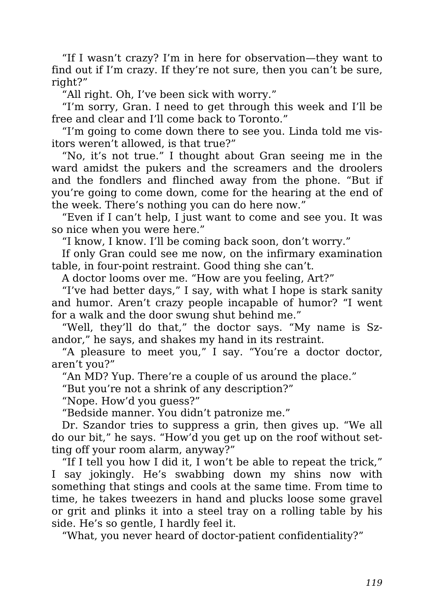"If I wasn't crazy? I'm in here for observation—they want to find out if I'm crazy. If they're not sure, then you can't be sure, right?"

"All right. Oh, I've been sick with worry."

"I'm sorry, Gran. I need to get through this week and I'll be free and clear and I'll come back to Toronto."

"I'm going to come down there to see you. Linda told me visitors weren't allowed, is that true?"

"No, it's not true." I thought about Gran seeing me in the ward amidst the pukers and the screamers and the droolers and the fondlers and flinched away from the phone. "But if you're going to come down, come for the hearing at the end of the week. There's nothing you can do here now."

"Even if I can't help, I just want to come and see you. It was so nice when you were here."

"I know, I know. I'll be coming back soon, don't worry."

If only Gran could see me now, on the infirmary examination table, in four-point restraint. Good thing she can't.

A doctor looms over me. "How are you feeling, Art?"

"I've had better days," I say, with what I hope is stark sanity and humor. Aren't crazy people incapable of humor? "I went for a walk and the door swung shut behind me."

"Well, they'll do that," the doctor says. "My name is Szandor," he says, and shakes my hand in its restraint.

"A pleasure to meet you," I say. "You're a doctor doctor, aren't you?"

"An MD? Yup. There're a couple of us around the place."

"But you're not a shrink of any description?"

"Nope. How'd you guess?"

"Bedside manner. You didn't patronize me."

Dr. Szandor tries to suppress a grin, then gives up. "We all do our bit," he says. "How'd you get up on the roof without setting off your room alarm, anyway?"

"If I tell you how I did it, I won't be able to repeat the trick," I say jokingly. He's swabbing down my shins now with something that stings and cools at the same time. From time to time, he takes tweezers in hand and plucks loose some gravel or grit and plinks it into a steel tray on a rolling table by his side. He's so gentle, I hardly feel it.

"What, you never heard of doctor-patient confidentiality?"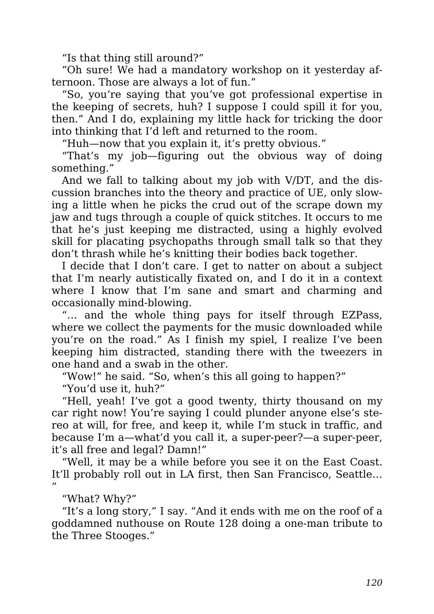"Is that thing still around?"

"Oh sure! We had a mandatory workshop on it yesterday afternoon. Those are always a lot of fun."

"So, you're saying that you've got professional expertise in the keeping of secrets, huh? I suppose I could spill it for you, then." And I do, explaining my little hack for tricking the door into thinking that I'd left and returned to the room.

"Huh—now that you explain it, it's pretty obvious."

"That's my job—figuring out the obvious way of doing something."

And we fall to talking about my job with V/DT, and the discussion branches into the theory and practice of UE, only slowing a little when he picks the crud out of the scrape down my jaw and tugs through a couple of quick stitches. It occurs to me that he's just keeping me distracted, using a highly evolved skill for placating psychopaths through small talk so that they don't thrash while he's knitting their bodies back together.

I decide that I don't care. I get to natter on about a subject that I'm nearly autistically fixated on, and I do it in a context where I know that I'm sane and smart and charming and occasionally mind-blowing.

"… and the whole thing pays for itself through EZPass, where we collect the payments for the music downloaded while you're on the road." As I finish my spiel, I realize I've been keeping him distracted, standing there with the tweezers in one hand and a swab in the other.

"Wow!" he said. "So, when's this all going to happen?"

"You'd use it, huh?"

"Hell, yeah! I've got a good twenty, thirty thousand on my car right now! You're saying I could plunder anyone else's stereo at will, for free, and keep it, while I'm stuck in traffic, and because I'm a—what'd you call it, a super-peer?—a super-peer, it's all free and legal? Damn!"

"Well, it may be a while before you see it on the East Coast. It'll probably roll out in LA first, then San Francisco, Seattle… "

"What? Why?"

"It's a long story," I say. "And it ends with me on the roof of a goddamned nuthouse on Route 128 doing a one-man tribute to the Three Stooges."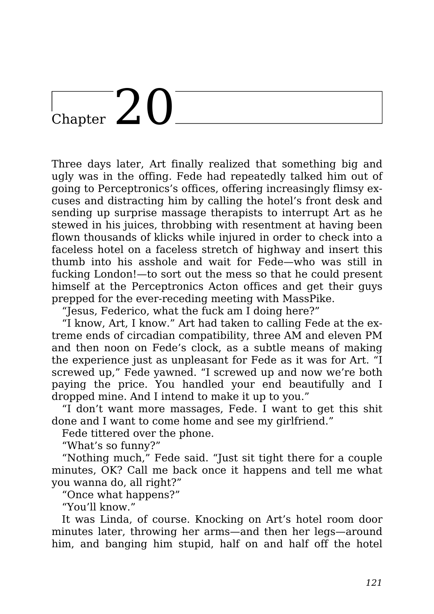# $\sum_{\text{Chapter}}$

Three days later, Art finally realized that something big and ugly was in the offing. Fede had repeatedly talked him out of going to Perceptronics's offices, offering increasingly flimsy excuses and distracting him by calling the hotel's front desk and sending up surprise massage therapists to interrupt Art as he stewed in his juices, throbbing with resentment at having been flown thousands of klicks while injured in order to check into a faceless hotel on a faceless stretch of highway and insert this thumb into his asshole and wait for Fede—who was still in fucking London!—to sort out the mess so that he could present himself at the Perceptronics Acton offices and get their guys prepped for the ever-receding meeting with MassPike.

"Jesus, Federico, what the fuck am I doing here?"

"I know, Art, I know." Art had taken to calling Fede at the extreme ends of circadian compatibility, three AM and eleven PM and then noon on Fede's clock, as a subtle means of making the experience just as unpleasant for Fede as it was for Art. "I screwed up," Fede yawned. "I screwed up and now we're both paying the price. You handled your end beautifully and I dropped mine. And I intend to make it up to you."

"I don't want more massages, Fede. I want to get this shit done and I want to come home and see my girlfriend."

Fede tittered over the phone.

"What's so funny?"

"Nothing much," Fede said. "Just sit tight there for a couple minutes, OK? Call me back once it happens and tell me what you wanna do, all right?"

"Once what happens?"

"You'll know."

It was Linda, of course. Knocking on Art's hotel room door minutes later, throwing her arms—and then her legs—around him, and banging him stupid, half on and half off the hotel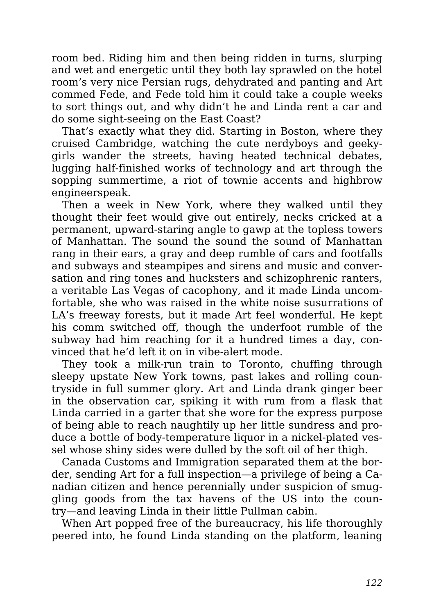room bed. Riding him and then being ridden in turns, slurping and wet and energetic until they both lay sprawled on the hotel room's very nice Persian rugs, dehydrated and panting and Art commed Fede, and Fede told him it could take a couple weeks to sort things out, and why didn't he and Linda rent a car and do some sight-seeing on the East Coast?

That's exactly what they did. Starting in Boston, where they cruised Cambridge, watching the cute nerdyboys and geekygirls wander the streets, having heated technical debates, lugging half-finished works of technology and art through the sopping summertime, a riot of townie accents and highbrow engineerspeak.

Then a week in New York, where they walked until they thought their feet would give out entirely, necks cricked at a permanent, upward-staring angle to gawp at the topless towers of Manhattan. The sound the sound the sound of Manhattan rang in their ears, a gray and deep rumble of cars and footfalls and subways and steampipes and sirens and music and conversation and ring tones and hucksters and schizophrenic ranters, a veritable Las Vegas of cacophony, and it made Linda uncomfortable, she who was raised in the white noise susurrations of LA's freeway forests, but it made Art feel wonderful. He kept his comm switched off, though the underfoot rumble of the subway had him reaching for it a hundred times a day, convinced that he'd left it on in vibe-alert mode.

They took a milk-run train to Toronto, chuffing through sleepy upstate New York towns, past lakes and rolling countryside in full summer glory. Art and Linda drank ginger beer in the observation car, spiking it with rum from a flask that Linda carried in a garter that she wore for the express purpose of being able to reach naughtily up her little sundress and produce a bottle of body-temperature liquor in a nickel-plated vessel whose shiny sides were dulled by the soft oil of her thigh.

Canada Customs and Immigration separated them at the border, sending Art for a full inspection—a privilege of being a Canadian citizen and hence perennially under suspicion of smuggling goods from the tax havens of the US into the country—and leaving Linda in their little Pullman cabin.

When Art popped free of the bureaucracy, his life thoroughly peered into, he found Linda standing on the platform, leaning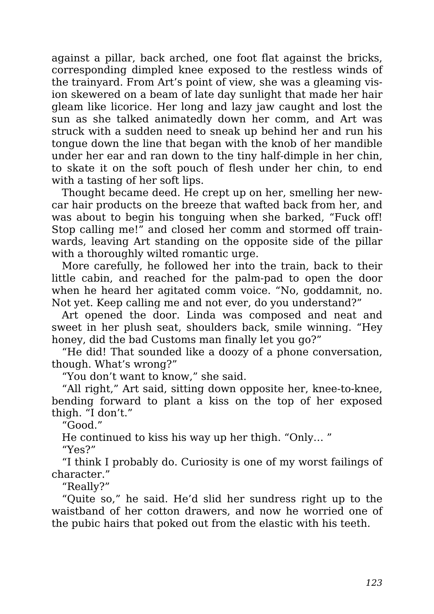against a pillar, back arched, one foot flat against the bricks, corresponding dimpled knee exposed to the restless winds of the trainyard. From Art's point of view, she was a gleaming vision skewered on a beam of late day sunlight that made her hair gleam like licorice. Her long and lazy jaw caught and lost the sun as she talked animatedly down her comm, and Art was struck with a sudden need to sneak up behind her and run his tongue down the line that began with the knob of her mandible under her ear and ran down to the tiny half-dimple in her chin, to skate it on the soft pouch of flesh under her chin, to end with a tasting of her soft lips.

Thought became deed. He crept up on her, smelling her newcar hair products on the breeze that wafted back from her, and was about to begin his tonguing when she barked, "Fuck off! Stop calling me!" and closed her comm and stormed off trainwards, leaving Art standing on the opposite side of the pillar with a thoroughly wilted romantic urge.

More carefully, he followed her into the train, back to their little cabin, and reached for the palm-pad to open the door when he heard her agitated comm voice. "No, goddamnit, no. Not yet. Keep calling me and not ever, do you understand?"

Art opened the door. Linda was composed and neat and sweet in her plush seat, shoulders back, smile winning. "Hey honey, did the bad Customs man finally let you go?"

"He did! That sounded like a doozy of a phone conversation, though. What's wrong?"

"You don't want to know," she said.

"All right," Art said, sitting down opposite her, knee-to-knee, bending forward to plant a kiss on the top of her exposed thigh. "I don't."

"Good."

He continued to kiss his way up her thigh. "Only… "

"Yes?"

"I think I probably do. Curiosity is one of my worst failings of character."

"Really?"

"Quite so," he said. He'd slid her sundress right up to the waistband of her cotton drawers, and now he worried one of the pubic hairs that poked out from the elastic with his teeth.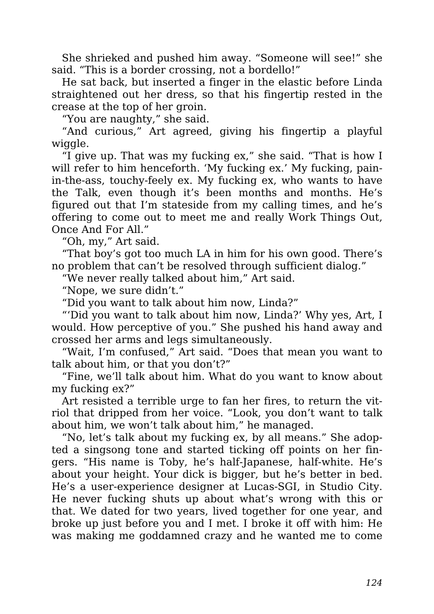She shrieked and pushed him away. "Someone will see!" she said. "This is a border crossing, not a bordello!"

He sat back, but inserted a finger in the elastic before Linda straightened out her dress, so that his fingertip rested in the crease at the top of her groin.

"You are naughty," she said.

"And curious," Art agreed, giving his fingertip a playful wiggle.

"I give up. That was my fucking ex," she said. "That is how I will refer to him henceforth. 'My fucking ex.' My fucking, painin-the-ass, touchy-feely ex. My fucking ex, who wants to have the Talk, even though it's been months and months. He's figured out that I'm stateside from my calling times, and he's offering to come out to meet me and really Work Things Out, Once And For All."

"Oh, my," Art said.

"That boy's got too much LA in him for his own good. There's no problem that can't be resolved through sufficient dialog."

"We never really talked about him," Art said.

"Nope, we sure didn't."

"Did you want to talk about him now, Linda?"

"'Did you want to talk about him now, Linda?' Why yes, Art, I would. How perceptive of you." She pushed his hand away and crossed her arms and legs simultaneously.

"Wait, I'm confused," Art said. "Does that mean you want to talk about him, or that you don't?"

"Fine, we'll talk about him. What do you want to know about my fucking ex?"

Art resisted a terrible urge to fan her fires, to return the vitriol that dripped from her voice. "Look, you don't want to talk about him, we won't talk about him," he managed.

"No, let's talk about my fucking ex, by all means." She adopted a singsong tone and started ticking off points on her fingers. "His name is Toby, he's half-Japanese, half-white. He's about your height. Your dick is bigger, but he's better in bed. He's a user-experience designer at Lucas-SGI, in Studio City. He never fucking shuts up about what's wrong with this or that. We dated for two years, lived together for one year, and broke up just before you and I met. I broke it off with him: He was making me goddamned crazy and he wanted me to come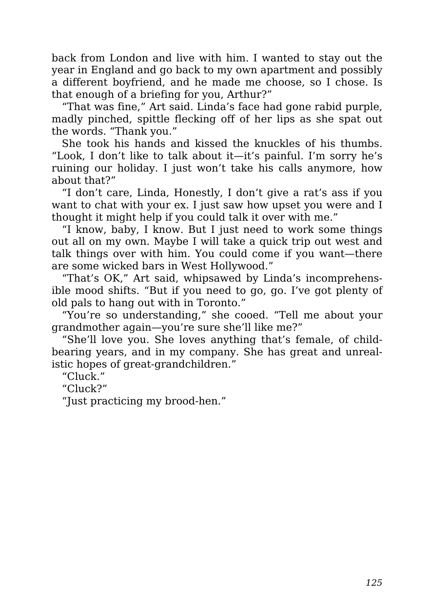back from London and live with him. I wanted to stay out the year in England and go back to my own apartment and possibly a different boyfriend, and he made me choose, so I chose. Is that enough of a briefing for you, Arthur?"

"That was fine," Art said. Linda's face had gone rabid purple, madly pinched, spittle flecking off of her lips as she spat out the words. "Thank you."

She took his hands and kissed the knuckles of his thumbs. "Look, I don't like to talk about it—it's painful. I'm sorry he's ruining our holiday. I just won't take his calls anymore, how about that?"

"I don't care, Linda, Honestly, I don't give a rat's ass if you want to chat with your ex. I just saw how upset you were and I thought it might help if you could talk it over with me."

"I know, baby, I know. But I just need to work some things out all on my own. Maybe I will take a quick trip out west and talk things over with him. You could come if you want—there are some wicked bars in West Hollywood."

"That's OK," Art said, whipsawed by Linda's incomprehensible mood shifts. "But if you need to go, go. I've got plenty of old pals to hang out with in Toronto."

"You're so understanding," she cooed. "Tell me about your grandmother again—you're sure she'll like me?"

"She'll love you. She loves anything that's female, of childbearing years, and in my company. She has great and unrealistic hopes of great-grandchildren."

"Cluck."

"Cluck?"

"Just practicing my brood-hen."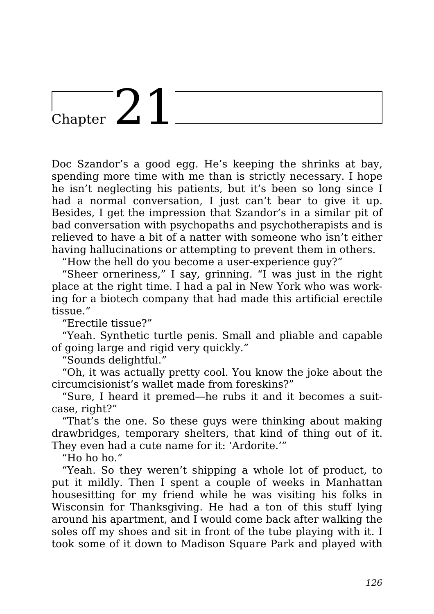$\frac{1}{2}$  Chapter 21

Doc Szandor's a good egg. He's keeping the shrinks at bay. spending more time with me than is strictly necessary. I hope he isn't neglecting his patients, but it's been so long since I had a normal conversation, I just can't bear to give it up. Besides, I get the impression that Szandor's in a similar pit of bad conversation with psychopaths and psychotherapists and is relieved to have a bit of a natter with someone who isn't either having hallucinations or attempting to prevent them in others.

"How the hell do you become a user-experience guy?"

"Sheer orneriness," I say, grinning. "I was just in the right place at the right time. I had a pal in New York who was working for a biotech company that had made this artificial erectile tissue."

"Erectile tissue?"

"Yeah. Synthetic turtle penis. Small and pliable and capable of going large and rigid very quickly."

"Sounds delightful."

"Oh, it was actually pretty cool. You know the joke about the circumcisionist's wallet made from foreskins?"

"Sure, I heard it premed—he rubs it and it becomes a suitcase, right?"

"That's the one. So these guys were thinking about making drawbridges, temporary shelters, that kind of thing out of it. They even had a cute name for it: 'Ardorite.'"

"Ho ho ho."

"Yeah. So they weren't shipping a whole lot of product, to put it mildly. Then I spent a couple of weeks in Manhattan housesitting for my friend while he was visiting his folks in Wisconsin for Thanksgiving. He had a ton of this stuff lying around his apartment, and I would come back after walking the soles off my shoes and sit in front of the tube playing with it. I took some of it down to Madison Square Park and played with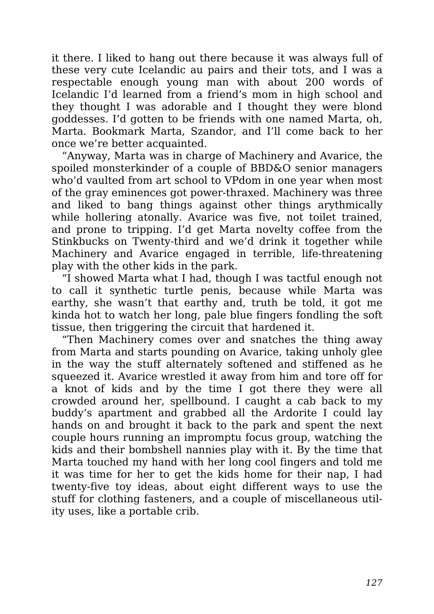it there. I liked to hang out there because it was always full of these very cute Icelandic au pairs and their tots, and I was a respectable enough young man with about 200 words of Icelandic I'd learned from a friend's mom in high school and they thought I was adorable and I thought they were blond goddesses. I'd gotten to be friends with one named Marta, oh, Marta. Bookmark Marta, Szandor, and I'll come back to her once we're better acquainted.

"Anyway, Marta was in charge of Machinery and Avarice, the spoiled monsterkinder of a couple of BBD&O senior managers who'd vaulted from art school to VPdom in one year when most of the gray eminences got power-thraxed. Machinery was three and liked to bang things against other things arythmically while hollering atonally. Avarice was five, not toilet trained, and prone to tripping. I'd get Marta novelty coffee from the Stinkbucks on Twenty-third and we'd drink it together while Machinery and Avarice engaged in terrible, life-threatening play with the other kids in the park.

"I showed Marta what I had, though I was tactful enough not to call it synthetic turtle penis, because while Marta was earthy, she wasn't that earthy and, truth be told, it got me kinda hot to watch her long, pale blue fingers fondling the soft tissue, then triggering the circuit that hardened it.

"Then Machinery comes over and snatches the thing away from Marta and starts pounding on Avarice, taking unholy glee in the way the stuff alternately softened and stiffened as he squeezed it. Avarice wrestled it away from him and tore off for a knot of kids and by the time I got there they were all crowded around her, spellbound. I caught a cab back to my buddy's apartment and grabbed all the Ardorite I could lay hands on and brought it back to the park and spent the next couple hours running an impromptu focus group, watching the kids and their bombshell nannies play with it. By the time that Marta touched my hand with her long cool fingers and told me it was time for her to get the kids home for their nap, I had twenty-five toy ideas, about eight different ways to use the stuff for clothing fasteners, and a couple of miscellaneous utility uses, like a portable crib.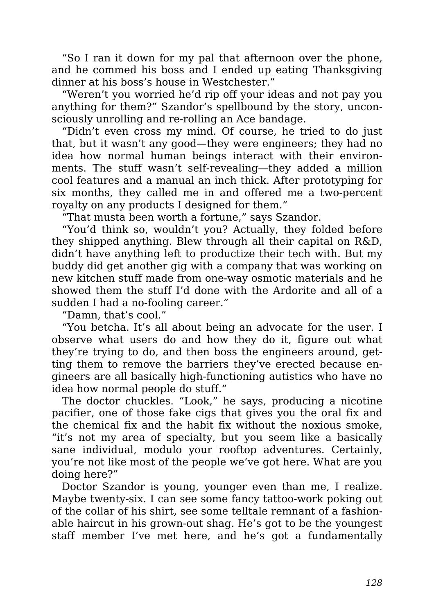"So I ran it down for my pal that afternoon over the phone, and he commed his boss and I ended up eating Thanksgiving dinner at his boss's house in Westchester."

"Weren't you worried he'd rip off your ideas and not pay you anything for them?" Szandor's spellbound by the story, unconsciously unrolling and re-rolling an Ace bandage.

"Didn't even cross my mind. Of course, he tried to do just that, but it wasn't any good—they were engineers; they had no idea how normal human beings interact with their environments. The stuff wasn't self-revealing—they added a million cool features and a manual an inch thick. After prototyping for six months, they called me in and offered me a two-percent royalty on any products I designed for them."

"That musta been worth a fortune," says Szandor.

"You'd think so, wouldn't you? Actually, they folded before they shipped anything. Blew through all their capital on R&D, didn't have anything left to productize their tech with. But my buddy did get another gig with a company that was working on new kitchen stuff made from one-way osmotic materials and he showed them the stuff I'd done with the Ardorite and all of a sudden I had a no-fooling career."

"Damn, that's cool."

"You betcha. It's all about being an advocate for the user. I observe what users do and how they do it, figure out what they're trying to do, and then boss the engineers around, getting them to remove the barriers they've erected because engineers are all basically high-functioning autistics who have no idea how normal people do stuff."

The doctor chuckles. "Look," he says, producing a nicotine pacifier, one of those fake cigs that gives you the oral fix and the chemical fix and the habit fix without the noxious smoke, "it's not my area of specialty, but you seem like a basically sane individual, modulo your rooftop adventures. Certainly, you're not like most of the people we've got here. What are you doing here?"

Doctor Szandor is young, younger even than me, I realize. Maybe twenty-six. I can see some fancy tattoo-work poking out of the collar of his shirt, see some telltale remnant of a fashionable haircut in his grown-out shag. He's got to be the youngest staff member I've met here, and he's got a fundamentally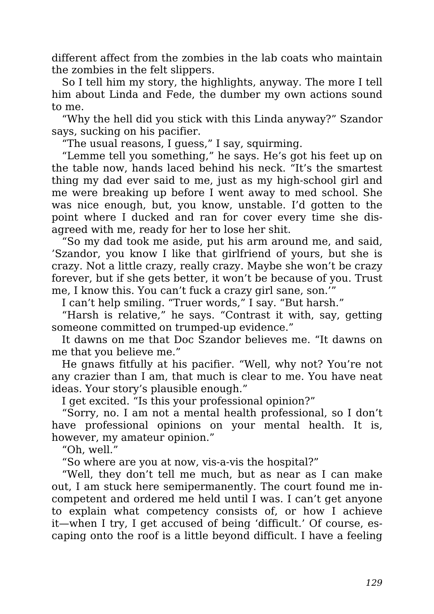different affect from the zombies in the lab coats who maintain the zombies in the felt slippers.

So I tell him my story, the highlights, anyway. The more I tell him about Linda and Fede, the dumber my own actions sound to me.

"Why the hell did you stick with this Linda anyway?" Szandor says, sucking on his pacifier.

"The usual reasons, I guess," I say, squirming.

"Lemme tell you something," he says. He's got his feet up on the table now, hands laced behind his neck. "It's the smartest thing my dad ever said to me, just as my high-school girl and me were breaking up before I went away to med school. She was nice enough, but, you know, unstable. I'd gotten to the point where I ducked and ran for cover every time she disagreed with me, ready for her to lose her shit.

"So my dad took me aside, put his arm around me, and said, 'Szandor, you know I like that girlfriend of yours, but she is crazy. Not a little crazy, really crazy. Maybe she won't be crazy forever, but if she gets better, it won't be because of you. Trust me, I know this. You can't fuck a crazy girl sane, son.'"

I can't help smiling. "Truer words," I say. "But harsh."

"Harsh is relative," he says. "Contrast it with, say, getting someone committed on trumped-up evidence."

It dawns on me that Doc Szandor believes me. "It dawns on me that you believe me."

He gnaws fitfully at his pacifier. "Well, why not? You're not any crazier than I am, that much is clear to me. You have neat ideas. Your story's plausible enough."

I get excited. "Is this your professional opinion?"

"Sorry, no. I am not a mental health professional, so I don't have professional opinions on your mental health. It is, however, my amateur opinion."

"Oh, well."

"So where are you at now, vis-a-vis the hospital?"

"Well, they don't tell me much, but as near as I can make out, I am stuck here semipermanently. The court found me incompetent and ordered me held until I was. I can't get anyone to explain what competency consists of, or how I achieve it—when I try, I get accused of being 'difficult.' Of course, escaping onto the roof is a little beyond difficult. I have a feeling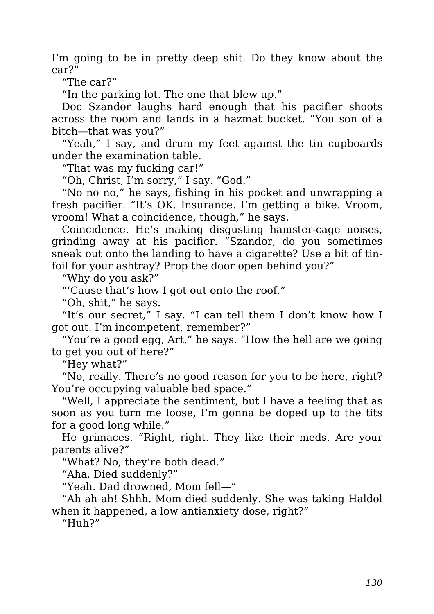I'm going to be in pretty deep shit. Do they know about the car?"

"The car?"

"In the parking lot. The one that blew up."

Doc Szandor laughs hard enough that his pacifier shoots across the room and lands in a hazmat bucket. "You son of a bitch—that was you?"

"Yeah," I say, and drum my feet against the tin cupboards under the examination table.

"That was my fucking car!"

"Oh, Christ, I'm sorry," I say. "God."

"No no no," he says, fishing in his pocket and unwrapping a fresh pacifier. "It's OK. Insurance. I'm getting a bike. Vroom, vroom! What a coincidence, though," he says.

Coincidence. He's making disgusting hamster-cage noises, grinding away at his pacifier. "Szandor, do you sometimes sneak out onto the landing to have a cigarette? Use a bit of tinfoil for your ashtray? Prop the door open behind you?"

"Why do you ask?"

"'Cause that's how I got out onto the roof."

"Oh, shit," he says.

"It's our secret," I say. "I can tell them I don't know how I got out. I'm incompetent, remember?"

"You're a good egg, Art," he says. "How the hell are we going to get you out of here?"

"Hey what?"

"No, really. There's no good reason for you to be here, right? You're occupying valuable bed space."

"Well, I appreciate the sentiment, but I have a feeling that as soon as you turn me loose, I'm gonna be doped up to the tits for a good long while."

He grimaces. "Right, right. They like their meds. Are your parents alive?"

"What? No, they're both dead."

"Aha. Died suddenly?"

"Yeah. Dad drowned, Mom fell—"

"Ah ah ah! Shhh. Mom died suddenly. She was taking Haldol when it happened, a low antianxiety dose, right?"

"Huh?"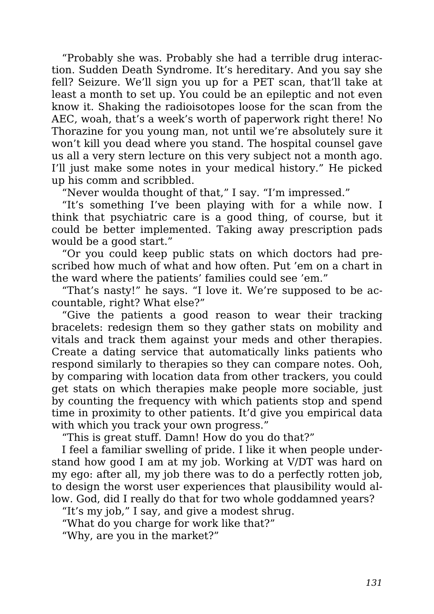"Probably she was. Probably she had a terrible drug interaction. Sudden Death Syndrome. It's hereditary. And you say she fell? Seizure. We'll sign you up for a PET scan, that'll take at least a month to set up. You could be an epileptic and not even know it. Shaking the radioisotopes loose for the scan from the AEC, woah, that's a week's worth of paperwork right there! No Thorazine for you young man, not until we're absolutely sure it won't kill you dead where you stand. The hospital counsel gave us all a very stern lecture on this very subject not a month ago. I'll just make some notes in your medical history." He picked up his comm and scribbled.

"Never woulda thought of that," I say. "I'm impressed."

"It's something I've been playing with for a while now. I think that psychiatric care is a good thing, of course, but it could be better implemented. Taking away prescription pads would be a good start."

"Or you could keep public stats on which doctors had prescribed how much of what and how often. Put 'em on a chart in the ward where the patients' families could see 'em."

"That's nasty!" he says. "I love it. We're supposed to be accountable, right? What else?"

"Give the patients a good reason to wear their tracking bracelets: redesign them so they gather stats on mobility and vitals and track them against your meds and other therapies. Create a dating service that automatically links patients who respond similarly to therapies so they can compare notes. Ooh, by comparing with location data from other trackers, you could get stats on which therapies make people more sociable, just by counting the frequency with which patients stop and spend time in proximity to other patients. It'd give you empirical data with which you track your own progress."

"This is great stuff. Damn! How do you do that?"

I feel a familiar swelling of pride. I like it when people understand how good I am at my job. Working at V/DT was hard on my ego: after all, my job there was to do a perfectly rotten job, to design the worst user experiences that plausibility would allow. God, did I really do that for two whole goddamned years?

"It's my job," I say, and give a modest shrug.

"What do you charge for work like that?"

"Why, are you in the market?"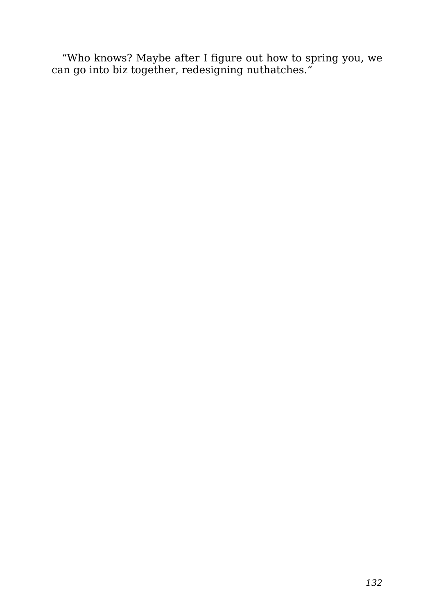"Who knows? Maybe after I figure out how to spring you, we can go into biz together, redesigning nuthatches."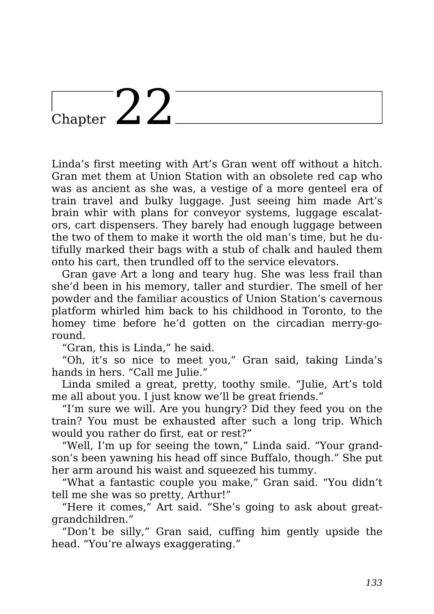#### $\frac{1}{\text{Chapter 22}}$

Linda's first meeting with Art's Gran went off without a hitch. Gran met them at Union Station with an obsolete red cap who was as ancient as she was, a vestige of a more genteel era of train travel and bulky luggage. Just seeing him made Art's brain whir with plans for conveyor systems, luggage escalators, cart dispensers. They barely had enough luggage between the two of them to make it worth the old man's time, but he dutifully marked their bags with a stub of chalk and hauled them onto his cart, then trundled off to the service elevators.

Gran gave Art a long and teary hug. She was less frail than she'd been in his memory, taller and sturdier. The smell of her powder and the familiar acoustics of Union Station's cavernous platform whirled him back to his childhood in Toronto, to the homey time before he'd gotten on the circadian merry-goround.

"Gran, this is Linda," he said.

"Oh, it's so nice to meet you," Gran said, taking Linda's hands in hers. "Call me Julie."

Linda smiled a great, pretty, toothy smile. "Julie, Art's told me all about you. I just know we'll be great friends."

"I'm sure we will. Are you hungry? Did they feed you on the train? You must be exhausted after such a long trip. Which would you rather do first, eat or rest?"

"Well, I'm up for seeing the town," Linda said. "Your grandson's been yawning his head off since Buffalo, though." She put her arm around his waist and squeezed his tummy.

"What a fantastic couple you make," Gran said. "You didn't tell me she was so pretty, Arthur!"

"Here it comes," Art said. "She's going to ask about greatgrandchildren."

"Don't be silly," Gran said, cuffing him gently upside the head. "You're always exaggerating."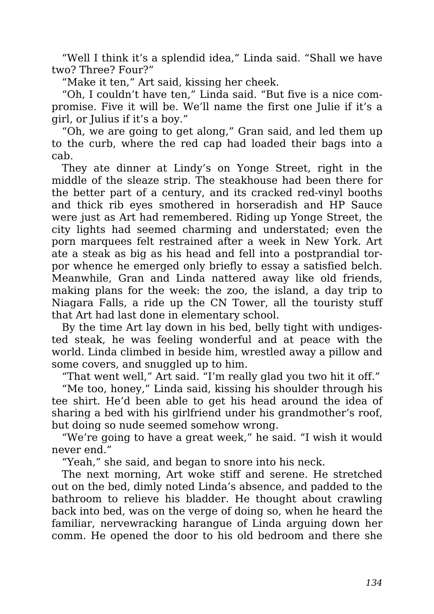"Well I think it's a splendid idea," Linda said. "Shall we have two? Three? Four?"

"Make it ten," Art said, kissing her cheek.

"Oh, I couldn't have ten," Linda said. "But five is a nice compromise. Five it will be. We'll name the first one Julie if it's a girl, or Julius if it's a boy."

"Oh, we are going to get along," Gran said, and led them up to the curb, where the red cap had loaded their bags into a cab.

They ate dinner at Lindy's on Yonge Street, right in the middle of the sleaze strip. The steakhouse had been there for the better part of a century, and its cracked red-vinyl booths and thick rib eyes smothered in horseradish and HP Sauce were just as Art had remembered. Riding up Yonge Street, the city lights had seemed charming and understated; even the porn marquees felt restrained after a week in New York. Art ate a steak as big as his head and fell into a postprandial torpor whence he emerged only briefly to essay a satisfied belch. Meanwhile, Gran and Linda nattered away like old friends, making plans for the week: the zoo, the island, a day trip to Niagara Falls, a ride up the CN Tower, all the touristy stuff that Art had last done in elementary school.

By the time Art lay down in his bed, belly tight with undigested steak, he was feeling wonderful and at peace with the world. Linda climbed in beside him, wrestled away a pillow and some covers, and snuggled up to him.

"That went well," Art said. "I'm really glad you two hit it off."

"Me too, honey," Linda said, kissing his shoulder through his tee shirt. He'd been able to get his head around the idea of sharing a bed with his girlfriend under his grandmother's roof, but doing so nude seemed somehow wrong.

"We're going to have a great week," he said. "I wish it would never end."

"Yeah," she said, and began to snore into his neck.

The next morning, Art woke stiff and serene. He stretched out on the bed, dimly noted Linda's absence, and padded to the bathroom to relieve his bladder. He thought about crawling back into bed, was on the verge of doing so, when he heard the familiar, nervewracking harangue of Linda arguing down her comm. He opened the door to his old bedroom and there she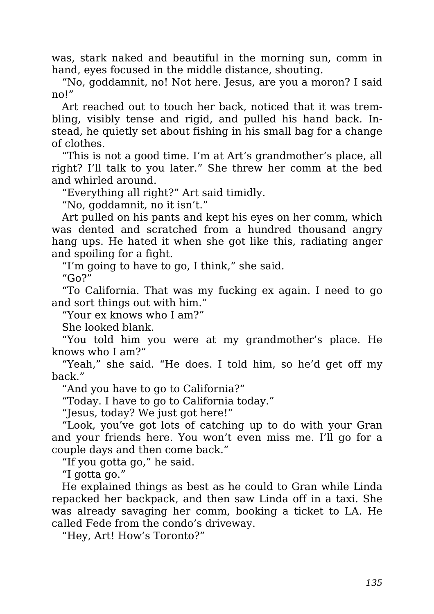was, stark naked and beautiful in the morning sun, comm in hand, eyes focused in the middle distance, shouting.

"No, goddamnit, no! Not here. Jesus, are you a moron? I said no!"

Art reached out to touch her back, noticed that it was trembling, visibly tense and rigid, and pulled his hand back. Instead, he quietly set about fishing in his small bag for a change of clothes.

"This is not a good time. I'm at Art's grandmother's place, all right? I'll talk to you later." She threw her comm at the bed and whirled around.

"Everything all right?" Art said timidly.

"No, goddamnit, no it isn't."

Art pulled on his pants and kept his eyes on her comm, which was dented and scratched from a hundred thousand angry hang ups. He hated it when she got like this, radiating anger and spoiling for a fight.

"I'm going to have to go, I think," she said.

"Go?"

"To California. That was my fucking ex again. I need to go and sort things out with him."

"Your ex knows who I am?"

She looked blank.

"You told him you were at my grandmother's place. He knows who I am?"

"Yeah," she said. "He does. I told him, so he'd get off my back."

"And you have to go to California?"

"Today. I have to go to California today."

"Jesus, today? We just got here!"

"Look, you've got lots of catching up to do with your Gran and your friends here. You won't even miss me. I'll go for a couple days and then come back."

"If you gotta go," he said.

"I gotta go."

He explained things as best as he could to Gran while Linda repacked her backpack, and then saw Linda off in a taxi. She was already savaging her comm, booking a ticket to LA. He called Fede from the condo's driveway.

"Hey, Art! How's Toronto?"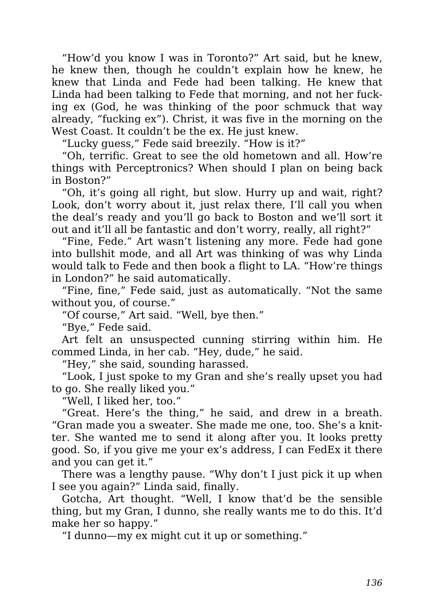"How'd you know I was in Toronto?" Art said, but he knew, he knew then, though he couldn't explain how he knew, he knew that Linda and Fede had been talking. He knew that Linda had been talking to Fede that morning, and not her fucking ex (God, he was thinking of the poor schmuck that way already, "fucking ex"). Christ, it was five in the morning on the West Coast. It couldn't be the ex. He just knew.

"Lucky guess," Fede said breezily. "How is it?"

"Oh, terrific. Great to see the old hometown and all. How're things with Perceptronics? When should I plan on being back in Boston?"

"Oh, it's going all right, but slow. Hurry up and wait, right? Look, don't worry about it, just relax there, I'll call you when the deal's ready and you'll go back to Boston and we'll sort it out and it'll all be fantastic and don't worry, really, all right?"

"Fine, Fede." Art wasn't listening any more. Fede had gone into bullshit mode, and all Art was thinking of was why Linda would talk to Fede and then book a flight to LA. "How're things in London?" he said automatically.

"Fine, fine," Fede said, just as automatically. "Not the same without you, of course."

"Of course," Art said. "Well, bye then."

"Bye," Fede said.

Art felt an unsuspected cunning stirring within him. He commed Linda, in her cab. "Hey, dude," he said.

"Hey," she said, sounding harassed.

"Look, I just spoke to my Gran and she's really upset you had to go. She really liked you."

"Well, I liked her, too."

"Great. Here's the thing," he said, and drew in a breath. "Gran made you a sweater. She made me one, too. She's a knitter. She wanted me to send it along after you. It looks pretty good. So, if you give me your ex's address, I can FedEx it there and you can get it."

There was a lengthy pause. "Why don't I just pick it up when I see you again?" Linda said, finally.

Gotcha, Art thought. "Well, I know that'd be the sensible thing, but my Gran, I dunno, she really wants me to do this. It'd make her so happy."

"I dunno—my ex might cut it up or something."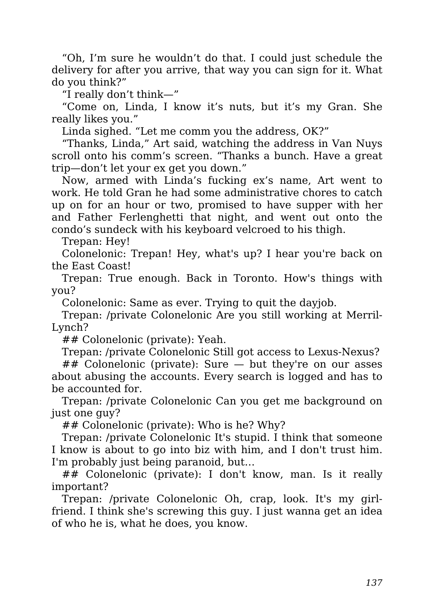"Oh, I'm sure he wouldn't do that. I could just schedule the delivery for after you arrive, that way you can sign for it. What do you think?"

"I really don't think—"

"Come on, Linda, I know it's nuts, but it's my Gran. She really likes you."

Linda sighed. "Let me comm you the address, OK?"

"Thanks, Linda," Art said, watching the address in Van Nuys scroll onto his comm's screen. "Thanks a bunch. Have a great trip—don't let your ex get you down."

Now, armed with Linda's fucking ex's name, Art went to work. He told Gran he had some administrative chores to catch up on for an hour or two, promised to have supper with her and Father Ferlenghetti that night, and went out onto the condo's sundeck with his keyboard velcroed to his thigh.

Trepan: Hey!

Colonelonic: Trepan! Hey, what's up? I hear you're back on the East Coast!

Trepan: True enough. Back in Toronto. How's things with you?

Colonelonic: Same as ever. Trying to quit the dayjob.

Trepan: /private Colonelonic Are you still working at Merril-Lynch?

## Colonelonic (private): Yeah.

Trepan: /private Colonelonic Still got access to Lexus-Nexus?

## Colonelonic (private): Sure — but they're on our asses about abusing the accounts. Every search is logged and has to be accounted for.

Trepan: /private Colonelonic Can you get me background on just one guy?

## Colonelonic (private): Who is he? Why?

Trepan: /private Colonelonic It's stupid. I think that someone I know is about to go into biz with him, and I don't trust him. I'm probably just being paranoid, but…

## Colonelonic (private): I don't know, man. Is it really important?

Trepan: /private Colonelonic Oh, crap, look. It's my girlfriend. I think she's screwing this guy. I just wanna get an idea of who he is, what he does, you know.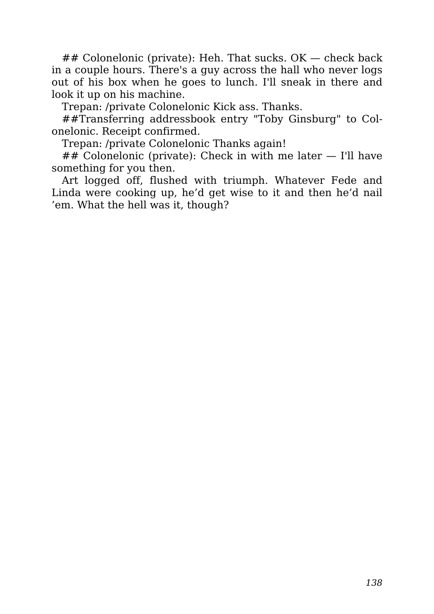## Colonelonic (private): Heh. That sucks. OK — check back in a couple hours. There's a guy across the hall who never logs out of his box when he goes to lunch. I'll sneak in there and look it up on his machine.

Trepan: /private Colonelonic Kick ass. Thanks.

##Transferring addressbook entry "Toby Ginsburg" to Colonelonic. Receipt confirmed.

Trepan: /private Colonelonic Thanks again!

 $##$  Colonelonic (private): Check in with me later  $-$  I'll have something for you then.

Art logged off, flushed with triumph. Whatever Fede and Linda were cooking up, he'd get wise to it and then he'd nail 'em. What the hell was it, though?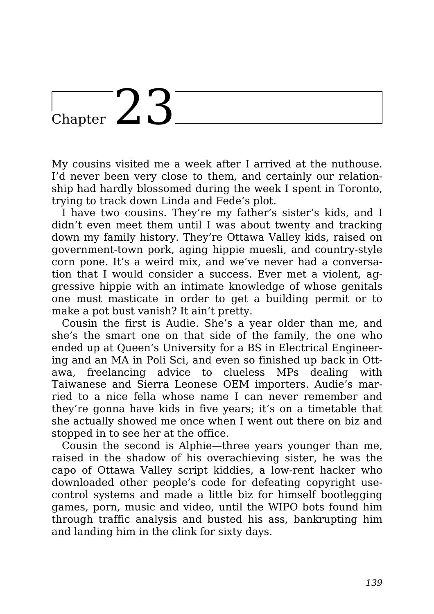#### Chapter  $23$

My cousins visited me a week after I arrived at the nuthouse. I'd never been very close to them, and certainly our relationship had hardly blossomed during the week I spent in Toronto, trying to track down Linda and Fede's plot.

I have two cousins. They're my father's sister's kids, and I didn't even meet them until I was about twenty and tracking down my family history. They're Ottawa Valley kids, raised on government-town pork, aging hippie muesli, and country-style corn pone. It's a weird mix, and we've never had a conversation that I would consider a success. Ever met a violent, aggressive hippie with an intimate knowledge of whose genitals one must masticate in order to get a building permit or to make a pot bust vanish? It ain't pretty.

Cousin the first is Audie. She's a year older than me, and she's the smart one on that side of the family, the one who ended up at Queen's University for a BS in Electrical Engineering and an MA in Poli Sci, and even so finished up back in Ottawa, freelancing advice to clueless MPs dealing with Taiwanese and Sierra Leonese OEM importers. Audie's married to a nice fella whose name I can never remember and they're gonna have kids in five years; it's on a timetable that she actually showed me once when I went out there on biz and stopped in to see her at the office.

Cousin the second is Alphie—three years younger than me, raised in the shadow of his overachieving sister, he was the capo of Ottawa Valley script kiddies, a low-rent hacker who downloaded other people's code for defeating copyright usecontrol systems and made a little biz for himself bootlegging games, porn, music and video, until the WIPO bots found him through traffic analysis and busted his ass, bankrupting him and landing him in the clink for sixty days.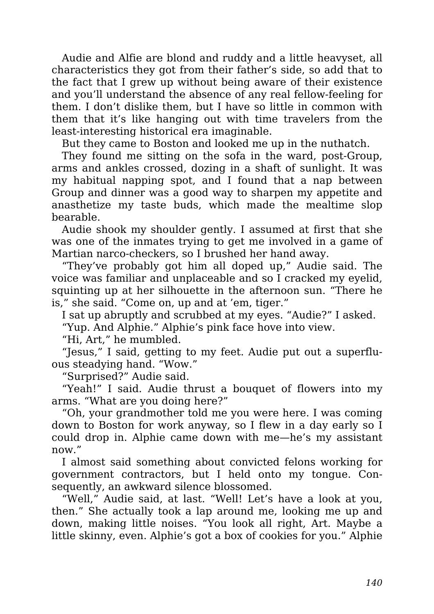Audie and Alfie are blond and ruddy and a little heavyset, all characteristics they got from their father's side, so add that to the fact that I grew up without being aware of their existence and you'll understand the absence of any real fellow-feeling for them. I don't dislike them, but I have so little in common with them that it's like hanging out with time travelers from the least-interesting historical era imaginable.

But they came to Boston and looked me up in the nuthatch.

They found me sitting on the sofa in the ward, post-Group, arms and ankles crossed, dozing in a shaft of sunlight. It was my habitual napping spot, and I found that a nap between Group and dinner was a good way to sharpen my appetite and anasthetize my taste buds, which made the mealtime slop bearable.

Audie shook my shoulder gently. I assumed at first that she was one of the inmates trying to get me involved in a game of Martian narco-checkers, so I brushed her hand away.

"They've probably got him all doped up," Audie said. The voice was familiar and unplaceable and so I cracked my eyelid, squinting up at her silhouette in the afternoon sun. "There he is," she said. "Come on, up and at 'em, tiger."

I sat up abruptly and scrubbed at my eyes. "Audie?" I asked.

"Yup. And Alphie." Alphie's pink face hove into view.

"Hi, Art," he mumbled.

"Jesus," I said, getting to my feet. Audie put out a superfluous steadying hand. "Wow."

"Surprised?" Audie said.

"Yeah!" I said. Audie thrust a bouquet of flowers into my arms. "What are you doing here?"

"Oh, your grandmother told me you were here. I was coming down to Boston for work anyway, so I flew in a day early so I could drop in. Alphie came down with me—he's my assistant now."

I almost said something about convicted felons working for government contractors, but I held onto my tongue. Consequently, an awkward silence blossomed.

"Well," Audie said, at last. "Well! Let's have a look at you, then." She actually took a lap around me, looking me up and down, making little noises. "You look all right, Art. Maybe a little skinny, even. Alphie's got a box of cookies for you." Alphie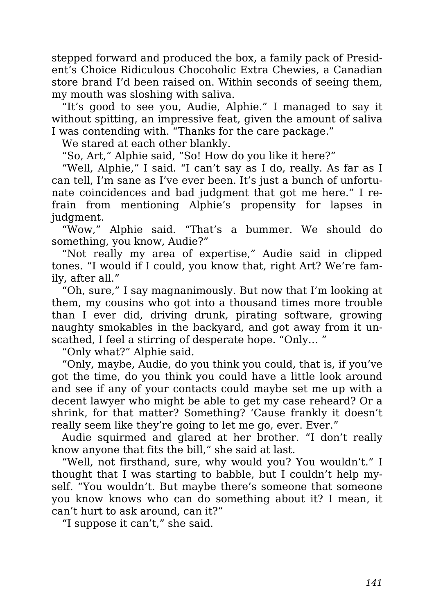stepped forward and produced the box, a family pack of President's Choice Ridiculous Chocoholic Extra Chewies, a Canadian store brand I'd been raised on. Within seconds of seeing them, my mouth was sloshing with saliva.

"It's good to see you, Audie, Alphie." I managed to say it without spitting, an impressive feat, given the amount of saliva I was contending with. "Thanks for the care package."

We stared at each other blankly.

"So, Art," Alphie said, "So! How do you like it here?"

"Well, Alphie," I said. "I can't say as I do, really. As far as I can tell, I'm sane as I've ever been. It's just a bunch of unfortunate coincidences and bad judgment that got me here." I refrain from mentioning Alphie's propensity for lapses in judgment.

"Wow," Alphie said. "That's a bummer. We should do something, you know, Audie?"

"Not really my area of expertise," Audie said in clipped tones. "I would if I could, you know that, right Art? We're family, after all."

"Oh, sure," I say magnanimously. But now that I'm looking at them, my cousins who got into a thousand times more trouble than I ever did, driving drunk, pirating software, growing naughty smokables in the backyard, and got away from it unscathed, I feel a stirring of desperate hope. "Only… "

"Only what?" Alphie said.

"Only, maybe, Audie, do you think you could, that is, if you've got the time, do you think you could have a little look around and see if any of your contacts could maybe set me up with a decent lawyer who might be able to get my case reheard? Or a shrink, for that matter? Something? 'Cause frankly it doesn't really seem like they're going to let me go, ever. Ever."

Audie squirmed and glared at her brother. "I don't really know anyone that fits the bill," she said at last.

"Well, not firsthand, sure, why would you? You wouldn't." I thought that I was starting to babble, but I couldn't help myself. "You wouldn't. But maybe there's someone that someone you know knows who can do something about it? I mean, it can't hurt to ask around, can it?"

"I suppose it can't," she said.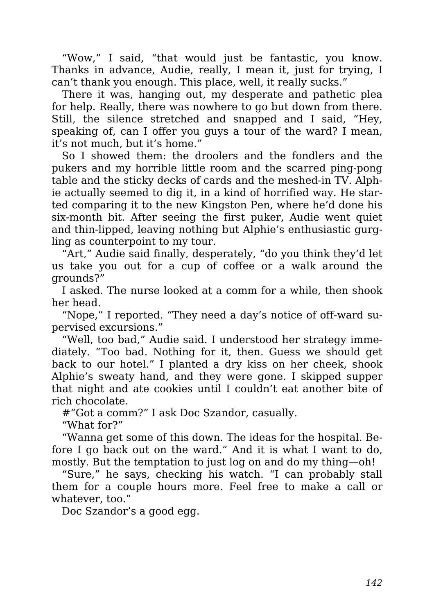"Wow," I said, "that would just be fantastic, you know. Thanks in advance, Audie, really, I mean it, just for trying, I can't thank you enough. This place, well, it really sucks."

There it was, hanging out, my desperate and pathetic plea for help. Really, there was nowhere to go but down from there. Still, the silence stretched and snapped and I said, "Hey, speaking of, can I offer you guys a tour of the ward? I mean, it's not much, but it's home."

So I showed them: the droolers and the fondlers and the pukers and my horrible little room and the scarred ping-pong table and the sticky decks of cards and the meshed-in TV. Alphie actually seemed to dig it, in a kind of horrified way. He started comparing it to the new Kingston Pen, where he'd done his six-month bit. After seeing the first puker, Audie went quiet and thin-lipped, leaving nothing but Alphie's enthusiastic gurgling as counterpoint to my tour.

"Art," Audie said finally, desperately, "do you think they'd let us take you out for a cup of coffee or a walk around the grounds?"

I asked. The nurse looked at a comm for a while, then shook her head.

"Nope," I reported. "They need a day's notice of off-ward supervised excursions."

"Well, too bad," Audie said. I understood her strategy immediately. "Too bad. Nothing for it, then. Guess we should get back to our hotel." I planted a dry kiss on her cheek, shook Alphie's sweaty hand, and they were gone. I skipped supper that night and ate cookies until I couldn't eat another bite of rich chocolate.

#"Got a comm?" I ask Doc Szandor, casually.

"What for?"

"Wanna get some of this down. The ideas for the hospital. Before I go back out on the ward." And it is what I want to do, mostly. But the temptation to just log on and do my thing—oh!

"Sure," he says, checking his watch. "I can probably stall them for a couple hours more. Feel free to make a call or whatever, too."

Doc Szandor's a good egg.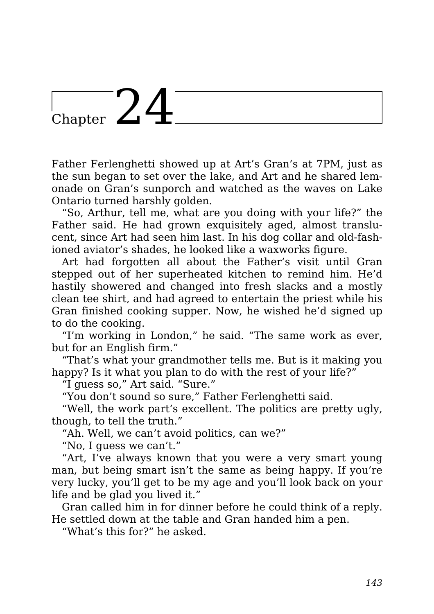#### Chapter  $24$

Father Ferlenghetti showed up at Art's Gran's at 7PM, just as the sun began to set over the lake, and Art and he shared lemonade on Gran's sunporch and watched as the waves on Lake Ontario turned harshly golden.

"So, Arthur, tell me, what are you doing with your life?" the Father said. He had grown exquisitely aged, almost translucent, since Art had seen him last. In his dog collar and old-fashioned aviator's shades, he looked like a waxworks figure.

Art had forgotten all about the Father's visit until Gran stepped out of her superheated kitchen to remind him. He'd hastily showered and changed into fresh slacks and a mostly clean tee shirt, and had agreed to entertain the priest while his Gran finished cooking supper. Now, he wished he'd signed up to do the cooking.

"I'm working in London," he said. "The same work as ever, but for an English firm."

"That's what your grandmother tells me. But is it making you happy? Is it what you plan to do with the rest of your life?"

"I guess so," Art said. "Sure."

"You don't sound so sure," Father Ferlenghetti said.

"Well, the work part's excellent. The politics are pretty ugly, though, to tell the truth."

"Ah. Well, we can't avoid politics, can we?"

"No, I guess we can't."

"Art, I've always known that you were a very smart young man, but being smart isn't the same as being happy. If you're very lucky, you'll get to be my age and you'll look back on your life and be glad you lived it."

Gran called him in for dinner before he could think of a reply. He settled down at the table and Gran handed him a pen.

"What's this for?" he asked.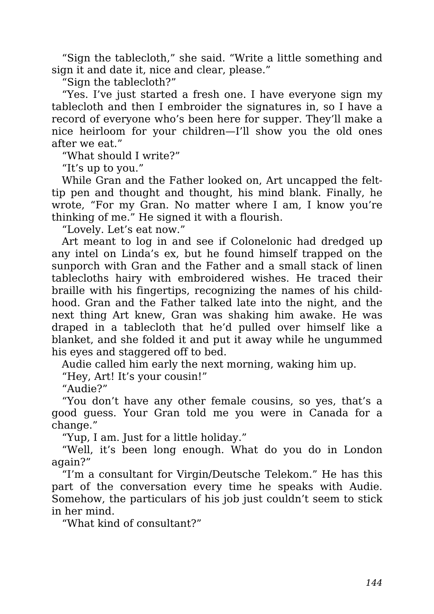"Sign the tablecloth," she said. "Write a little something and sign it and date it, nice and clear, please."

"Sign the tablecloth?"

"Yes. I've just started a fresh one. I have everyone sign my tablecloth and then I embroider the signatures in, so I have a record of everyone who's been here for supper. They'll make a nice heirloom for your children—I'll show you the old ones after we eat."

"What should I write?"

"It's up to you."

While Gran and the Father looked on, Art uncapped the felttip pen and thought and thought, his mind blank. Finally, he wrote, "For my Gran. No matter where I am, I know you're thinking of me." He signed it with a flourish.

"Lovely. Let's eat now."

Art meant to log in and see if Colonelonic had dredged up any intel on Linda's ex, but he found himself trapped on the sunporch with Gran and the Father and a small stack of linen tablecloths hairy with embroidered wishes. He traced their braille with his fingertips, recognizing the names of his childhood. Gran and the Father talked late into the night, and the next thing Art knew, Gran was shaking him awake. He was draped in a tablecloth that he'd pulled over himself like a blanket, and she folded it and put it away while he ungummed his eyes and staggered off to bed.

Audie called him early the next morning, waking him up.

"Hey, Art! It's your cousin!"

"Audie?"

"You don't have any other female cousins, so yes, that's a good guess. Your Gran told me you were in Canada for a change."

"Yup, I am. Just for a little holiday."

"Well, it's been long enough. What do you do in London again?"

"I'm a consultant for Virgin/Deutsche Telekom." He has this part of the conversation every time he speaks with Audie. Somehow, the particulars of his job just couldn't seem to stick in her mind.

"What kind of consultant?"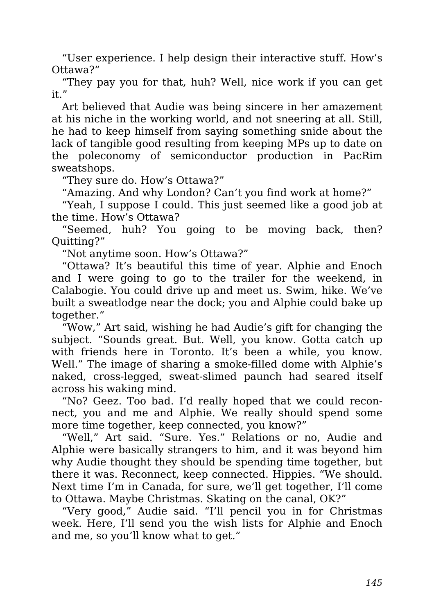"User experience. I help design their interactive stuff. How's Ottawa?"

"They pay you for that, huh? Well, nice work if you can get it."

Art believed that Audie was being sincere in her amazement at his niche in the working world, and not sneering at all. Still, he had to keep himself from saying something snide about the lack of tangible good resulting from keeping MPs up to date on the poleconomy of semiconductor production in PacRim sweatshops.

"They sure do. How's Ottawa?"

"Amazing. And why London? Can't you find work at home?"

"Yeah, I suppose I could. This just seemed like a good job at the time. How's Ottawa?

"Seemed, huh? You going to be moving back, then? Quitting?"

"Not anytime soon. How's Ottawa?"

"Ottawa? It's beautiful this time of year. Alphie and Enoch and I were going to go to the trailer for the weekend, in Calabogie. You could drive up and meet us. Swim, hike. We've built a sweatlodge near the dock; you and Alphie could bake up together."

"Wow," Art said, wishing he had Audie's gift for changing the subject. "Sounds great. But. Well, you know. Gotta catch up with friends here in Toronto. It's been a while, you know. Well." The image of sharing a smoke-filled dome with Alphie's naked, cross-legged, sweat-slimed paunch had seared itself across his waking mind.

"No? Geez. Too bad. I'd really hoped that we could reconnect, you and me and Alphie. We really should spend some more time together, keep connected, you know?"

"Well," Art said. "Sure. Yes." Relations or no, Audie and Alphie were basically strangers to him, and it was beyond him why Audie thought they should be spending time together, but there it was. Reconnect, keep connected. Hippies. "We should. Next time I'm in Canada, for sure, we'll get together, I'll come to Ottawa. Maybe Christmas. Skating on the canal, OK?"

"Very good," Audie said. "I'll pencil you in for Christmas week. Here, I'll send you the wish lists for Alphie and Enoch and me, so you'll know what to get."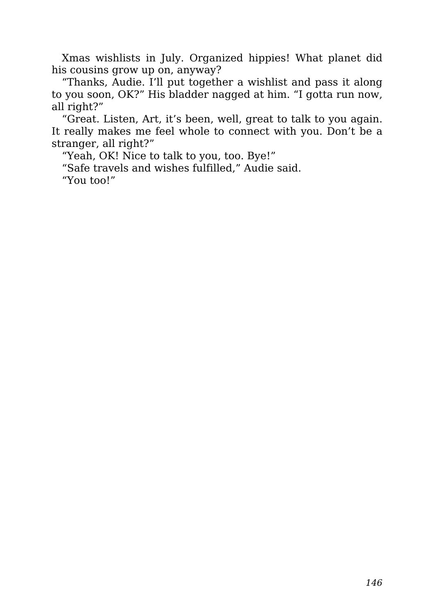Xmas wishlists in July. Organized hippies! What planet did his cousins grow up on, anyway?

"Thanks, Audie. I'll put together a wishlist and pass it along to you soon, OK?" His bladder nagged at him. "I gotta run now, all right?"

"Great. Listen, Art, it's been, well, great to talk to you again. It really makes me feel whole to connect with you. Don't be a stranger, all right?"

"Yeah, OK! Nice to talk to you, too. Bye!"

"Safe travels and wishes fulfilled," Audie said. "You too!"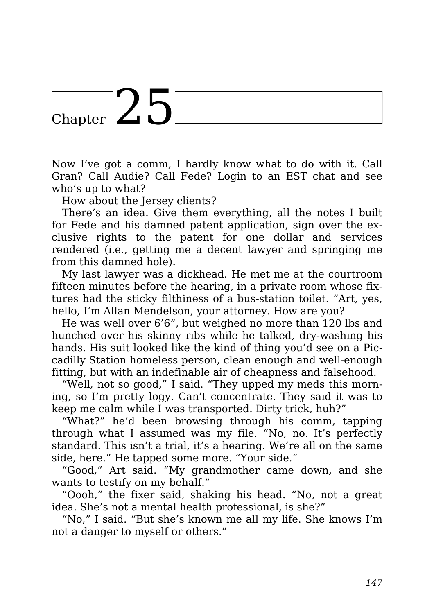#### Chapter  $25$

Now I've got a comm, I hardly know what to do with it. Call Gran? Call Audie? Call Fede? Login to an EST chat and see who's up to what?

How about the Jersey clients?

There's an idea. Give them everything, all the notes I built for Fede and his damned patent application, sign over the exclusive rights to the patent for one dollar and services rendered (i.e., getting me a decent lawyer and springing me from this damned hole).

My last lawyer was a dickhead. He met me at the courtroom fifteen minutes before the hearing, in a private room whose fixtures had the sticky filthiness of a bus-station toilet. "Art, yes, hello, I'm Allan Mendelson, your attorney. How are you?

He was well over 6'6", but weighed no more than 120 lbs and hunched over his skinny ribs while he talked, dry-washing his hands. His suit looked like the kind of thing you'd see on a Piccadilly Station homeless person, clean enough and well-enough fitting, but with an indefinable air of cheapness and falsehood.

"Well, not so good," I said. "They upped my meds this morning, so I'm pretty logy. Can't concentrate. They said it was to keep me calm while I was transported. Dirty trick, huh?"

"What?" he'd been browsing through his comm, tapping through what I assumed was my file. "No, no. It's perfectly standard. This isn't a trial, it's a hearing. We're all on the same side, here." He tapped some more. "Your side."

"Good," Art said. "My grandmother came down, and she wants to testify on my behalf."

"Oooh," the fixer said, shaking his head. "No, not a great idea. She's not a mental health professional, is she?"

"No," I said. "But she's known me all my life. She knows I'm not a danger to myself or others."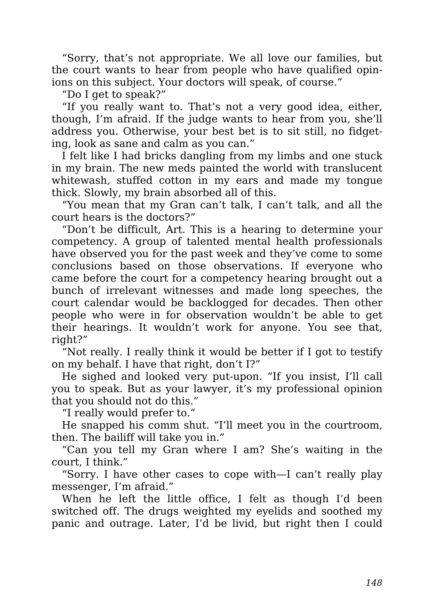"Sorry, that's not appropriate. We all love our families, but the court wants to hear from people who have qualified opinions on this subject. Your doctors will speak, of course."

"Do I get to speak?"

"If you really want to. That's not a very good idea, either, though, I'm afraid. If the judge wants to hear from you, she'll address you. Otherwise, your best bet is to sit still, no fidgeting, look as sane and calm as you can."

I felt like I had bricks dangling from my limbs and one stuck in my brain. The new meds painted the world with translucent whitewash, stuffed cotton in my ears and made my tongue thick. Slowly, my brain absorbed all of this.

"You mean that my Gran can't talk, I can't talk, and all the court hears is the doctors?"

"Don't be difficult, Art. This is a hearing to determine your competency. A group of talented mental health professionals have observed you for the past week and they've come to some conclusions based on those observations. If everyone who came before the court for a competency hearing brought out a bunch of irrelevant witnesses and made long speeches, the court calendar would be backlogged for decades. Then other people who were in for observation wouldn't be able to get their hearings. It wouldn't work for anyone. You see that, right?"

"Not really. I really think it would be better if I got to testify on my behalf. I have that right, don't I?"

He sighed and looked very put-upon. "If you insist, I'll call you to speak. But as your lawyer, it's my professional opinion that you should not do this."

"I really would prefer to."

He snapped his comm shut. "I'll meet you in the courtroom, then. The bailiff will take you in."

"Can you tell my Gran where I am? She's waiting in the court, I think."

"Sorry. I have other cases to cope with—I can't really play messenger, I'm afraid."

When he left the little office, I felt as though I'd been switched off. The drugs weighted my eyelids and soothed my panic and outrage. Later, I'd be livid, but right then I could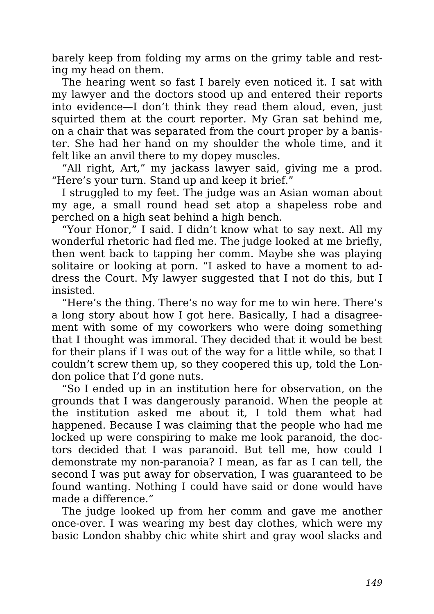barely keep from folding my arms on the grimy table and resting my head on them.

The hearing went so fast I barely even noticed it. I sat with my lawyer and the doctors stood up and entered their reports into evidence—I don't think they read them aloud, even, just squirted them at the court reporter. My Gran sat behind me, on a chair that was separated from the court proper by a banister. She had her hand on my shoulder the whole time, and it felt like an anvil there to my dopey muscles.

"All right, Art," my jackass lawyer said, giving me a prod. "Here's your turn. Stand up and keep it brief."

I struggled to my feet. The judge was an Asian woman about my age, a small round head set atop a shapeless robe and perched on a high seat behind a high bench.

"Your Honor," I said. I didn't know what to say next. All my wonderful rhetoric had fled me. The judge looked at me briefly, then went back to tapping her comm. Maybe she was playing solitaire or looking at porn. "I asked to have a moment to address the Court. My lawyer suggested that I not do this, but I insisted.

"Here's the thing. There's no way for me to win here. There's a long story about how I got here. Basically, I had a disagreement with some of my coworkers who were doing something that I thought was immoral. They decided that it would be best for their plans if I was out of the way for a little while, so that I couldn't screw them up, so they coopered this up, told the London police that I'd gone nuts.

"So I ended up in an institution here for observation, on the grounds that I was dangerously paranoid. When the people at the institution asked me about it, I told them what had happened. Because I was claiming that the people who had me locked up were conspiring to make me look paranoid, the doctors decided that I was paranoid. But tell me, how could I demonstrate my non-paranoia? I mean, as far as I can tell, the second I was put away for observation, I was guaranteed to be found wanting. Nothing I could have said or done would have made a difference."

The judge looked up from her comm and gave me another once-over. I was wearing my best day clothes, which were my basic London shabby chic white shirt and gray wool slacks and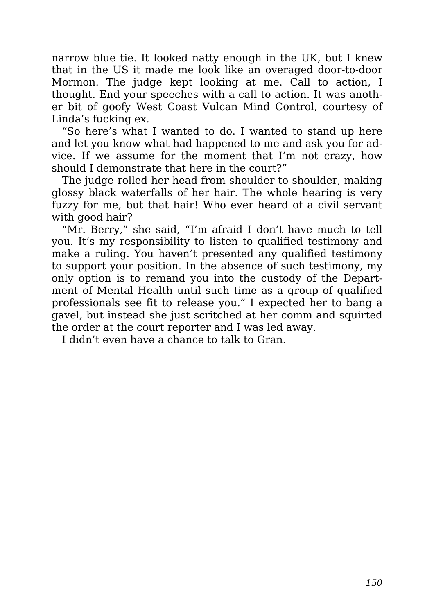narrow blue tie. It looked natty enough in the UK, but I knew that in the US it made me look like an overaged door-to-door Mormon. The judge kept looking at me. Call to action, I thought. End your speeches with a call to action. It was another bit of goofy West Coast Vulcan Mind Control, courtesy of Linda's fucking ex.

"So here's what I wanted to do. I wanted to stand up here and let you know what had happened to me and ask you for advice. If we assume for the moment that I'm not crazy, how should I demonstrate that here in the court?"

The judge rolled her head from shoulder to shoulder, making glossy black waterfalls of her hair. The whole hearing is very fuzzy for me, but that hair! Who ever heard of a civil servant with good hair?

"Mr. Berry," she said, "I'm afraid I don't have much to tell you. It's my responsibility to listen to qualified testimony and make a ruling. You haven't presented any qualified testimony to support your position. In the absence of such testimony, my only option is to remand you into the custody of the Department of Mental Health until such time as a group of qualified professionals see fit to release you." I expected her to bang a gavel, but instead she just scritched at her comm and squirted the order at the court reporter and I was led away.

I didn't even have a chance to talk to Gran.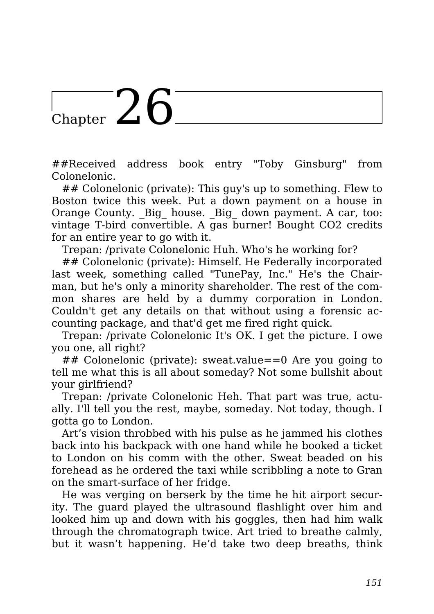# Chapter  $26$

##Received address book entry "Toby Ginsburg" from Colonelonic.

## Colonelonic (private): This guy's up to something. Flew to Boston twice this week. Put a down payment on a house in Orange County. Big house. Big down payment. A car, too: vintage T-bird convertible. A gas burner! Bought CO2 credits for an entire year to go with it.

Trepan: /private Colonelonic Huh. Who's he working for?

## Colonelonic (private): Himself. He Federally incorporated last week, something called "TunePay, Inc." He's the Chairman, but he's only a minority shareholder. The rest of the common shares are held by a dummy corporation in London. Couldn't get any details on that without using a forensic accounting package, and that'd get me fired right quick.

Trepan: /private Colonelonic It's OK. I get the picture. I owe you one, all right?

## Colonelonic (private): sweat.value==0 Are you going to tell me what this is all about someday? Not some bullshit about your girlfriend?

Trepan: /private Colonelonic Heh. That part was true, actually. I'll tell you the rest, maybe, someday. Not today, though. I gotta go to London.

Art's vision throbbed with his pulse as he jammed his clothes back into his backpack with one hand while he booked a ticket to London on his comm with the other. Sweat beaded on his forehead as he ordered the taxi while scribbling a note to Gran on the smart-surface of her fridge.

He was verging on berserk by the time he hit airport security. The guard played the ultrasound flashlight over him and looked him up and down with his goggles, then had him walk through the chromatograph twice. Art tried to breathe calmly, but it wasn't happening. He'd take two deep breaths, think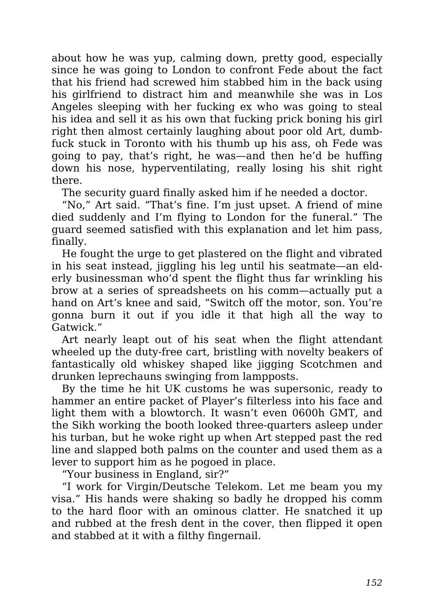about how he was yup, calming down, pretty good, especially since he was going to London to confront Fede about the fact that his friend had screwed him stabbed him in the back using his girlfriend to distract him and meanwhile she was in Los Angeles sleeping with her fucking ex who was going to steal his idea and sell it as his own that fucking prick boning his girl right then almost certainly laughing about poor old Art, dumbfuck stuck in Toronto with his thumb up his ass, oh Fede was going to pay, that's right, he was—and then he'd be huffing down his nose, hyperventilating, really losing his shit right there.

The security guard finally asked him if he needed a doctor.

"No," Art said. "That's fine. I'm just upset. A friend of mine died suddenly and I'm flying to London for the funeral." The guard seemed satisfied with this explanation and let him pass, finally.

He fought the urge to get plastered on the flight and vibrated in his seat instead, jiggling his leg until his seatmate—an elderly businessman who'd spent the flight thus far wrinkling his brow at a series of spreadsheets on his comm—actually put a hand on Art's knee and said, "Switch off the motor, son. You're gonna burn it out if you idle it that high all the way to Gatwick."

Art nearly leapt out of his seat when the flight attendant wheeled up the duty-free cart, bristling with novelty beakers of fantastically old whiskey shaped like jigging Scotchmen and drunken leprechauns swinging from lampposts.

By the time he hit UK customs he was supersonic, ready to hammer an entire packet of Player's filterless into his face and light them with a blowtorch. It wasn't even 0600h GMT, and the Sikh working the booth looked three-quarters asleep under his turban, but he woke right up when Art stepped past the red line and slapped both palms on the counter and used them as a lever to support him as he pogoed in place.

"Your business in England, sir?"

"I work for Virgin/Deutsche Telekom. Let me beam you my visa." His hands were shaking so badly he dropped his comm to the hard floor with an ominous clatter. He snatched it up and rubbed at the fresh dent in the cover, then flipped it open and stabbed at it with a filthy fingernail.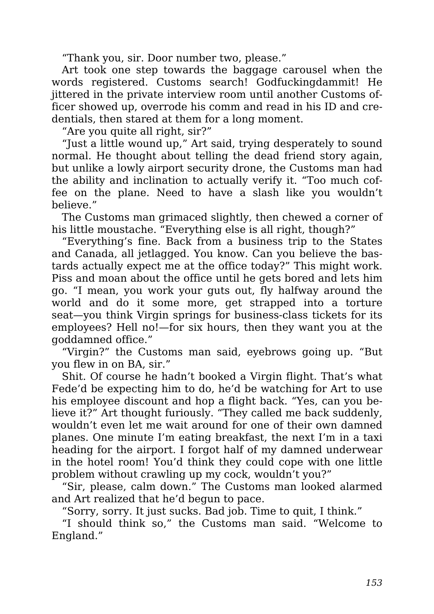"Thank you, sir. Door number two, please."

Art took one step towards the baggage carousel when the words registered. Customs search! Godfuckingdammit! He jittered in the private interview room until another Customs officer showed up, overrode his comm and read in his ID and credentials, then stared at them for a long moment.

"Are you quite all right, sir?"

"Just a little wound up," Art said, trying desperately to sound normal. He thought about telling the dead friend story again, but unlike a lowly airport security drone, the Customs man had the ability and inclination to actually verify it. "Too much coffee on the plane. Need to have a slash like you wouldn't believe."

The Customs man grimaced slightly, then chewed a corner of his little moustache. "Everything else is all right, though?"

"Everything's fine. Back from a business trip to the States and Canada, all jetlagged. You know. Can you believe the bastards actually expect me at the office today?" This might work. Piss and moan about the office until he gets bored and lets him go. "I mean, you work your guts out, fly halfway around the world and do it some more, get strapped into a torture seat—you think Virgin springs for business-class tickets for its employees? Hell no!—for six hours, then they want you at the goddamned office."

"Virgin?" the Customs man said, eyebrows going up. "But you flew in on BA, sir."

Shit. Of course he hadn't booked a Virgin flight. That's what Fede'd be expecting him to do, he'd be watching for Art to use his employee discount and hop a flight back. "Yes, can you believe it?" Art thought furiously. "They called me back suddenly, wouldn't even let me wait around for one of their own damned planes. One minute I'm eating breakfast, the next I'm in a taxi heading for the airport. I forgot half of my damned underwear in the hotel room! You'd think they could cope with one little problem without crawling up my cock, wouldn't you?"

"Sir, please, calm down." The Customs man looked alarmed and Art realized that he'd begun to pace.

"Sorry, sorry. It just sucks. Bad job. Time to quit, I think."

"I should think so," the Customs man said. "Welcome to England."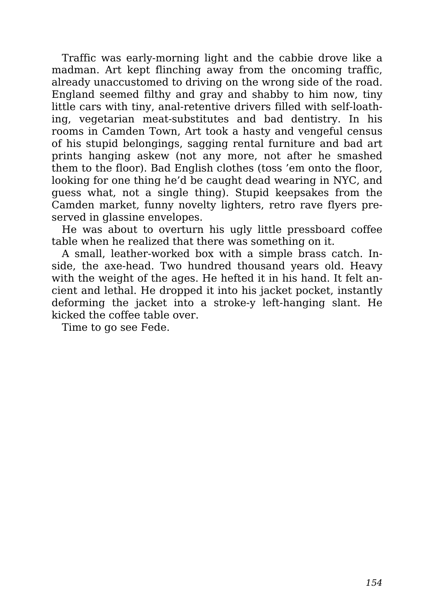Traffic was early-morning light and the cabbie drove like a madman. Art kept flinching away from the oncoming traffic, already unaccustomed to driving on the wrong side of the road. England seemed filthy and gray and shabby to him now, tiny little cars with tiny, anal-retentive drivers filled with self-loathing, vegetarian meat-substitutes and bad dentistry. In his rooms in Camden Town, Art took a hasty and vengeful census of his stupid belongings, sagging rental furniture and bad art prints hanging askew (not any more, not after he smashed them to the floor). Bad English clothes (toss 'em onto the floor, looking for one thing he'd be caught dead wearing in NYC, and guess what, not a single thing). Stupid keepsakes from the Camden market, funny novelty lighters, retro rave flyers preserved in glassine envelopes.

He was about to overturn his ugly little pressboard coffee table when he realized that there was something on it.

A small, leather-worked box with a simple brass catch. Inside, the axe-head. Two hundred thousand years old. Heavy with the weight of the ages. He hefted it in his hand. It felt ancient and lethal. He dropped it into his jacket pocket, instantly deforming the jacket into a stroke-y left-hanging slant. He kicked the coffee table over.

Time to go see Fede.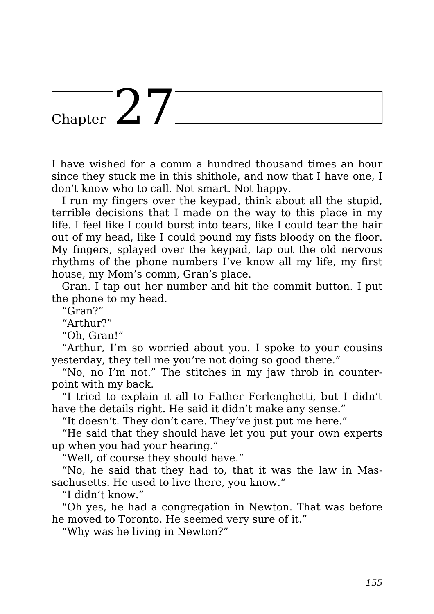#### Chapter  $27$

I have wished for a comm a hundred thousand times an hour since they stuck me in this shithole, and now that I have one, I don't know who to call. Not smart. Not happy.

I run my fingers over the keypad, think about all the stupid, terrible decisions that I made on the way to this place in my life. I feel like I could burst into tears, like I could tear the hair out of my head, like I could pound my fists bloody on the floor. My fingers, splayed over the keypad, tap out the old nervous rhythms of the phone numbers I've know all my life, my first house, my Mom's comm, Gran's place.

Gran. I tap out her number and hit the commit button. I put the phone to my head.

"Gran?"

"Arthur?"

"Oh, Gran!"

"Arthur, I'm so worried about you. I spoke to your cousins yesterday, they tell me you're not doing so good there."

"No, no I'm not." The stitches in my jaw throb in counterpoint with my back.

"I tried to explain it all to Father Ferlenghetti, but I didn't have the details right. He said it didn't make any sense."

"It doesn't. They don't care. They've just put me here."

"He said that they should have let you put your own experts up when you had your hearing."

"Well, of course they should have."

"No, he said that they had to, that it was the law in Massachusetts. He used to live there, you know."

"I didn't know."

"Oh yes, he had a congregation in Newton. That was before he moved to Toronto. He seemed very sure of it."

"Why was he living in Newton?"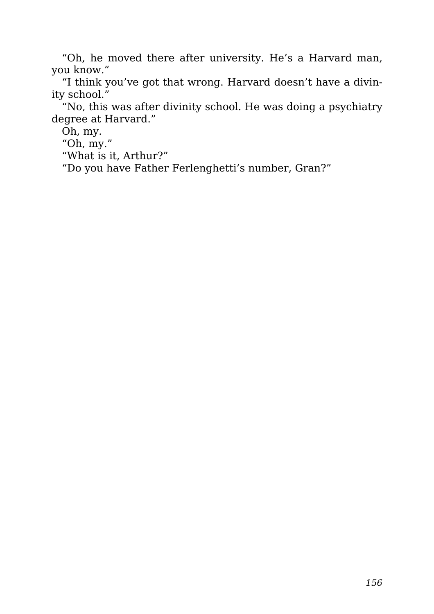"Oh, he moved there after university. He's a Harvard man, you know."

"I think you've got that wrong. Harvard doesn't have a divinity school."

"No, this was after divinity school. He was doing a psychiatry degree at Harvard."

Oh, my.

"Oh, my."

"What is it, Arthur?"

"Do you have Father Ferlenghetti's number, Gran?"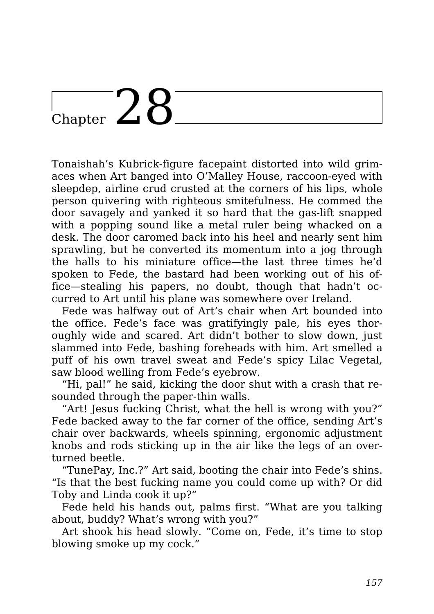# Chapter  $28$

Tonaishah's Kubrick-figure facepaint distorted into wild grimaces when Art banged into O'Malley House, raccoon-eyed with sleepdep, airline crud crusted at the corners of his lips, whole person quivering with righteous smitefulness. He commed the door savagely and yanked it so hard that the gas-lift snapped with a popping sound like a metal ruler being whacked on a desk. The door caromed back into his heel and nearly sent him sprawling, but he converted its momentum into a jog through the halls to his miniature office—the last three times he'd spoken to Fede, the bastard had been working out of his office—stealing his papers, no doubt, though that hadn't occurred to Art until his plane was somewhere over Ireland.

Fede was halfway out of Art's chair when Art bounded into the office. Fede's face was gratifyingly pale, his eyes thoroughly wide and scared. Art didn't bother to slow down, just slammed into Fede, bashing foreheads with him. Art smelled a puff of his own travel sweat and Fede's spicy Lilac Vegetal, saw blood welling from Fede's eyebrow.

"Hi, pal!" he said, kicking the door shut with a crash that resounded through the paper-thin walls.

"Art! Jesus fucking Christ, what the hell is wrong with you?" Fede backed away to the far corner of the office, sending Art's chair over backwards, wheels spinning, ergonomic adjustment knobs and rods sticking up in the air like the legs of an overturned beetle.

"TunePay, Inc.?" Art said, booting the chair into Fede's shins. "Is that the best fucking name you could come up with? Or did Toby and Linda cook it up?"

Fede held his hands out, palms first. "What are you talking about, buddy? What's wrong with you?"

Art shook his head slowly. "Come on, Fede, it's time to stop blowing smoke up my cock."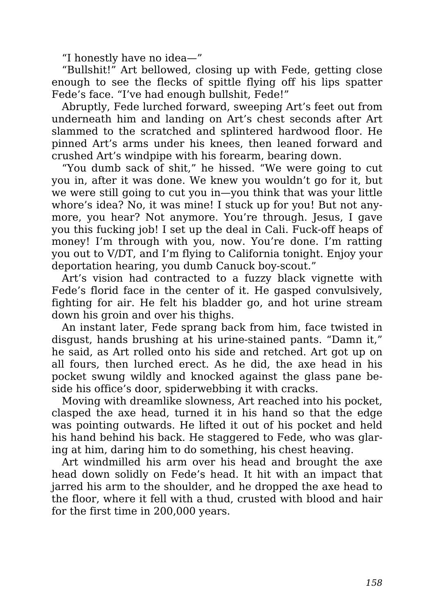"I honestly have no idea—"

"Bullshit!" Art bellowed, closing up with Fede, getting close enough to see the flecks of spittle flying off his lips spatter Fede's face. "I've had enough bullshit, Fede!"

Abruptly, Fede lurched forward, sweeping Art's feet out from underneath him and landing on Art's chest seconds after Art slammed to the scratched and splintered hardwood floor. He pinned Art's arms under his knees, then leaned forward and crushed Art's windpipe with his forearm, bearing down.

"You dumb sack of shit," he hissed. "We were going to cut you in, after it was done. We knew you wouldn't go for it, but we were still going to cut you in—you think that was your little whore's idea? No, it was mine! I stuck up for you! But not anymore, you hear? Not anymore. You're through. Jesus, I gave you this fucking job! I set up the deal in Cali. Fuck-off heaps of money! I'm through with you, now. You're done. I'm ratting you out to V/DT, and I'm flying to California tonight. Enjoy your deportation hearing, you dumb Canuck boy-scout."

Art's vision had contracted to a fuzzy black vignette with Fede's florid face in the center of it. He gasped convulsively, fighting for air. He felt his bladder go, and hot urine stream down his groin and over his thighs.

An instant later, Fede sprang back from him, face twisted in disgust, hands brushing at his urine-stained pants. "Damn it," he said, as Art rolled onto his side and retched. Art got up on all fours, then lurched erect. As he did, the axe head in his pocket swung wildly and knocked against the glass pane beside his office's door, spiderwebbing it with cracks.

Moving with dreamlike slowness, Art reached into his pocket, clasped the axe head, turned it in his hand so that the edge was pointing outwards. He lifted it out of his pocket and held his hand behind his back. He staggered to Fede, who was glaring at him, daring him to do something, his chest heaving.

Art windmilled his arm over his head and brought the axe head down solidly on Fede's head. It hit with an impact that jarred his arm to the shoulder, and he dropped the axe head to the floor, where it fell with a thud, crusted with blood and hair for the first time in 200,000 years.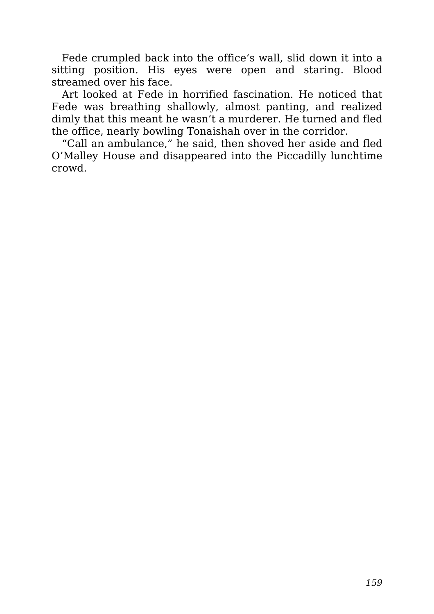Fede crumpled back into the office's wall, slid down it into a sitting position. His eyes were open and staring. Blood streamed over his face.

Art looked at Fede in horrified fascination. He noticed that Fede was breathing shallowly, almost panting, and realized dimly that this meant he wasn't a murderer. He turned and fled the office, nearly bowling Tonaishah over in the corridor.

"Call an ambulance," he said, then shoved her aside and fled O'Malley House and disappeared into the Piccadilly lunchtime crowd.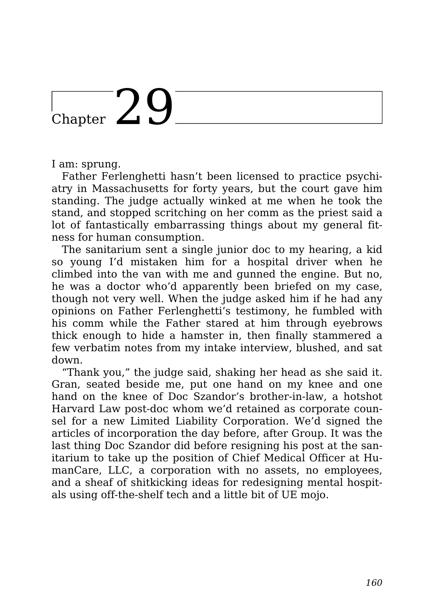# $\sum_{\text{Chapter}}$

#### I am: sprung.

Father Ferlenghetti hasn't been licensed to practice psychiatry in Massachusetts for forty years, but the court gave him standing. The judge actually winked at me when he took the stand, and stopped scritching on her comm as the priest said a lot of fantastically embarrassing things about my general fitness for human consumption.

The sanitarium sent a single junior doc to my hearing, a kid so young I'd mistaken him for a hospital driver when he climbed into the van with me and gunned the engine. But no, he was a doctor who'd apparently been briefed on my case, though not very well. When the judge asked him if he had any opinions on Father Ferlenghetti's testimony, he fumbled with his comm while the Father stared at him through eyebrows thick enough to hide a hamster in, then finally stammered a few verbatim notes from my intake interview, blushed, and sat down.

"Thank you," the judge said, shaking her head as she said it. Gran, seated beside me, put one hand on my knee and one hand on the knee of Doc Szandor's brother-in-law, a hotshot Harvard Law post-doc whom we'd retained as corporate counsel for a new Limited Liability Corporation. We'd signed the articles of incorporation the day before, after Group. It was the last thing Doc Szandor did before resigning his post at the sanitarium to take up the position of Chief Medical Officer at HumanCare, LLC, a corporation with no assets, no employees, and a sheaf of shitkicking ideas for redesigning mental hospitals using off-the-shelf tech and a little bit of UE mojo.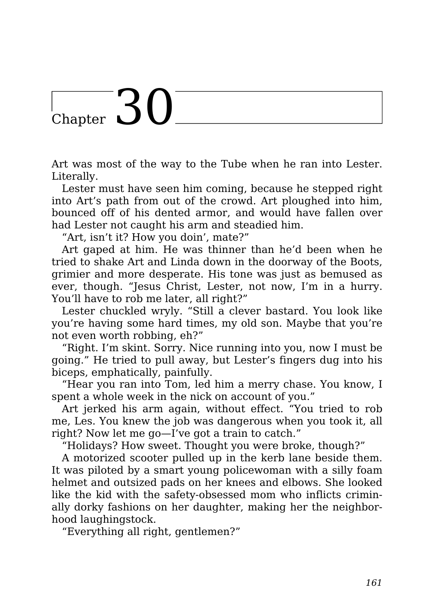# $\frac{1}{\text{Chapter 30}}$

Art was most of the way to the Tube when he ran into Lester. Literally.

Lester must have seen him coming, because he stepped right into Art's path from out of the crowd. Art ploughed into him, bounced off of his dented armor, and would have fallen over had Lester not caught his arm and steadied him.

"Art, isn't it? How you doin', mate?"

Art gaped at him. He was thinner than he'd been when he tried to shake Art and Linda down in the doorway of the Boots, grimier and more desperate. His tone was just as bemused as ever, though. "Jesus Christ, Lester, not now, I'm in a hurry. You'll have to rob me later, all right?"

Lester chuckled wryly. "Still a clever bastard. You look like you're having some hard times, my old son. Maybe that you're not even worth robbing, eh?"

"Right. I'm skint. Sorry. Nice running into you, now I must be going." He tried to pull away, but Lester's fingers dug into his biceps, emphatically, painfully.

"Hear you ran into Tom, led him a merry chase. You know, I spent a whole week in the nick on account of you."

Art jerked his arm again, without effect. "You tried to rob me, Les. You knew the job was dangerous when you took it, all right? Now let me go—I've got a train to catch."

"Holidays? How sweet. Thought you were broke, though?"

A motorized scooter pulled up in the kerb lane beside them. It was piloted by a smart young policewoman with a silly foam helmet and outsized pads on her knees and elbows. She looked like the kid with the safety-obsessed mom who inflicts criminally dorky fashions on her daughter, making her the neighborhood laughingstock.

"Everything all right, gentlemen?"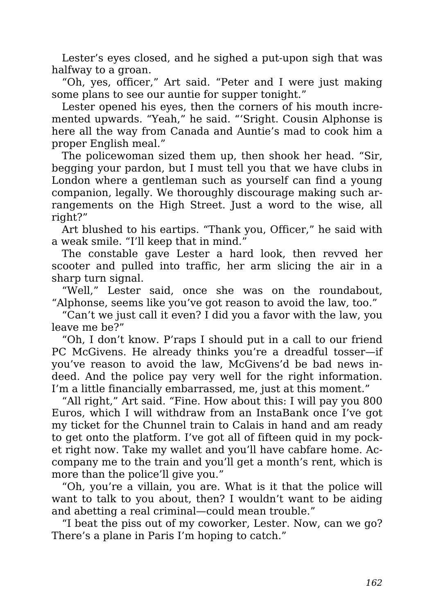Lester's eyes closed, and he sighed a put-upon sigh that was halfway to a groan.

"Oh, yes, officer," Art said. "Peter and I were just making some plans to see our auntie for supper tonight."

Lester opened his eyes, then the corners of his mouth incremented upwards. "Yeah," he said. "'Sright. Cousin Alphonse is here all the way from Canada and Auntie's mad to cook him a proper English meal."

The policewoman sized them up, then shook her head. "Sir, begging your pardon, but I must tell you that we have clubs in London where a gentleman such as yourself can find a young companion, legally. We thoroughly discourage making such arrangements on the High Street. Just a word to the wise, all right?"

Art blushed to his eartips. "Thank you, Officer," he said with a weak smile. "I'll keep that in mind."

The constable gave Lester a hard look, then revved her scooter and pulled into traffic, her arm slicing the air in a sharp turn signal.

"Well," Lester said, once she was on the roundabout, "Alphonse, seems like you've got reason to avoid the law, too."

"Can't we just call it even? I did you a favor with the law, you leave me be?"

"Oh, I don't know. P'raps I should put in a call to our friend PC McGivens. He already thinks you're a dreadful tosser—if you've reason to avoid the law, McGivens'd be bad news indeed. And the police pay very well for the right information. I'm a little financially embarrassed, me, just at this moment."

"All right," Art said. "Fine. How about this: I will pay you 800 Euros, which I will withdraw from an InstaBank once I've got my ticket for the Chunnel train to Calais in hand and am ready to get onto the platform. I've got all of fifteen quid in my pocket right now. Take my wallet and you'll have cabfare home. Accompany me to the train and you'll get a month's rent, which is more than the police'll give you."

"Oh, you're a villain, you are. What is it that the police will want to talk to you about, then? I wouldn't want to be aiding and abetting a real criminal—could mean trouble."

"I beat the piss out of my coworker, Lester. Now, can we go? There's a plane in Paris I'm hoping to catch."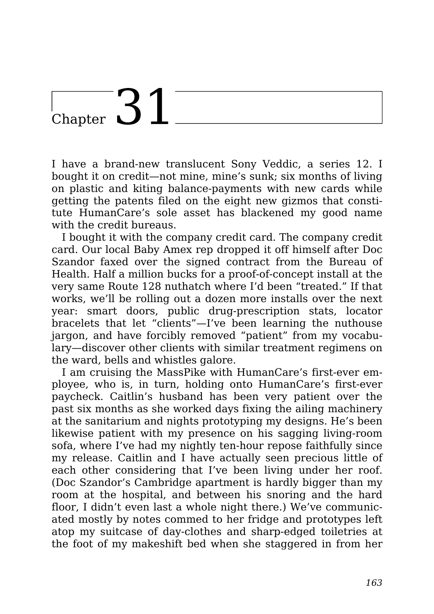### $\frac{1}{2}$ Chapter 31

I have a brand-new translucent Sony Veddic, a series 12. I bought it on credit—not mine, mine's sunk; six months of living on plastic and kiting balance-payments with new cards while getting the patents filed on the eight new gizmos that constitute HumanCare's sole asset has blackened my good name with the credit bureaus.

I bought it with the company credit card. The company credit card. Our local Baby Amex rep dropped it off himself after Doc Szandor faxed over the signed contract from the Bureau of Health. Half a million bucks for a proof-of-concept install at the very same Route 128 nuthatch where I'd been "treated." If that works, we'll be rolling out a dozen more installs over the next year: smart doors, public drug-prescription stats, locator bracelets that let "clients"—I've been learning the nuthouse jargon, and have forcibly removed "patient" from my vocabulary—discover other clients with similar treatment regimens on the ward, bells and whistles galore.

I am cruising the MassPike with HumanCare's first-ever employee, who is, in turn, holding onto HumanCare's first-ever paycheck. Caitlin's husband has been very patient over the past six months as she worked days fixing the ailing machinery at the sanitarium and nights prototyping my designs. He's been likewise patient with my presence on his sagging living-room sofa, where I've had my nightly ten-hour repose faithfully since my release. Caitlin and I have actually seen precious little of each other considering that I've been living under her roof. (Doc Szandor's Cambridge apartment is hardly bigger than my room at the hospital, and between his snoring and the hard floor, I didn't even last a whole night there.) We've communicated mostly by notes commed to her fridge and prototypes left atop my suitcase of day-clothes and sharp-edged toiletries at the foot of my makeshift bed when she staggered in from her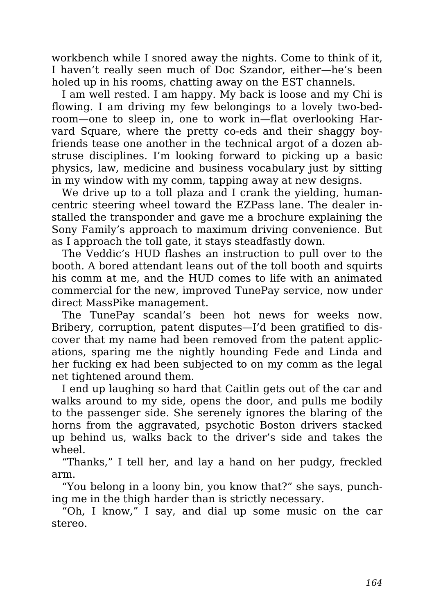workbench while I snored away the nights. Come to think of it, I haven't really seen much of Doc Szandor, either—he's been holed up in his rooms, chatting away on the EST channels.

I am well rested. I am happy. My back is loose and my Chi is flowing. I am driving my few belongings to a lovely two-bedroom—one to sleep in, one to work in—flat overlooking Harvard Square, where the pretty co-eds and their shaggy boyfriends tease one another in the technical argot of a dozen abstruse disciplines. I'm looking forward to picking up a basic physics, law, medicine and business vocabulary just by sitting in my window with my comm, tapping away at new designs.

We drive up to a toll plaza and I crank the vielding, humancentric steering wheel toward the EZPass lane. The dealer installed the transponder and gave me a brochure explaining the Sony Family's approach to maximum driving convenience. But as I approach the toll gate, it stays steadfastly down.

The Veddic's HUD flashes an instruction to pull over to the booth. A bored attendant leans out of the toll booth and squirts his comm at me, and the HUD comes to life with an animated commercial for the new, improved TunePay service, now under direct MassPike management.

The TunePay scandal's been hot news for weeks now. Bribery, corruption, patent disputes—I'd been gratified to discover that my name had been removed from the patent applications, sparing me the nightly hounding Fede and Linda and her fucking ex had been subjected to on my comm as the legal net tightened around them.

I end up laughing so hard that Caitlin gets out of the car and walks around to my side, opens the door, and pulls me bodily to the passenger side. She serenely ignores the blaring of the horns from the aggravated, psychotic Boston drivers stacked up behind us, walks back to the driver's side and takes the wheel.

"Thanks," I tell her, and lay a hand on her pudgy, freckled arm.

"You belong in a loony bin, you know that?" she says, punching me in the thigh harder than is strictly necessary.

"Oh, I know," I say, and dial up some music on the car stereo.